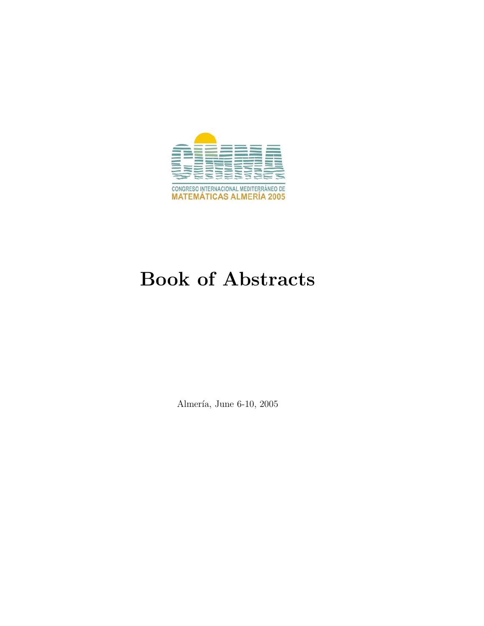

# Book of Abstracts

Almería, June 6-10, 2005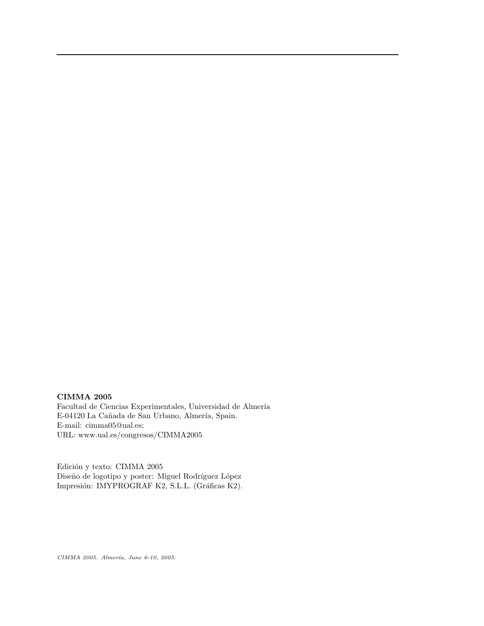## CIMMA 2005

 $\operatorname{Facultad}$ de Ciencias Experimentales, Universidad de Almería E-04120 La Cañada de San Urbano, Almería, Spain. E-mail: cimma05@ual.es; URL: www.ual.es/congresos/CIMMA2005

Edición y texto: CIMMA 2005 Diseño de logotipo y poster: Miguel Rodríguez López Impresión: IMYPROGRAF K2, S.L.L. (Gráficas K2).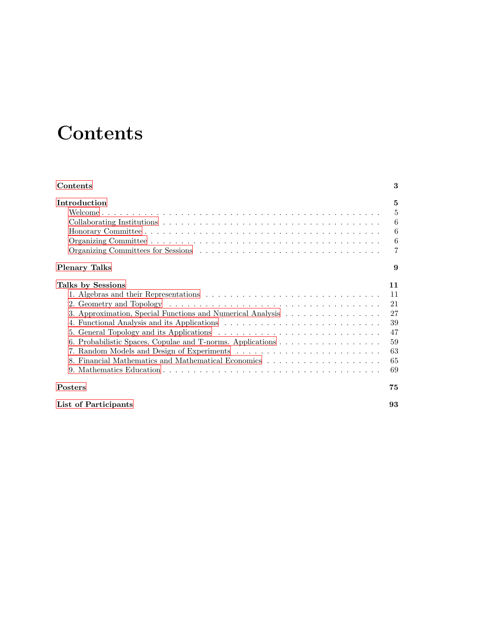# **Contents**

<span id="page-2-0"></span>

| Contents                                                                        | 3                                                        |
|---------------------------------------------------------------------------------|----------------------------------------------------------|
| Introduction                                                                    | 5<br>$\overline{5}$<br>6<br>6<br>6<br>7                  |
| <b>Plenary Talks</b>                                                            | 9                                                        |
| Talks by Sessions<br>3. Approximation, Special Functions and Numerical Analysis | 11<br>11<br>21<br>27<br>39<br>47<br>59<br>63<br>65<br>69 |
| <b>Posters</b>                                                                  | 75                                                       |
| List of Participants                                                            | 93                                                       |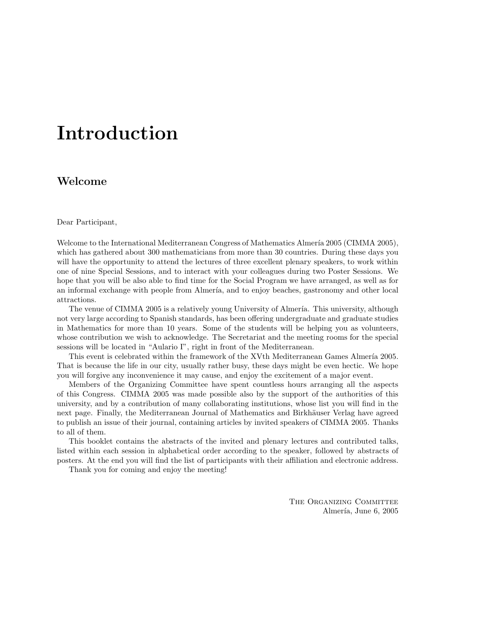# <span id="page-4-0"></span>Introduction

## <span id="page-4-1"></span>Welcome

Dear Participant,

Welcome to the International Mediterranean Congress of Mathematics Almería 2005 (CIMMA 2005), which has gathered about 300 mathematicians from more than 30 countries. During these days you will have the opportunity to attend the lectures of three excellent plenary speakers, to work within one of nine Special Sessions, and to interact with your colleagues during two Poster Sessions. We hope that you will be also able to find time for the Social Program we have arranged, as well as for an informal exchange with people from Almería, and to enjoy beaches, gastronomy and other local attractions.

The venue of CIMMA 2005 is a relatively young University of Almería. This university, although not very large according to Spanish standards, has been offering undergraduate and graduate studies in Mathematics for more than 10 years. Some of the students will be helping you as volunteers, whose contribution we wish to acknowledge. The Secretariat and the meeting rooms for the special sessions will be located in "Aulario I", right in front of the Mediterranean.

This event is celebrated within the framework of the XVth Mediterranean Games Almería 2005. That is because the life in our city, usually rather busy, these days might be even hectic. We hope you will forgive any inconvenience it may cause, and enjoy the excitement of a major event.

Members of the Organizing Committee have spent countless hours arranging all the aspects of this Congress. CIMMA 2005 was made possible also by the support of the authorities of this university, and by a contribution of many collaborating institutions, whose list you will find in the next page. Finally, the Mediterranean Journal of Mathematics and Birkhäuser Verlag have agreed to publish an issue of their journal, containing articles by invited speakers of CIMMA 2005. Thanks to all of them.

This booklet contains the abstracts of the invited and plenary lectures and contributed talks, listed within each session in alphabetical order according to the speaker, followed by abstracts of posters. At the end you will find the list of participants with their affiliation and electronic address.

Thank you for coming and enjoy the meeting!

THE ORGANIZING COMMITTEE Almería, June 6, 2005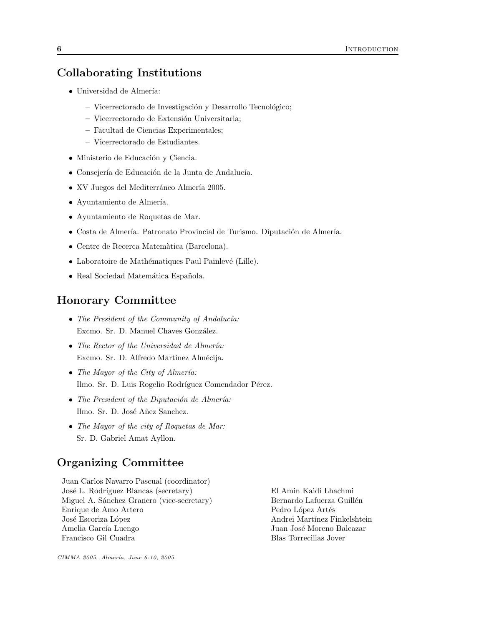# <span id="page-5-0"></span>Collaborating Institutions

- $\bullet~$ Universidad de Almería:
	- Vicerrectorado de Investigación y Desarrollo Tecnológico;
	- Vicerrectorado de Extensi´on Universitaria;
	- Facultad de Ciencias Experimentales;
	- Vicerrectorado de Estudiantes.
- Ministerio de Educación y Ciencia.
- Consejería de Educación de la Junta de Andalucía.
- XV Juegos del Mediterráneo Almería 2005.
- $\bullet$  Ayuntamiento de Almería.
- Ayuntamiento de Roquetas de Mar.
- Costa de Almería. Patronato Provincial de Turismo. Diputación de Almería.
- Centre de Recerca Matem`atica (Barcelona).
- Laboratoire de Mathématiques Paul Painlevé (Lille).
- Real Sociedad Matemática Española.

## <span id="page-5-1"></span>Honorary Committee

- The President of the Community of Andalucía: Excmo. Sr. D. Manuel Chaves González.
- The Rector of the Universidad de Almería: Excmo. Sr. D. Alfredo Martínez Almécija.
- The Mayor of the City of Almería: Ilmo. Sr. D. Luis Rogelio Rodríguez Comendador Pérez.
- The President of the Diputación de Almería: Ilmo. Sr. D. José Añez Sanchez.
- The Mayor of the city of Roquetas de Mar: Sr. D. Gabriel Amat Ayllon.

## <span id="page-5-2"></span>Organizing Committee

Juan Carlos Navarro Pascual (coordinator) José L. Rodríguez Blancas (secretary) El Amin Kaidi Lhachmi Miguel A. Sánchez Granero (vice-secretary) Bernardo Lafuerza Guillén Enrique de Amo Artero Pedro López Artés José Escoriza López  $\qquad \qquad \qquad$  Andrei Martínez Finkelshtein Amelia García Luengo  $Juan\ José\ Moreno\ Balcazar$ Francisco Gil Cuadra Blas Torrecillas Jover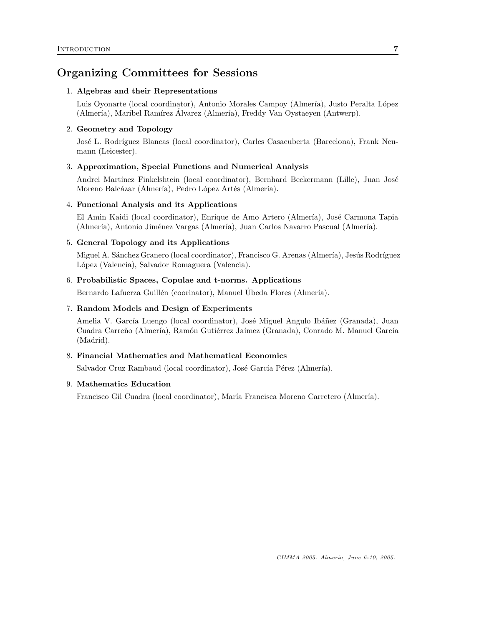# <span id="page-6-0"></span>Organizing Committees for Sessions

## 1. Algebras and their Representations

Luis Oyonarte (local coordinator), Antonio Morales Campoy (Almería), Justo Peralta López (Almería), Maribel Ramírez Álvarez (Almería), Freddy Van Oystaeyen (Antwerp).

## 2. Geometry and Topology

José L. Rodríguez Blancas (local coordinator), Carles Casacuberta (Barcelona), Frank Neumann (Leicester).

#### 3. Approximation, Special Functions and Numerical Analysis

Andrei Martínez Finkelshtein (local coordinator), Bernhard Beckermann (Lille), Juan José Moreno Balcázar (Almería), Pedro López Artés (Almería).

#### 4. Functional Analysis and its Applications

El Amin Kaidi (local coordinator), Enrique de Amo Artero (Almería), José Carmona Tapia (Almería), Antonio Jiménez Vargas (Almería), Juan Carlos Navarro Pascual (Almería).

### 5. General Topology and its Applications

Miguel A. Sánchez Granero (local coordinator), Francisco G. Arenas (Almería), Jesús Rodríguez López (Valencia), Salvador Romaguera (Valencia).

#### 6. Probabilistic Spaces, Copulae and t-norms. Applications

Bernardo Lafuerza Guillén (coorinator), Manuel Úbeda Flores (Almería).

#### 7. Random Models and Design of Experiments

Amelia V. García Luengo (local coordinator), José Miguel Angulo Ibáñez (Granada), Juan Cuadra Carreño (Almería), Ramón Gutiérrez Jaímez (Granada), Conrado M. Manuel García (Madrid).

## 8. Financial Mathematics and Mathematical Economics

Salvador Cruz Rambaud (local coordinator), José García Pérez (Almería).

## 9. Mathematics Education

Francisco Gil Cuadra (local coordinator), María Francisca Moreno Carretero (Almería).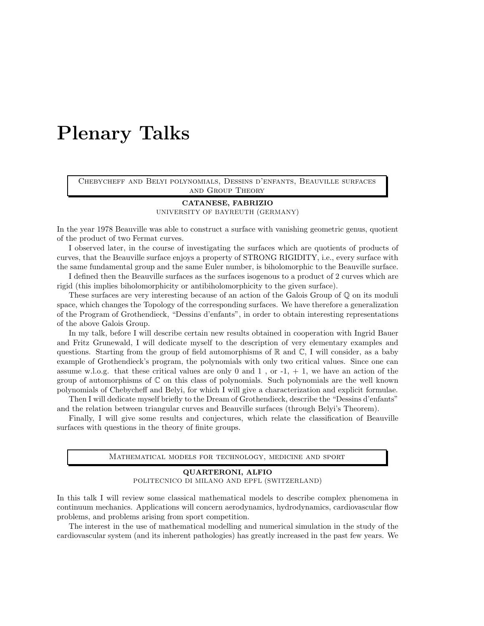# <span id="page-8-0"></span>Plenary Talks

Chebycheff and Belyi polynomials, Dessins d'enfants, Beauville surfaces and Group Theory

# CATANESE, FABRIZIO

UNIVERSITY OF BAYREUTH (GERMANY)

In the year 1978 Beauville was able to construct a surface with vanishing geometric genus, quotient of the product of two Fermat curves.

I observed later, in the course of investigating the surfaces which are quotients of products of curves, that the Beauville surface enjoys a property of STRONG RIGIDITY, i.e., every surface with the same fundamental group and the same Euler number, is biholomorphic to the Beauville surface.

I defined then the Beauville surfaces as the surfaces isogenous to a product of 2 curves which are rigid (this implies biholomorphicity or antibiholomorphicity to the given surface).

These surfaces are very interesting because of an action of the Galois Group of Q on its moduli space, which changes the Topology of the corresponding surfaces. We have therefore a generalization of the Program of Grothendieck, "Dessins d'enfants", in order to obtain interesting representations of the above Galois Group.

In my talk, before I will describe certain new results obtained in cooperation with Ingrid Bauer and Fritz Grunewald, I will dedicate myself to the description of very elementary examples and questions. Starting from the group of field automorphisms of  $\mathbb R$  and  $\mathbb C$ , I will consider, as a baby example of Grothendieck's program, the polynomials with only two critical values. Since one can assume w.l.o.g. that these critical values are only 0 and 1, or  $-1$ ,  $+1$ , we have an action of the group of automorphisms of  $\mathbb C$  on this class of polynomials. Such polynomials are the well known polynomials of Chebycheff and Belyi, for which I will give a characterization and explicit formulae.

Then I will dedicate myself briefly to the Dream of Grothendieck, describe the "Dessins d'enfants" and the relation between triangular curves and Beauville surfaces (through Belyi's Theorem).

Finally, I will give some results and conjectures, which relate the classification of Beauville surfaces with questions in the theory of finite groups.

Mathematical models for technology, medicine and sport

#### QUARTERONI, ALFIO

POLITECNICO DI MILANO AND EPFL (SWITZERLAND)

In this talk I will review some classical mathematical models to describe complex phenomena in continuum mechanics. Applications will concern aerodynamics, hydrodynamics, cardiovascular flow problems, and problems arising from sport competition.

The interest in the use of mathematical modelling and numerical simulation in the study of the cardiovascular system (and its inherent pathologies) has greatly increased in the past few years. We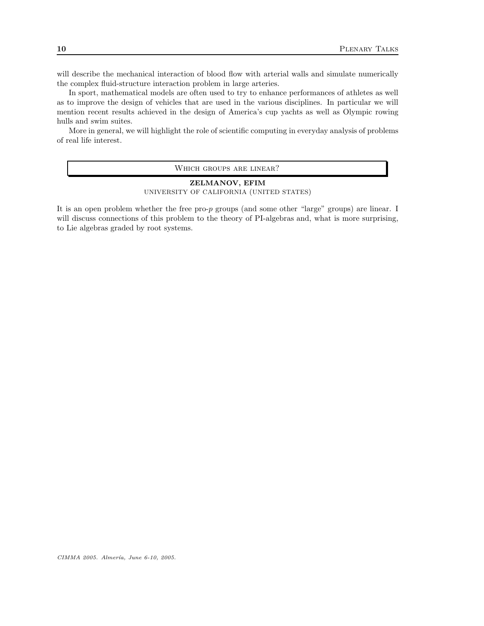will describe the mechanical interaction of blood flow with arterial walls and simulate numerically the complex fluid-structure interaction problem in large arteries.

In sport, mathematical models are often used to try to enhance performances of athletes as well as to improve the design of vehicles that are used in the various disciplines. In particular we will mention recent results achieved in the design of America's cup yachts as well as Olympic rowing hulls and swim suites.

More in general, we will highlight the role of scientific computing in everyday analysis of problems of real life interest.

WHICH GROUPS ARE LINEAR?

## ZELMANOV, EFIM UNIVERSITY OF CALIFORNIA (UNITED STATES)

It is an open problem whether the free pro-p groups (and some other "large" groups) are linear. I will discuss connections of this problem to the theory of PI-algebras and, what is more surprising, to Lie algebras graded by root systems.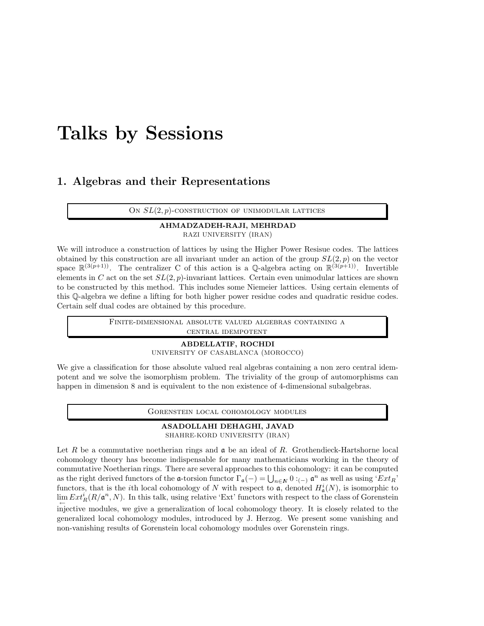# <span id="page-10-0"></span>Talks by Sessions

# <span id="page-10-1"></span>1. Algebras and their Representations

ON  $SL(2, p)$ -CONSTRUCTION OF UNIMODULAR LATTICES

# AHMADZADEH-RAJI, MEHRDAD

RAZI UNIVERSITY (IRAN)

We will introduce a construction of lattices by using the Higher Power Resisue codes. The lattices obtained by this construction are all invariant under an action of the group  $SL(2, p)$  on the vector space  $\mathbb{R}^{(3(p+1))}$ . The centralizer C of this action is a Q-algebra acting on  $\mathbb{R}^{(3(p+1))}$ . Invertible elements in C act on the set  $SL(2, p)$ -invariant lattices. Certain even unimodular lattices are shown to be constructed by this method. This includes some Niemeier lattices. Using certain elements of this Q-algebra we define a lifting for both higher power residue codes and quadratic residue codes. Certain self dual codes are obtained by this procedure.

> Finite-dimensional absolute valued algebras containing a central idempotent

## ABDELLATIF, ROCHDI

UNIVERSITY OF CASABLANCA (MOROCCO)

We give a classification for those absolute valued real algebras containing a non zero central idempotent and we solve the isomorphism problem. The triviality of the group of automorphisms can happen in dimension 8 and is equivalent to the non existence of 4-dimensional subalgebras.

Gorenstein local cohomology modules

#### ASADOLLAHI DEHAGHI, JAVAD SHAHRE-KORD UNIVERSITY (IRAN)

Let R be a commutative noetherian rings and  $\mathfrak a$  be an ideal of R. Grothendieck-Hartshorne local cohomology theory has become indispensable for many mathematicians working in the theory of commutative Noetherian rings. There are several approaches to this cohomology: it can be computed as the right derived functors of the **a**-torsion functor  $\Gamma_{\mathfrak{a}}(-) = \bigcup_{n \in N} 0 :_{(-)} \mathfrak{a}^n$  as well as using ' $Ext_R$ ' functors, that is the *i*th local cohomology of N with respect to  $\mathfrak{a}$ , denoted  $H_{\mathfrak{a}}^{i}(N)$ , is isomorphic to  $\lim_{n \to \infty} Ext_R^i(R/\mathfrak{a}^n, N)$ . In this talk, using relative 'Ext' functors with respect to the class of Gorenstein injective modules, we give a generalization of local cohomology theory. It is closely related to the generalized local cohomology modules, introduced by J. Herzog. We present some vanishing and non-vanishing results of Gorenstein local cohomology modules over Gorenstein rings.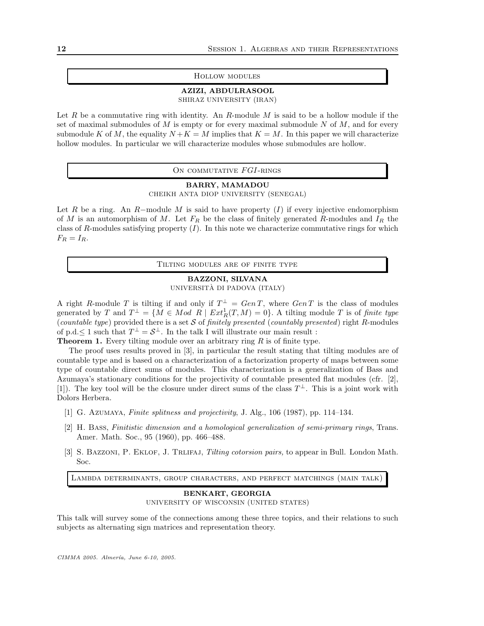#### Hollow modules

#### AZIZI, ABDULRASOOL SHIRAZ UNIVERSITY (IRAN)

Let R be a commutative ring with identity. An R-module M is said to be a hollow module if the set of maximal submodules of  $M$  is empty or for every maximal submodule  $N$  of  $M$ , and for every submodule K of M, the equality  $N + K = M$  implies that  $K = M$ . In this paper we will characterize hollow modules. In particular we will characterize modules whose submodules are hollow.

ON COMMUTATIVE FGI-RINGS

## BARRY, MAMADOU

CHEIKH ANTA DIOP UNIVERSITY (SENEGAL)

Let R be a ring. An R–module M is said to have property  $(I)$  if every injective endomorphism of M is an automorphism of M. Let  $F_R$  be the class of finitely generated R-modules and  $I_R$  the class of  $R$ -modules satisfying property  $(I)$ . In this note we characterize commutative rings for which  $F_R = I_R$ .

Tilting modules are of finite type

## BAZZONI, SILVANA UNIVERSITÀ DI PADOVA (ITALY)

A right R-module T is tilting if and only if  $T^{\perp} = GenT$ , where  $GenT$  is the class of modules generated by T and  $T^{\perp} = \{M \in Mod \; R \; | \; Ext_R^1(T, M) = 0\}$ . A tilting module T is of finite type (countable type) provided there is a set  $S$  of finitely presented (countably presented) right R-modules of p.d. $\leq 1$  such that  $T^{\perp} = \mathcal{S}^{\perp}$ . In the talk I will illustrate our main result :

**Theorem 1.** Every tilting module over an arbitrary ring  $R$  is of finite type.

The proof uses results proved in [3], in particular the result stating that tilting modules are of countable type and is based on a characterization of a factorization property of maps between some type of countable direct sums of modules. This characterization is a generalization of Bass and Azumaya's stationary conditions for the projectivity of countable presented flat modules (cfr. [2], [1]). The key tool will be the closure under direct sums of the class  $T^{\perp}$ . This is a joint work with Dolors Herbera.

- [1] G. Azumaya, Finite splitness and projectivity, J. Alg., 106 (1987), pp. 114–134.
- [2] H. Bass, Finitistic dimension and a homological generalization of semi-primary rings, Trans. Amer. Math. Soc., 95 (1960), pp. 466–488.
- [3] S. BAZZONI, P. EKLOF, J. TRLIFAJ, Tilting cotorsion pairs, to appear in Bull. London Math. Soc.

Lambda determinants, group characters, and perfect matchings (main talk)

## BENKART, GEORGIA UNIVERSITY OF WISCONSIN (UNITED STATES)

This talk will survey some of the connections among these three topics, and their relations to such subjects as alternating sign matrices and representation theory.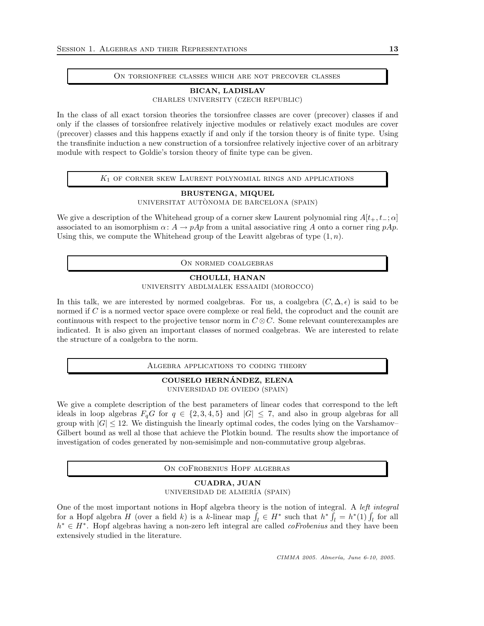#### On torsionfree classes which are not precover classes

## BICAN, LADISLAV

CHARLES UNIVERSITY (CZECH REPUBLIC)

In the class of all exact torsion theories the torsionfree classes are cover (precover) classes if and only if the classes of torsionfree relatively injective modules or relatively exact modules are cover (precover) classes and this happens exactly if and only if the torsion theory is of finite type. Using the transfinite induction a new construction of a torsionfree relatively injective cover of an arbitrary module with respect to Goldie's torsion theory of finite type can be given.

#### $K_1$  of corner skew Laurent polynomial rings and applications

### BRUSTENGA, MIQUEL UNIVERSITAT AUTÒNOMA DE BARCELONA (SPAIN)

We give a description of the Whitehead group of a corner skew Laurent polynomial ring  $A[t_+, t_-; \alpha]$ associated to an isomorphism  $\alpha: A \to pAp$  from a unital associative ring A onto a corner ring  $pAp$ . Using this, we compute the Whitehead group of the Leavitt algebras of type  $(1, n)$ .

ON NORMED COALGEBRAS

#### CHOULLI, HANAN

UNIVERSITY ABDLMALEK ESSAAIDI (MOROCCO)

In this talk, we are interested by normed coalgebras. For us, a coalgebra  $(C, \Delta, \epsilon)$  is said to be normed if  $C$  is a normed vector space overe complexe or real field, the coproduct and the counit are continuous with respect to the projective tensor norm in  $C \otimes C$ . Some relevant counterexamples are indicated. It is also given an important classes of normed coalgebras. We are interested to relate the structure of a coalgebra to the norm.

Algebra applications to coding theory

## COUSELO HERNANDEZ, ELENA ´

UNIVERSIDAD DE OVIEDO (SPAIN)

We give a complete description of the best parameters of linear codes that correspond to the left ideals in loop algebras  $F_qG$  for  $q \in \{2, 3, 4, 5\}$  and  $|G| \leq 7$ , and also in group algebras for all group with  $|G| \leq 12$ . We distinguish the linearly optimal codes, the codes lying on the Varshamov– Gilbert bound as well al those that achieve the Plotkin bound. The results show the importance of investigation of codes generated by non-semisimple and non-commutative group algebras.

On coFrobenius Hopf algebras

## CUADRA, JUAN UNIVERSIDAD DE ALMER´IA (SPAIN)

One of the most important notions in Hopf algebra theory is the notion of integral. A left integral for a Hopf algebra H (over a field k) is a k-linear map  $\int_l \in H^*$  such that  $h^* \int_l = h^*(1) \int_l$  for all h<sup>\*</sup> ∈ H<sup>\*</sup>. Hopf algebras having a non-zero left integral are called *coFrobenius* and they have been extensively studied in the literature.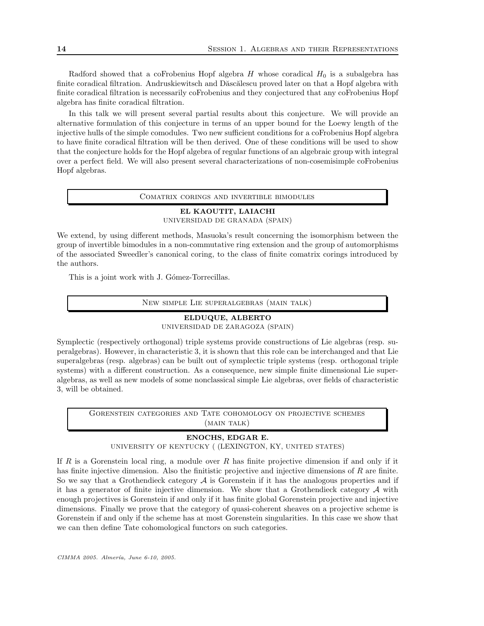Radford showed that a coFrobenius Hopf algebra  $H$  whose coradical  $H_0$  is a subalgebra has finite coradical filtration. Andruskiewitsch and Dăscălescu proved later on that a Hopf algebra with finite coradical filtration is necessarily coFrobenius and they conjectured that any coFrobenius Hopf algebra has finite coradical filtration.

In this talk we will present several partial results about this conjecture. We will provide an alternative formulation of this conjecture in terms of an upper bound for the Loewy length of the injective hulls of the simple comodules. Two new sufficient conditions for a coFrobenius Hopf algebra to have finite coradical filtration will be then derived. One of these conditions will be used to show that the conjecture holds for the Hopf algebra of regular functions of an algebraic group with integral over a perfect field. We will also present several characterizations of non-cosemisimple coFrobenius Hopf algebras.

#### Comatrix corings and invertible bimodules

#### EL KAOUTIT, LAIACHI UNIVERSIDAD DE GRANADA (SPAIN)

We extend, by using different methods, Masuoka's result concerning the isomorphism between the group of invertible bimodules in a non-commutative ring extension and the group of automorphisms of the associated Sweedler's canonical coring, to the class of finite comatrix corings introduced by the authors.

This is a joint work with J. Gómez-Torrecillas.

New simple Lie superalgebras (main talk)

## ELDUQUE, ALBERTO

UNIVERSIDAD DE ZARAGOZA (SPAIN)

Symplectic (respectively orthogonal) triple systems provide constructions of Lie algebras (resp. superalgebras). However, in characteristic 3, it is shown that this role can be interchanged and that Lie superalgebras (resp. algebras) can be built out of symplectic triple systems (resp. orthogonal triple systems) with a different construction. As a consequence, new simple finite dimensional Lie superalgebras, as well as new models of some nonclassical simple Lie algebras, over fields of characteristic 3, will be obtained.

Gorenstein categories and Tate cohomology on projective schemes (MAIN TALK)

## ENOCHS, EDGAR E.

UNIVERSITY OF KENTUCKY ( (LEXINGTON, KY, UNITED STATES)

If R is a Gorenstein local ring, a module over R has finite projective dimension if and only if it has finite injective dimension. Also the finitistic projective and injective dimensions of R are finite. So we say that a Grothendieck category  $A$  is Gorenstein if it has the analogous properties and if it has a generator of finite injective dimension. We show that a Grothendieck category  $A$  with enough projectives is Gorenstein if and only if it has finite global Gorenstein projective and injective dimensions. Finally we prove that the category of quasi-coherent sheaves on a projective scheme is Gorenstein if and only if the scheme has at most Gorenstein singularities. In this case we show that we can then define Tate cohomological functors on such categories.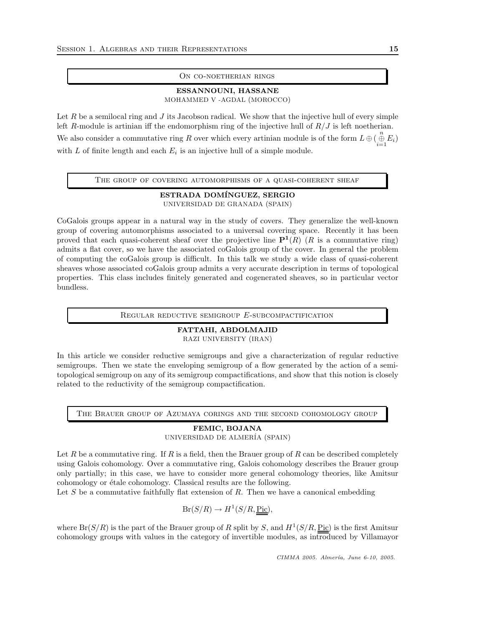#### On co-noetherian rings

## ESSANNOUNI, HASSANE

MOHAMMED V -AGDAL (MOROCCO)

Let R be a semilocal ring and  $J$  its Jacobson radical. We show that the injective hull of every simple left R-module is artinian iff the endomorphism ring of the injective hull of  $R/J$  is left noetherian. We also consider a commutative ring R over which every artinian module is of the form  $L \oplus (\bigoplus_{i=1}^{n} E_i)$ with  $L$  of finite length and each  $E_i$  is an injective hull of a simple module.

## THE GROUP OF COVERING AUTOMORPHISMS OF A QUASI-COHERENT SHEAF

ESTRADA DOMÍNGUEZ, SERGIO UNIVERSIDAD DE GRANADA (SPAIN)

CoGalois groups appear in a natural way in the study of covers. They generalize the well-known group of covering automorphisms associated to a universal covering space. Recently it has been proved that each quasi-coherent sheaf over the projective line  $\mathbf{P}^1(R)$  (R is a commutative ring) admits a flat cover, so we have the associated coGalois group of the cover. In general the problem of computing the coGalois group is difficult. In this talk we study a wide class of quasi-coherent sheaves whose associated coGalois group admits a very accurate description in terms of topological properties. This class includes finitely generated and cogenerated sheaves, so in particular vector bundless.

REGULAR REDUCTIVE SEMIGROUP  $E$ -SUBCOMPACTIFICATION

#### FATTAHI, ABDOLMAJID RAZI UNIVERSITY (IRAN)

In this article we consider reductive semigroups and give a characterization of regular reductive semigroups. Then we state the enveloping semigroup of a flow generated by the action of a semitopological semigroup on any of its semigroup compactifications, and show that this notion is closely related to the reductivity of the semigroup compactification.

The Brauer group of Azumaya corings and the second cohomology group

## FEMIC, BOJANA

UNIVERSIDAD DE ALMER´IA (SPAIN)

Let R be a commutative ring. If R is a field, then the Brauer group of R can be described completely using Galois cohomology. Over a commutative ring, Galois cohomology describes the Brauer group only partially; in this case, we have to consider more general cohomology theories, like Amitsur cohomology or étale cohomology. Classical results are the following.

Let  $S$  be a commutative faithfully flat extension of  $R$ . Then we have a canonical embedding

 $Br(S/R) \rightarrow H^1(S/R, \underline{Pic}),$ 

where  $Br(S/R)$  is the part of the Brauer group of R split by S, and  $H^1(S/R, \underline{Pic})$  is the first Amitsur cohomology groups with values in the category of invertible modules, as introduced by Villamayor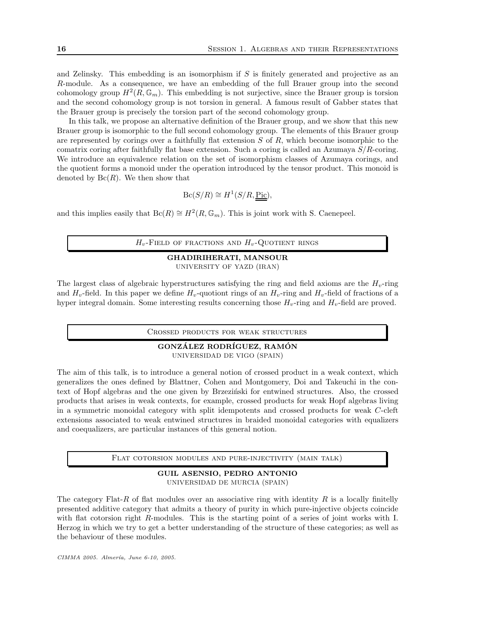and Zelinsky. This embedding is an isomorphism if S is finitely generated and projective as an R-module. As a consequence, we have an embedding of the full Brauer group into the second cohomology group  $H^2(R, \mathbb{G}_m)$ . This embedding is not surjective, since the Brauer group is torsion and the second cohomology group is not torsion in general. A famous result of Gabber states that the Brauer group is precisely the torsion part of the second cohomology group.

In this talk, we propose an alternative definition of the Brauer group, and we show that this new Brauer group is isomorphic to the full second cohomology group. The elements of this Brauer group are represented by corings over a faithfully flat extension  $S$  of  $R$ , which become isomorphic to the comatrix coring after faithfully flat base extension. Such a coring is called an Azumaya  $S/R$ -coring. We introduce an equivalence relation on the set of isomorphism classes of Azumaya corings, and the quotient forms a monoid under the operation introduced by the tensor product. This monoid is denoted by  $\text{Bc}(R)$ . We then show that

 $\operatorname{Bc}(S/R) \cong H^1(S/R, \underline{\operatorname{Pic}}),$ 

and this implies easily that  $\text{Bc}(R) \cong H^2(R, \mathbb{G}_m)$ . This is joint work with S. Caenepeel.

 $H_v$ -Field of fractions and  $H_v$ -Quotient rings

### GHADIRIHERATI, MANSOUR UNIVERSITY OF YAZD (IRAN)

The largest class of algebraic hyperstructures satisfying the ring and field axioms are the  $H<sub>v</sub>$ -ring and  $H_v$ -field. In this paper we define  $H_v$ -quotiont rings of an  $H_v$ -ring and  $H_v$ -field of fractions of a hyper integral domain. Some interesting results concerning those  $H_v$ -ring and  $H_v$ -field are proved.

Crossed products for weak structures

### GONZÁLEZ RODRÍGUEZ, RAMÓN UNIVERSIDAD DE VIGO (SPAIN)

The aim of this talk, is to introduce a general notion of crossed product in a weak context, which generalizes the ones defined by Blattner, Cohen and Montgomery, Doi and Takeuchi in the context of Hopf algebras and the one given by Brzeziński for entwined structures. Also, the crossed products that arises in weak contexts, for example, crossed products for weak Hopf algebras living in a symmetric monoidal category with split idempotents and crossed products for weak C-cleft extensions associated to weak entwined structures in braided monoidal categories with equalizers and coequalizers, are particular instances of this general notion.

Flat cotorsion modules and pure-injectivity (main talk)

## GUIL ASENSIO, PEDRO ANTONIO UNIVERSIDAD DE MURCIA (SPAIN)

The category Flat-R of flat modules over an associative ring with identity R is a locally finitelly presented additive category that admits a theory of purity in which pure-injective objects coincide with flat cotorsion right R-modules. This is the starting point of a series of joint works with I. Herzog in which we try to get a better understanding of the structure of these categories; as well as the behaviour of these modules.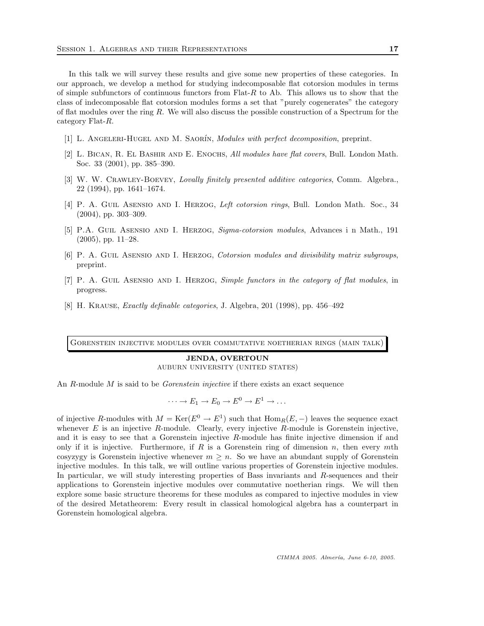In this talk we will survey these results and give some new properties of these categories. In our approach, we develop a method for studying indecomposable flat cotorsion modules in terms of simple subfunctors of continuous functors from  $Flat-R$  to Ab. This allows us to show that the class of indecomposable flat cotorsion modules forms a set that "purely cogenerates" the category of flat modules over the ring  $R$ . We will also discuss the possible construction of a Spectrum for the category Flat-R.

- [1] L. ANGELERI-HUGEL AND M. SAORÍN, Modules with perfect decomposition, preprint.
- [2] L. Bican, R. El Bashir and E. Enochs, All modules have flat covers, Bull. London Math. Soc. 33 (2001), pp. 385–390.
- [3] W. W. CRAWLEY-BOEVEY, Lovally finitely presented additive categories, Comm. Algebra., 22 (1994), pp. 1641–1674.
- [4] P. A. GUIL ASENSIO AND I. HERZOG, Left cotorsion rings, Bull. London Math. Soc., 34 (2004), pp. 303–309.
- [5] P.A. GUIL ASENSIO AND I. HERZOG, Sigma-cotorsion modules, Advances i n Math., 191 (2005), pp. 11–28.
- [6] P. A. GUIL ASENSIO AND I. HERZOG, *Cotorsion modules and divisibility matrix subgroups*, preprint.
- [7] P. A. GUIL ASENSIO AND I. HERZOG, Simple functors in the category of flat modules, in progress.
- [8] H. KRAUSE, *Exactly definable categories*, J. Algebra, 201 (1998), pp.  $456-492$

Gorenstein injective modules over commutative noetherian rings (main talk)

JENDA, OVERTOUN AUBURN UNIVERSITY (UNITED STATES)

An  $R$ -module  $M$  is said to be *Gorenstein injective* if there exists an exact sequence

$$
\cdots \to E_1 \to E_0 \to E^0 \to E^1 \to \ldots
$$

of injective R-modules with  $M = \text{Ker}(E^0 \to E^1)$  such that  $\text{Hom}_R(E, -)$  leaves the sequence exact whenever  $E$  is an injective  $R$ -module. Clearly, every injective  $R$ -module is Gorenstein injective, and it is easy to see that a Gorenstein injective R-module has finite injective dimension if and only if it is injective. Furthermore, if  $R$  is a Gorenstein ring of dimension  $n$ , then every mth cosyzygy is Gorenstein injective whenever  $m \geq n$ . So we have an abundant supply of Gorenstein injective modules. In this talk, we will outline various properties of Gorenstein injective modules. In particular, we will study interesting properties of Bass invariants and R-sequences and their applications to Gorenstein injective modules over commutative noetherian rings. We will then explore some basic structure theorems for these modules as compared to injective modules in view of the desired Metatheorem: Every result in classical homological algebra has a counterpart in Gorenstein homological algebra.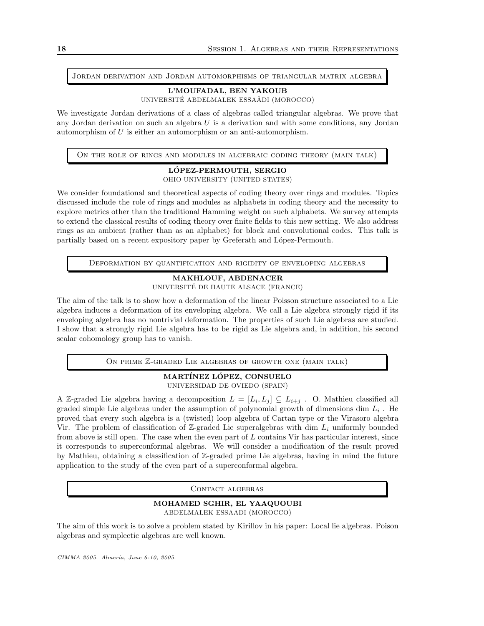Jordan derivation and Jordan automorphisms of triangular matrix algebra

#### L'MOUFADAL, BEN YAKOUB UNIVERSITÉ ABDELMALEK ESSAÂDI (MOROCCO)

We investigate Jordan derivations of a class of algebras called triangular algebras. We prove that any Jordan derivation on such an algebra U is a derivation and with some conditions, any Jordan automorphism of U is either an automorphism or an anti-automorphism.

On the role of rings and modules in algebraic coding theory (main talk)

## LOPEZ-PERMOUTH, SERGIO ´

OHIO UNIVERSITY (UNITED STATES)

We consider foundational and theoretical aspects of coding theory over rings and modules. Topics discussed include the role of rings and modules as alphabets in coding theory and the necessity to explore metrics other than the traditional Hamming weight on such alphabets. We survey attempts to extend the classical results of coding theory over finite fields to this new setting. We also address rings as an ambient (rather than as an alphabet) for block and convolutional codes. This talk is partially based on a recent expository paper by Greferath and López-Permouth.

Deformation by quantification and rigidity of enveloping algebras

# MAKHLOUF, ABDENACER

UNIVERSITÉ DE HAUTE ALSACE (FRANCE)

The aim of the talk is to show how a deformation of the linear Poisson structure associated to a Lie algebra induces a deformation of its enveloping algebra. We call a Lie algebra strongly rigid if its enveloping algebra has no nontrivial deformation. The properties of such Lie algebras are studied. I show that a strongly rigid Lie algebra has to be rigid as Lie algebra and, in addition, his second scalar cohomology group has to vanish.

ON PRIME Z-GRADED LIE ALGEBRAS OF GROWTH ONE (MAIN TALK)

#### MARTÍNEZ LÓPEZ, CONSUELO UNIVERSIDAD DE OVIEDO (SPAIN)

A Z-graded Lie algebra having a decomposition  $L = [L_i, L_j] \subseteq L_{i+j}$ . O. Mathieu classified all graded simple Lie algebras under the assumption of polynomial growth of dimensions dim  $L_i$ . He proved that every such algebra is a (twisted) loop algebra of Cartan type or the Virasoro algebra Vir. The problem of classification of Z-graded Lie superalgebras with dim  $L_i$  uniformly bounded from above is still open. The case when the even part of  $L$  contains Vir has particular interest, since it corresponds to superconformal algebras. We will consider a modification of the result proved by Mathieu, obtaining a classification of Z-graded prime Lie algebras, having in mind the future application to the study of the even part of a superconformal algebra.

CONTACT ALGEBRAS

#### MOHAMED SGHIR, EL YAAQUOUBI ABDELMALEK ESSAADI (MOROCCO)

The aim of this work is to solve a problem stated by Kirillov in his paper: Local lie algebras. Poison algebras and symplectic algebras are well known.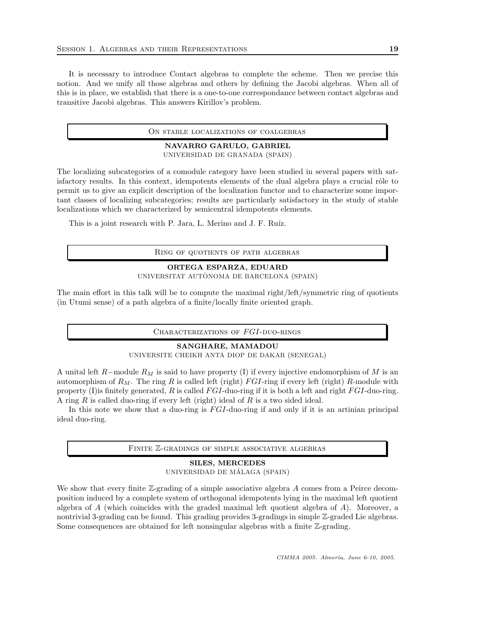It is necessary to introduce Contact algebras to complete the scheme. Then we precise this notion. And we unify all those algebras and others by defining the Jacobi algebras. When all of this is in place, we establish that there is a one-to-one correspondance between contact algebras and transitive Jacobi algebras. This answers Kirillov's problem.

On stable localizations of coalgebras

#### NAVARRO GARULO, GABRIEL UNIVERSIDAD DE GRANADA (SPAIN)

The localizing subcategories of a comodule category have been studied in several papers with satisfactory results. In this context, idempotents elements of the dual algebra plays a crucial rôle to permit us to give an explicit description of the localization functor and to characterize some important classes of localizing subcategories; results are particularly satisfactory in the study of stable localizations which we characterized by semicentral idempotents elements.

This is a joint research with P. Jara, L. Merino and J. F. Ruíz.

Ring of quotients of path algebras

## ORTEGA ESPARZA, EDUARD UNIVERSITAT AUTÒNOMA DE BARCELONA (SPAIN)

The main effort in this talk will be to compute the maximal right/left/symmetric ring of quotients (in Utumi sense) of a path algebra of a finite/locally finite oriented graph.

Characterizations of FGI-duo-rings

## SANGHARE, MAMADOU

UNIVERSITE CHEIKH ANTA DIOP DE DAKAR (SENEGAL)

A unital left R-module  $R_M$  is said to have property (I) if every injective endomorphism of M is an automorphism of  $R_M$ . The ring R is called left (right) FGI-ring if every left (right) R-module with property (I) is finitely generated, R is called  $FGI$ -duo-ring if it is both a left and right  $FGI$ -duo-ring. A ring  $R$  is called duo-ring if every left (right) ideal of  $R$  is a two sided ideal.

In this note we show that a duo-ring is  $FGI$ -duo-ring if and only if it is an artinian principal ideal duo-ring.

Finite Z-gradings of simple associative algebras

#### SILES, MERCEDES UNIVERSIDAD DE MÁLAGA (SPAIN)

We show that every finite  $\mathbb{Z}$ -grading of a simple associative algebra A comes from a Peirce decomposition induced by a complete system of orthogonal idempotents lying in the maximal left quotient algebra of  $A$  (which coincides with the graded maximal left quotient algebra of  $A$ ). Moreover, a nontrivial 3-grading can be found. This grading provides 3-gradings in simple Z-graded Lie algebras. Some consequences are obtained for left nonsingular algebras with a finite Z-grading.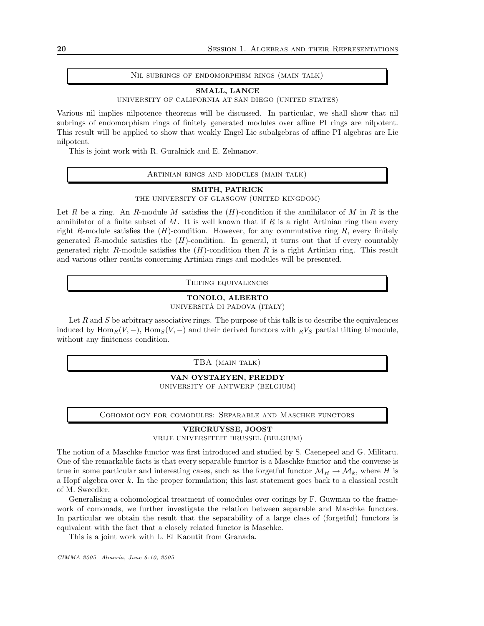#### Nil subrings of endomorphism rings (main talk)

#### SMALL, LANCE

UNIVERSITY OF CALIFORNIA AT SAN DIEGO (UNITED STATES)

Various nil implies nilpotence theorems will be discussed. In particular, we shall show that nil subrings of endomorphism rings of finitely generated modules over affine PI rings are nilpotent. This result will be applied to show that weakly Engel Lie subalgebras of affine PI algebras are Lie nilpotent.

This is joint work with R. Guralnick and E. Zelmanov.

#### Artinian rings and modules (main talk)

#### SMITH, PATRICK

THE UNIVERSITY OF GLASGOW (UNITED KINGDOM)

Let R be a ring. An R-module M satisfies the  $(H)$ -condition if the annihilator of M in R is the annihilator of a finite subset of  $M$ . It is well known that if  $R$  is a right Artinian ring then every right R-module satisfies the  $(H)$ -condition. However, for any commutative ring R, every finitely generated R-module satisfies the  $(H)$ -condition. In general, it turns out that if every countably generated right R-module satisfies the  $(H)$ -condition then R is a right Artinian ring. This result and various other results concerning Artinian rings and modules will be presented.

Tilting equivalences

# TONOLO, ALBERTO

UNIVERSITÀ DI PADOVA (ITALY)

Let  $R$  and  $S$  be arbitrary associative rings. The purpose of this talk is to describe the equivalences induced by  $\text{Hom}_R(V, -)$ ,  $\text{Hom}_S(V, -)$  and their derived functors with  $_R V_S$  partial tilting bimodule, without any finiteness condition.

TBA (MAIN TALK)

VAN OYSTAEYEN, FREDDY UNIVERSITY OF ANTWERP (BELGIUM)

Cohomology for comodules: Separable and Maschke functors

### VERCRUYSSE, JOOST

VRIJE UNIVERSITEIT BRUSSEL (BELGIUM)

The notion of a Maschke functor was first introduced and studied by S. Caenepeel and G. Militaru. One of the remarkable facts is that every separable functor is a Maschke functor and the converse is true in some particular and interesting cases, such as the forgetful functor  $\mathcal{M}_H \to \mathcal{M}_k$ , where H is a Hopf algebra over k. In the proper formulation; this last statement goes back to a classical result of M. Sweedler.

Generalising a cohomological treatment of comodules over corings by F. Guwman to the framework of comonads, we further investigate the relation between separable and Maschke functors. In particular we obtain the result that the separability of a large class of (forgetful) functors is equivalent with the fact that a closely related functor is Maschke.

This is a joint work with L. El Kaoutit from Granada.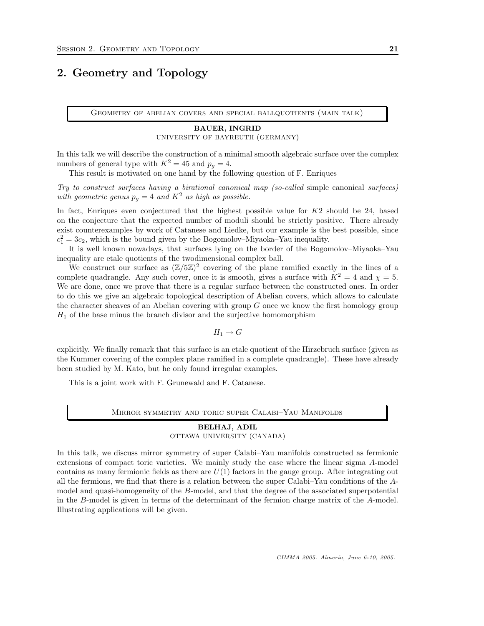# <span id="page-20-0"></span>2. Geometry and Topology

Geometry of abelian covers and special ballquotients (main talk)

## BAUER, INGRID UNIVERSITY OF BAYREUTH (GERMANY)

In this talk we will describe the construction of a minimal smooth algebraic surface over the complex numbers of general type with  $K^2 = 45$  and  $p_q = 4$ .

This result is motivated on one hand by the following question of F. Enriques

Try to construct surfaces having a birational canonical map (so-called simple canonical surfaces) with geometric genus  $p_q = 4$  and  $K^2$  as high as possible.

In fact, Enriques even conjectured that the highest possible value for  $K2$  should be 24, based on the conjecture that the expected number of moduli should be strictly positive. There already exist counterexamples by work of Catanese and Liedke, but our example is the best possible, since  $c_1^2 = 3c_2$ , which is the bound given by the Bogomolov–Miyaoka–Yau inequality.

It is well known nowadays, that surfaces lying on the border of the Bogomolov–Miyaoka–Yau inequality are etale quotients of the twodimensional complex ball.

We construct our surface as  $(\mathbb{Z}/5\mathbb{Z})^2$  covering of the plane ramified exactly in the lines of a complete quadrangle. Any such cover, once it is smooth, gives a surface with  $K^2 = 4$  and  $\chi = 5$ . We are done, once we prove that there is a regular surface between the constructed ones. In order to do this we give an algebraic topological description of Abelian covers, which allows to calculate the character sheaves of an Abelian covering with group  $G$  once we know the first homology group  $H_1$  of the base minus the branch divisor and the surjective homomorphism

 $H_1 \to G$ 

explicitly. We finally remark that this surface is an etale quotient of the Hirzebruch surface (given as the Kummer covering of the complex plane ramified in a complete quadrangle). These have already been studied by M. Kato, but he only found irregular examples.

This is a joint work with F. Grunewald and F. Catanese.

Mirror symmetry and toric super Calabi–Yau Manifolds

#### BELHAJ, ADIL OTTAWA UNIVERSITY (CANADA)

In this talk, we discuss mirror symmetry of super Calabi–Yau manifolds constructed as fermionic extensions of compact toric varieties. We mainly study the case where the linear sigma A-model contains as many fermionic fields as there are  $U(1)$  factors in the gauge group. After integrating out all the fermions, we find that there is a relation between the super Calabi–Yau conditions of the Amodel and quasi-homogeneity of the B-model, and that the degree of the associated superpotential in the B-model is given in terms of the determinant of the fermion charge matrix of the A-model. Illustrating applications will be given.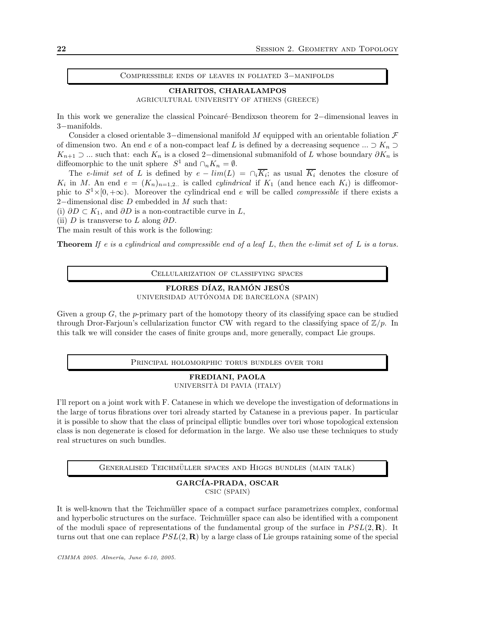Compressible ends of leaves in foliated 3−manifolds

CHARITOS, CHARALAMPOS AGRICULTURAL UNIVERSITY OF ATHENS (GREECE)

In this work we generalize the classical Poincar´e–Bendixson theorem for 2−dimensional leaves in 3−manifolds.

Consider a closed orientable 3-dimensional manifold M equipped with an orientable foliation  $\mathcal F$ of dimension two. An end e of a non-compact leaf L is defined by a decreasing sequence ...  $\supset K_n \supset$  $K_{n+1}$  ⊃ ... such that: each  $K_n$  is a closed 2–dimensional submanifold of L whose boundary  $\partial K_n$  is diffeomorphic to the unit sphere  $S^1$  and  $\cap_n K_n = \emptyset$ .

The e-limit set of L is defined by  $e - \lim(L) = \bigcap_i K_i$ ; as usual  $K_i$  denotes the closure of  $K_i$  in M. An end  $e = (K_n)_{n=1,2...}$  is called *cylindrical* if  $K_1$  (and hence each  $K_i$ ) is diffeomorphic to  $S^1 \times [0, +\infty)$ . Moreover the cylindrical end e will be called *compressible* if there exists a 2−dimensional disc D embedded in M such that:

(i)  $\partial D \subset K_1$ , and  $\partial D$  is a non-contractible curve in L,

(ii) D is transverse to L along  $\partial D$ .

The main result of this work is the following:

**Theorem** If e is a cylindrical and compressible end of a leaf  $L$ , then the e-limit set of  $L$  is a torus.

Cellularization of classifying spaces

## FLORES DÍAZ, RAMÓN JESÚS

UNIVERSIDAD AUTÓNOMA DE BARCELONA (SPAIN)

Given a group  $G$ , the p-primary part of the homotopy theory of its classifying space can be studied through Dror-Farjoun's cellularization functor CW with regard to the classifying space of  $\mathbb{Z}/p$ . In this talk we will consider the cases of finite groups and, more generally, compact Lie groups.

Principal holomorphic torus bundles over tori

### FREDIANI, PAOLA UNIVERSITÀ DI PAVIA (ITALY)

I'll report on a joint work with F. Catanese in which we develope the investigation of deformations in the large of torus fibrations over tori already started by Catanese in a previous paper. In particular it is possible to show that the class of principal elliptic bundles over tori whose topological extension class is non degenerate is closed for deformation in the large. We also use these techniques to study real structures on such bundles.

GENERALISED TEICHMÜLLER SPACES AND HIGGS BUNDLES (MAIN TALK)

#### GARCÍA-PRADA, OSCAR CSIC (SPAIN)

It is well-known that the Teichmüller space of a compact surface parametrizes complex, conformal and hyperbolic structures on the surface. Teichmüller space can also be identified with a component of the moduli space of representations of the fundamental group of the surface in  $PSL(2,\mathbf{R})$ . It turns out that one can replace  $PSL(2, \mathbf{R})$  by a large class of Lie groups rataining some of the special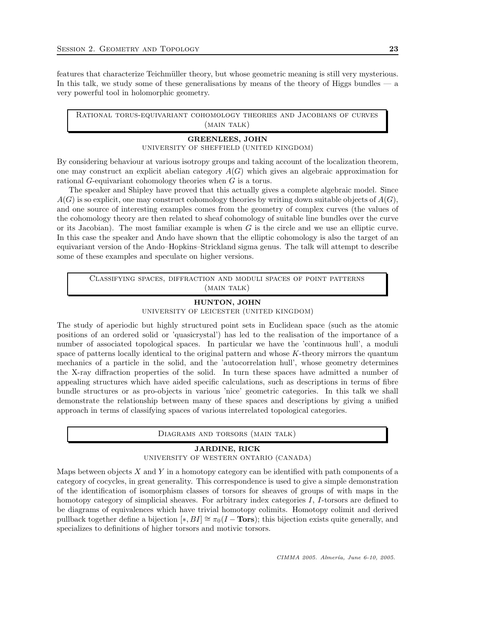features that characterize Teichmüller theory, but whose geometric meaning is still very mysterious. In this talk, we study some of these generalisations by means of the theory of Higgs bundles  $\frac{1}{2}$ very powerful tool in holomorphic geometry.

Rational torus-equivariant cohomology theories and Jacobians of curves (MAIN TALK)

## GREENLEES, JOHN

UNIVERSITY OF SHEFFIELD (UNITED KINGDOM)

By considering behaviour at various isotropy groups and taking account of the localization theorem, one may construct an explicit abelian category  $A(G)$  which gives an algebraic approximation for rational G-equivariant cohomology theories when G is a torus.

The speaker and Shipley have proved that this actually gives a complete algebraic model. Since  $A(G)$  is so explicit, one may construct cohomology theories by writing down suitable objects of  $A(G)$ , and one source of interesting examples comes from the geometry of complex curves (the values of the cohomology theory are then related to sheaf cohomology of suitable line bundles over the curve or its Jacobian). The most familiar example is when  $G$  is the circle and we use an elliptic curve. In this case the speaker and Ando have shown that the elliptic cohomology is also the target of an equivariant version of the Ando–Hopkins–Strickland sigma genus. The talk will attempt to describe some of these examples and speculate on higher versions.

Classifying spaces, diffraction and moduli spaces of point patterns (MAIN TALK)

#### HUNTON, JOHN

UNIVERSITY OF LEICESTER (UNITED KINGDOM)

The study of aperiodic but highly structured point sets in Euclidean space (such as the atomic positions of an ordered solid or 'quasicrystal') has led to the realisation of the importance of a number of associated topological spaces. In particular we have the 'continuous hull', a moduli space of patterns locally identical to the original pattern and whose K-theory mirrors the quantum mechanics of a particle in the solid, and the 'autocorrelation hull', whose geometry determines the X-ray diffraction properties of the solid. In turn these spaces have admitted a number of appealing structures which have aided specific calculations, such as descriptions in terms of fibre bundle structures or as pro-objects in various 'nice' geometric categories. In this talk we shall demonstrate the relationship between many of these spaces and descriptions by giving a unified approach in terms of classifying spaces of various interrelated topological categories.

Diagrams and torsors (main talk)

#### JARDINE, RICK

UNIVERSITY OF WESTERN ONTARIO (CANADA)

Maps between objects  $X$  and  $Y$  in a homotopy category can be identified with path components of a category of cocycles, in great generality. This correspondence is used to give a simple demonstration of the identification of isomorphism classes of torsors for sheaves of groups of with maps in the homotopy category of simplicial sheaves. For arbitrary index categories I, I-torsors are defined to be diagrams of equivalences which have trivial homotopy colimits. Homotopy colimit and derived pullback together define a bijection  $[*, BI] \cong \pi_0(I - Tors)$ ; this bijection exists quite generally, and specializes to definitions of higher torsors and motivic torsors.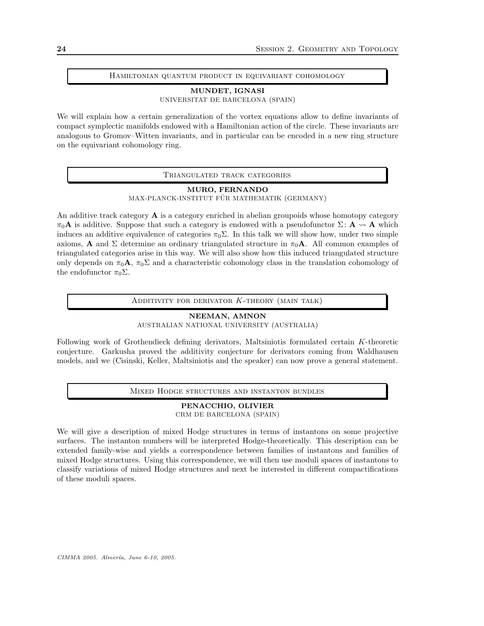#### Hamiltonian quantum product in equivariant cohomology

#### MUNDET, IGNASI

UNIVERSITAT DE BARCELONA (SPAIN)

We will explain how a certain generalization of the vortex equations allow to define invariants of compact symplectic manifolds endowed with a Hamiltonian action of the circle. These invariants are analogous to Gromov–Witten invariants, and in particular can be encoded in a new ring structure on the equivariant cohomology ring.

Triangulated track categories

### MURO, FERNANDO MAX-PLANCK-INSTITUT FÜR MATHEMATIK (GERMANY)

An additive track category  $A$  is a category enriched in abelian groupoids whose homotopy category  $\pi_0\mathbf{A}$  is additive. Suppose that such a category is endowed with a pseudofunctor  $\Sigma: \mathbf{A} \leadsto \mathbf{A}$  which induces an additive equivalence of categories  $\pi_0 \Sigma$ . In this talk we will show how, under two simple axioms, **A** and  $\Sigma$  determine an ordinary triangulated structure in  $\pi_0$ **A**. All common examples of triangulated categories arise in this way. We will also show how this induced triangulated structure only depends on  $\pi_0\mathbf{A}$ ,  $\pi_0\Sigma$  and a characteristic cohomology class in the translation cohomology of the endofunctor  $\pi_0 \Sigma$ .

ADDITIVITY FOR DERIVATOR  $K$ -THEORY (MAIN TALK)

## NEEMAN, AMNON

AUSTRALIAN NATIONAL UNIVERSITY (AUSTRALIA)

Following work of Grothendieck defining derivators, Maltsiniotis formulated certain K-theoretic conjecture. Garkusha proved the additivity conjecture for derivators coming from Waldhausen models, and we (Cisinski, Keller, Maltsiniotis and the speaker) can now prove a general statement.

Mixed Hodge structures and instanton bundles

#### PENACCHIO, OLIVIER CRM DE BARCELONA (SPAIN)

We will give a description of mixed Hodge structures in terms of instantons on some projective surfaces. The instanton numbers will be interpreted Hodge-theoretically. This description can be extended family-wise and yields a correspondence between families of instantons and families of mixed Hodge structures. Using this correspondence, we will then use moduli spaces of instantons to classify variations of mixed Hodge structures and next be interested in different compactifications of these moduli spaces.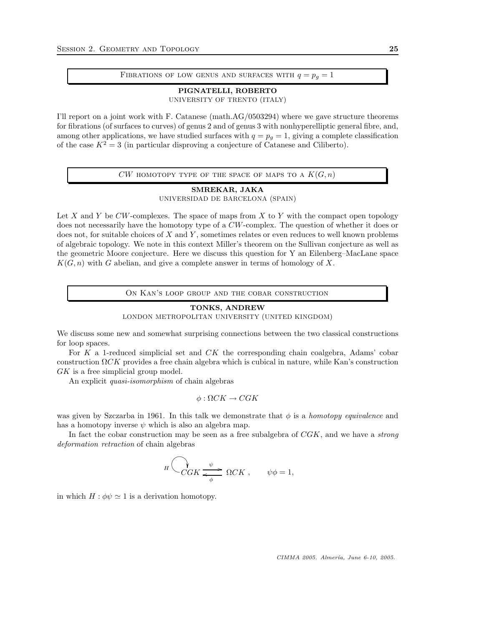#### FIBRATIONS OF LOW GENUS AND SURFACES WITH  $q = p_q = 1$

PIGNATELLI, ROBERTO UNIVERSITY OF TRENTO (ITALY)

I'll report on a joint work with F. Catanese (math.AG/0503294) where we gave structure theorems for fibrations (of surfaces to curves) of genus 2 and of genus 3 with nonhyperelliptic general fibre, and, among other applications, we have studied surfaces with  $q = p_q = 1$ , giving a complete classification of the case  $K^2 = 3$  (in particular disproving a conjecture of Catanese and Ciliberto).

CW HOMOTOPY TYPE OF THE SPACE OF MAPS TO A  $K(G, n)$ 

### SMREKAR, JAKA UNIVERSIDAD DE BARCELONA (SPAIN)

Let X and Y be  $CW$ -complexes. The space of maps from X to Y with the compact open topology does not necessarily have the homotopy type of a CW-complex. The question of whether it does or does not, for suitable choices of  $X$  and  $Y$ , sometimes relates or even reduces to well known problems of algebraic topology. We note in this context Miller's theorem on the Sullivan conjecture as well as the geometric Moore conjecture. Here we discuss this question for Y an Eilenberg–MacLane space  $K(G, n)$  with G abelian, and give a complete answer in terms of homology of X.

On Kan's loop group and the cobar construction

#### TONKS, ANDREW

LONDON METROPOLITAN UNIVERSITY (UNITED KINGDOM)

We discuss some new and somewhat surprising connections between the two classical constructions for loop spaces.

For  $K$  a 1-reduced simplicial set and  $CK$  the corresponding chain coalgebra, Adams' cobar construction  $\Omega$ CK provides a free chain algebra which is cubical in nature, while Kan's construction GK is a free simplicial group model.

An explicit quasi-isomorphism of chain algebras

$$
\phi : \Omega CK \to CGK
$$

was given by Szczarba in 1961. In this talk we demonstrate that  $\phi$  is a *homotopy equivalence* and has a homotopy inverse  $\psi$  which is also an algebra map.

In fact the cobar construction may be seen as a free subalgebra of  $CGK$ , and we have a *strong* deformation retraction of chain algebras

$$
H\left(\bigvee_{CGK}\underbrace{\psi}_{\phi}\Omega CK\right), \qquad \psi\phi=1,
$$

in which  $H : \phi \psi \simeq 1$  is a derivation homotopy.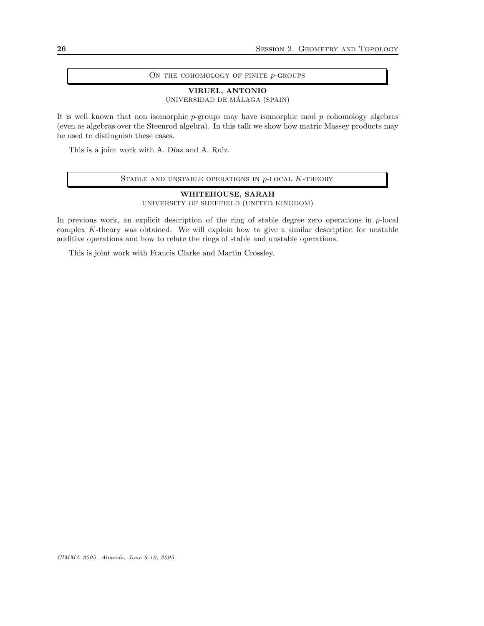#### ON THE COHOMOLOGY OF FINITE  $p$ -GROUPS

## VIRUEL, ANTONIO

UNIVERSIDAD DE MÁLAGA (SPAIN)

It is well known that non isomorphic  $p$ -groups may have isomorphic mod  $p$  cohomology algebras (even as algebras over the Steenrod algebra). In this talk we show how matric Massey products may be used to distinguish these cases.

This is a joint work with A. Díaz and A. Ruiz.

## STABLE AND UNSTABLE OPERATIONS IN  $p$ -LOCAL  $K$ -THEORY

WHITEHOUSE, SARAH UNIVERSITY OF SHEFFIELD (UNITED KINGDOM)

In previous work, an explicit description of the ring of stable degree zero operations in  $p$ -local complex K-theory was obtained. We will explain how to give a similar description for unstable additive operations and how to relate the rings of stable and unstable operations.

This is joint work with Francis Clarke and Martin Crossley.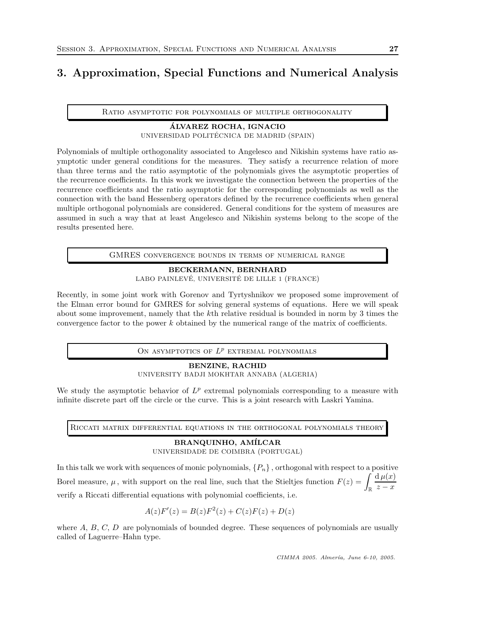# <span id="page-26-0"></span>3. Approximation, Special Functions and Numerical Analysis

Ratio asymptotic for polynomials of multiple orthogonality

## ALVAREZ ROCHA, IGNACIO ´ UNIVERSIDAD POLITÉCNICA DE MADRID (SPAIN)

Polynomials of multiple orthogonality associated to Angelesco and Nikishin systems have ratio asymptotic under general conditions for the measures. They satisfy a recurrence relation of more than three terms and the ratio asymptotic of the polynomials gives the asymptotic properties of the recurrence coefficients. In this work we investigate the connection between the properties of the recurrence coefficients and the ratio asymptotic for the corresponding polynomials as well as the connection with the band Hessenberg operators defined by the recurrence coefficients when general multiple orthogonal polynomials are considered. General conditions for the system of measures are assumed in such a way that at least Angelesco and Nikishin systems belong to the scope of the results presented here.

GMRES convergence bounds in terms of numerical range

## BECKERMANN, BERNHARD

LABO PAINLEVÉ, UNIVERSITÉ DE LILLE 1 (FRANCE)

Recently, in some joint work with Gorenov and Tyrtyshnikov we proposed some improvement of the Elman error bound for GMRES for solving general systems of equations. Here we will speak about some improvement, namely that the kth relative residual is bounded in norm by 3 times the convergence factor to the power k obtained by the numerical range of the matrix of coefficients.

ON ASYMPTOTICS OF  $L^p$  EXTREMAL POLYNOMIALS

#### BENZINE, RACHID

UNIVERSITY BADJI MOKHTAR ANNABA (ALGERIA)

We study the asymptotic behavior of  $L^p$  extremal polynomials corresponding to a measure with infinite discrete part off the circle or the curve. This is a joint research with Laskri Yamina.

Riccati matrix differential equations in the orthogonal polynomials theory

## BRANQUINHO, AMÍLCAR UNIVERSIDADE DE COIMBRA (PORTUGAL)

In this talk we work with sequences of monic polynomials,  $\{P_n\}$ , orthogonal with respect to a positive Borel measure,  $\mu$ , with support on the real line, such that the Stieltjes function  $F(z) = \int_{\mathbb{R}}$  $d \mu(x)$  $z - x$ verify a Riccati differential equations with polynomial coefficients, i.e.

$$
A(z)F'(z) = B(z)F^{2}(z) + C(z)F(z) + D(z)
$$

where  $A, B, C, D$  are polynomials of bounded degree. These sequences of polynomials are usually called of Laguerre–Hahn type.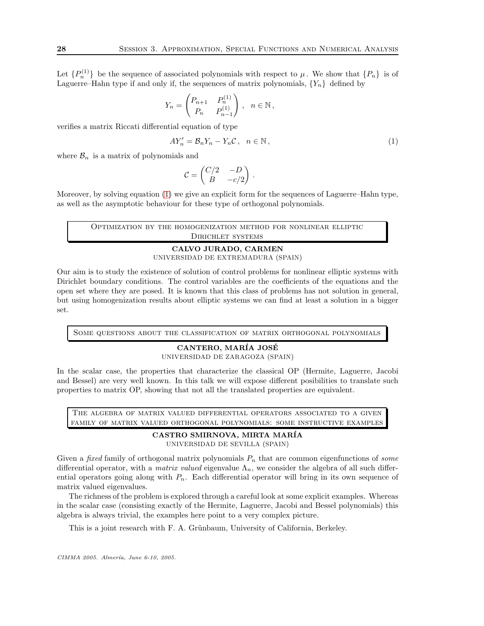Let  $\{P_n^{(1)}\}$  be the sequence of associated polynomials with respect to  $\mu$ . We show that  $\{P_n\}$  is of Laguerre–Hahn type if and only if, the sequences of matrix polynomials,  ${Y_n}$  defined by

$$
Y_n = \begin{pmatrix} P_{n+1} & P_n^{(1)} \\ P_n & P_{n-1}^{(1)} \end{pmatrix}, \quad n \in \mathbb{N},
$$

verifies a matrix Riccati differential equation of type

$$
AY'_n = \mathcal{B}_n Y_n - Y_n \mathcal{C}, \quad n \in \mathbb{N},\tag{1}
$$

where  $\mathcal{B}_n$  is a matrix of polynomials and

$$
\mathcal{C} = \begin{pmatrix} C/2 & -D \\ B & -c/2 \end{pmatrix} \, .
$$

Moreover, by solving equation [\(1\)](#page-85-0) we give an explicit form for the sequences of Laguerre–Hahn type, as well as the asymptotic behaviour for these type of orthogonal polynomials.

Optimization by the homogenization method for nonlinear elliptic Dirichlet systems

## CALVO JURADO, CARMEN UNIVERSIDAD DE EXTREMADURA (SPAIN)

Our aim is to study the existence of solution of control problems for nonlinear elliptic systems with Dirichlet boundary conditions. The control variables are the coefficients of the equations and the open set where they are posed. It is known that this class of problems has not solution in general, but using homogenization results about elliptic systems we can find at least a solution in a bigger set.

Some questions about the classification of matrix orthogonal polynomials

## CANTERO, MARÍA JOSÉ

UNIVERSIDAD DE ZARAGOZA (SPAIN)

In the scalar case, the properties that characterize the classical OP (Hermite, Laguerre, Jacobi and Bessel) are very well known. In this talk we will expose different posibilities to translate such properties to matrix OP, showing that not all the translated properties are equivalent.

The algebra of matrix valued differential operators associated to a given family of matrix valued orthogonal polynomials: some instructive examples

# CASTRO SMIRNOVA, MIRTA MAR´IA

UNIVERSIDAD DE SEVILLA (SPAIN)

Given a *fixed* family of orthogonal matrix polynomials  $P_n$  that are common eigenfunctions of *some* differential operator, with a *matrix valued* eigenvalue  $\Lambda_n$ , we consider the algebra of all such differential operators going along with  $P_n$ . Each differential operator will bring in its own sequence of matrix valued eigenvalues.

The richness of the problem is explored through a careful look at some explicit examples. Whereas in the scalar case (consisting exactly of the Hermite, Laguerre, Jacobi and Bessel polynomials) this algebra is always trivial, the examples here point to a very complex picture.

This is a joint research with F. A. Grünbaum, University of California, Berkeley.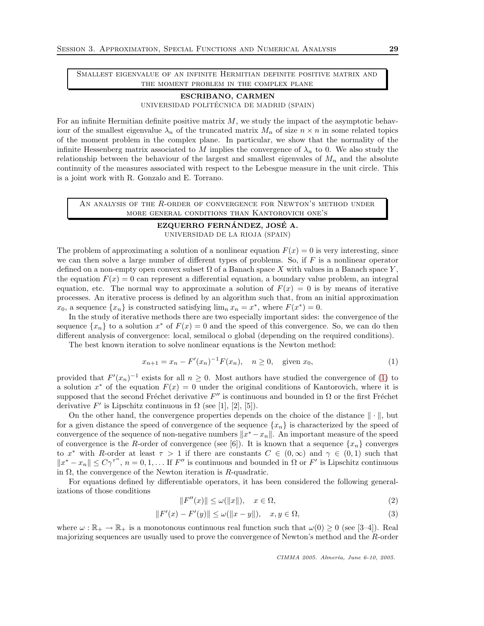Smallest eigenvalue of an infinite Hermitian definite positive matrix and THE MOMENT PROBLEM IN THE COMPLEX PLANE

## ESCRIBANO, CARMEN UNIVERSIDAD POLITÉCNICA DE MADRID (SPAIN)

For an infinite Hermitian definite positive matrix  $M$ , we study the impact of the asymptotic behaviour of the smallest eigenvalue  $\lambda_n$  of the truncated matrix  $M_n$  of size  $n \times n$  in some related topics of the moment problem in the complex plane. In particular, we show that the normality of the infinite Hessenberg matrix associated to M implies the convergence of  $\lambda_n$  to 0. We also study the relationship between the behaviour of the largest and smallest eigenvales of  $M_n$  and the absolute continuity of the measures associated with respect to the Lebesgue measure in the unit circle. This is a joint work with R. Gonzalo and E. Torrano.

AN ANALYSIS OF THE  $R$ -ORDER OF CONVERGENCE FOR NEWTON'S METHOD UNDER more general conditions than Kantorovich one's

## EZQUERRO FERNÁNDEZ, JOSÉ A. UNIVERSIDAD DE LA RIOJA (SPAIN)

The problem of approximating a solution of a nonlinear equation  $F(x) = 0$  is very interesting, since we can then solve a large number of different types of problems. So, if  $F$  is a nonlinear operator defined on a non-empty open convex subset  $\Omega$  of a Banach space X with values in a Banach space Y, the equation  $F(x) = 0$  can represent a differential equation, a boundary value problem, an integral equation, etc. The normal way to approximate a solution of  $F(x) = 0$  is by means of iterative processes. An iterative process is defined by an algorithm such that, from an initial approximation  $x_0$ , a sequence  $\{x_n\}$  is constructed satisfying  $\lim_n x_n = x^*$ , where  $F(x^*) = 0$ .

In the study of iterative methods there are two especially important sides: the convergence of the sequence  $\{x_n\}$  to a solution  $x^*$  of  $F(x) = 0$  and the speed of this convergence. So, we can do then different analysis of convergence: local, semilocal o global (depending on the required conditions).

The best known iteration to solve nonlinear equations is the Newton method:

$$
x_{n+1} = x_n - F'(x_n)^{-1} F(x_n), \quad n \ge 0, \quad \text{given } x_0,\tag{1}
$$

provided that  $F'(x_n)^{-1}$  exists for all  $n \geq 0$ . Most authors have studied the convergence of [\(1\)](#page-85-0) to a solution  $x^*$  of the equation  $F(x) = 0$  under the original conditions of Kantorovich, where it is supposed that the second Fréchet derivative  $F''$  is continuous and bounded in  $\Omega$  or the first Fréchet derivative  $F'$  is Lipschitz continuous in  $\Omega$  (see [1], [2], [5]).

On the other hand, the convergence properties depends on the choice of the distance  $\|\cdot\|$ , but for a given distance the speed of convergence of the sequence  $\{x_n\}$  is characterized by the speed of convergence of the sequence of non-negative numbers  $\|x^* - x_n\|$ . An important measure of the speed of convergence is the R-order of convergence (see [6]). It is known that a sequence  $\{x_n\}$  converges to x<sup>\*</sup> with R-order at least  $\tau > 1$  if there are constants  $C \in (0,\infty)$  and  $\gamma \in (0,1)$  such that  $||x^* - x_n|| \leq C\gamma^{\tau^n}$ ,  $n = 0, 1, \ldots$  If  $F''$  is continuous and bounded in  $\Omega$  or  $F'$  is Lipschitz continuous in  $\Omega$ , the convergence of the Newton iteration is R-quadratic.

For equations defined by differentiable operators, it has been considered the following generalizations of those conditions

$$
||F''(x)|| \le \omega(||x||), \quad x \in \Omega,
$$
\n<sup>(2)</sup>

$$
||F'(x) - F'(y)|| \le \omega(||x - y||), \quad x, y \in \Omega,
$$
\n(3)

where  $\omega : \mathbb{R}_+ \to \mathbb{R}_+$  is a monotonous continuous real function such that  $\omega(0) \geq 0$  (see [3–4]). Real majorizing sequences are usually used to prove the convergence of Newton's method and the R-order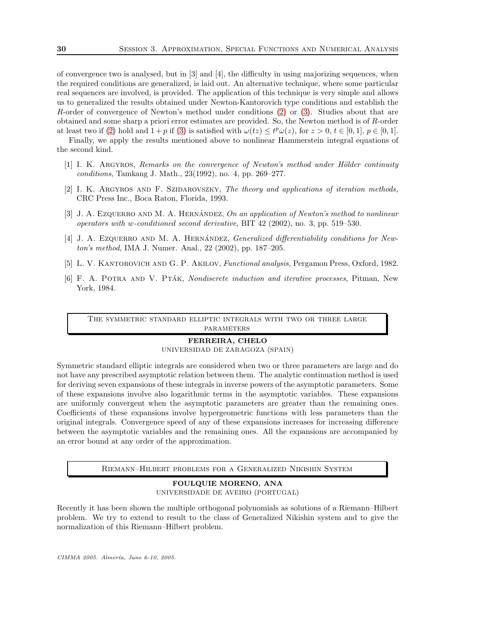of convergence two is analysed, but in [3] and [4], the difficulty in using majorizing sequences, when the required conditions are generalized, is laid out. An alternative technique, where some particular real sequences are involved, is provided. The application of this technique is very simple and allows us to generalized the results obtained under Newton-Kantorovich type conditions and establish the R-order of convergence of Newton's method under conditions [\(2\)](#page-86-0) or [\(3\)](#page-86-1). Studies about that are obtained and some sharp a priori error estimates are provided. So, the Newton method is of R-order at least two if [\(2\)](#page-86-0) hold and  $1+p$  if [\(3\)](#page-86-1) is satisfied with  $\omega(tz) \le t^p \omega(z)$ , for  $z > 0$ ,  $t \in [0,1]$ ,  $p \in [0,1]$ .

Finally, we apply the results mentioned above to nonlinear Hammerstein integral equations of the second kind.

- $[1]$  I. K. ARGYROS, Remarks on the convergence of Newton's method under Hölder continuity conditions, Tamkang J. Math., 23(1992), no. 4, pp. 269–277.
- [2] I. K. ARGYROS AND F. SZIDAROVSZKY, The theory and applications of iteration methods, CRC Press Inc., Boca Raton, Florida, 1993.
- [3] J. A. Ezquerro AND M. A. HERNÁNDEZ, On an application of Newton's method to nonlinear operators with w-conditioned second derivative, BIT 42 (2002), no. 3, pp. 519–530.
- $[4]$  J. A. Ezquerro and M. A. Hernández, *Generalized differentiability conditions for New*ton's method, IMA J. Numer. Anal., 22 (2002), pp. 187–205.
- [5] L. V. KANTOROVICH AND G. P. AKILOV, *Functional analysis*, Pergamon Press, Oxford, 1982.
- [6] F. A. POTRA AND V. PTAK, *Nondiscrete induction and iterative processes*, Pitman, New York, 1984.

The symmetric standard elliptic integrals with two or three large **PARAMETERS** 

#### FERREIRA, CHELO

UNIVERSIDAD DE ZARAGOZA (SPAIN)

Symmetric standard elliptic integrals are considered when two or three parameters are large and do not have any prescribed asymptotic relation between them. The analytic continuation method is used for deriving seven expansions of these integrals in inverse powers of the asymptotic parameters. Some of these expansions involve also logarithmic terms in the asymptotic variables. These expansions are uniformly convergent when the asymptotic parameters are greater than the remaining ones. Coefficients of these expansions involve hypergeometric functions with less parameters than the original integrals. Convergence speed of any of these expansions increases for increasing difference between the asymptotic variables and the remaining ones. All the expansions are accompanied by an error bound at any order of the approximation.

Riemann–Hilbert problems for a Generalized Nikishin System

FOULQUIE MORENO, ANA UNIVERSIDADE DE AVEIRO (PORTUGAL)

Recently it has been shown the multiple orthogonal polynomials as solutions of a Riemann–Hilbert problem. We try to extend to result to the class of Generalized Nikishin system and to give the normalization of this Riemann–Hilbert problem.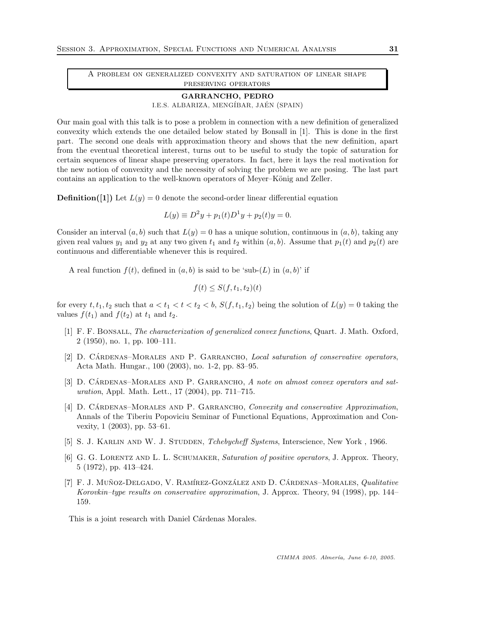A problem on generalized convexity and saturation of linear shape preserving operators

#### GARRANCHO, PEDRO I.E.S. ALBARIZA, MENGÍBAR, JAÉN (SPAIN)

Our main goal with this talk is to pose a problem in connection with a new definition of generalized convexity which extends the one detailed below stated by Bonsall in [1]. This is done in the first part. The second one deals with approximation theory and shows that the new definition, apart from the eventual theoretical interest, turns out to be useful to study the topic of saturation for certain sequences of linear shape preserving operators. In fact, here it lays the real motivation for the new notion of convexity and the necessity of solving the problem we are posing. The last part contains an application to the well-known operators of Meyer–König and Zeller.

**Definition**([1]) Let  $L(y) = 0$  denote the second-order linear differential equation

$$
L(y) \equiv D^2y + p_1(t)D^1y + p_2(t)y = 0.
$$

Consider an interval  $(a, b)$  such that  $L(y) = 0$  has a unique solution, continuous in  $(a, b)$ , taking any given real values  $y_1$  and  $y_2$  at any two given  $t_1$  and  $t_2$  within  $(a, b)$ . Assume that  $p_1(t)$  and  $p_2(t)$  are continuous and differentiable whenever this is required.

A real function  $f(t)$ , defined in  $(a, b)$  is said to be 'sub- $(L)$  in  $(a, b)$ ' if

$$
f(t) \le S(f, t_1, t_2)(t)
$$

for every  $t, t_1, t_2$  such that  $a < t_1 < t < t_2 < b$ ,  $S(f, t_1, t_2)$  being the solution of  $L(y) = 0$  taking the values  $f(t_1)$  and  $f(t_2)$  at  $t_1$  and  $t_2$ .

- [1] F. F. Bonsall, The characterization of generalized convex functions, Quart. J. Math. Oxford, 2 (1950), no. 1, pp. 100–111.
- [2] D. CÁRDENAS–MORALES AND P. GARRANCHO, Local saturation of conservative operators, Acta Math. Hungar., 100 (2003), no. 1-2, pp. 83–95.
- [3] D. CÁRDENAS–MORALES AND P. GARRANCHO,  $\hat{A}$  note on almost convex operators and saturation, Appl. Math. Lett., 17 (2004), pp. 711–715.
- [4] D. CARDENAS–MORALES AND P. GARRANCHO, *Convexity and conservative Approximation*, Annals of the Tiberiu Popoviciu Seminar of Functional Equations, Approximation and Convexity, 1 (2003), pp. 53–61.
- [5] S. J. KARLIN AND W. J. STUDDEN, *Tchebycheff Systems*, Interscience, New York, 1966.
- [6] G. G. LORENTZ AND L. L. SCHUMAKER, Saturation of positive operators, J. Approx. Theory, 5 (1972), pp. 413–424.
- [7] F. J. MUÑOZ-DELGADO, V. RAMÍREZ-GONZÁLEZ AND D. CÁRDENAS–MORALES,  $Qualitative$ Korovkin–type results on conservative approximation, J. Approx. Theory, 94 (1998), pp. 144– 159.

This is a joint research with Daniel Cárdenas Morales.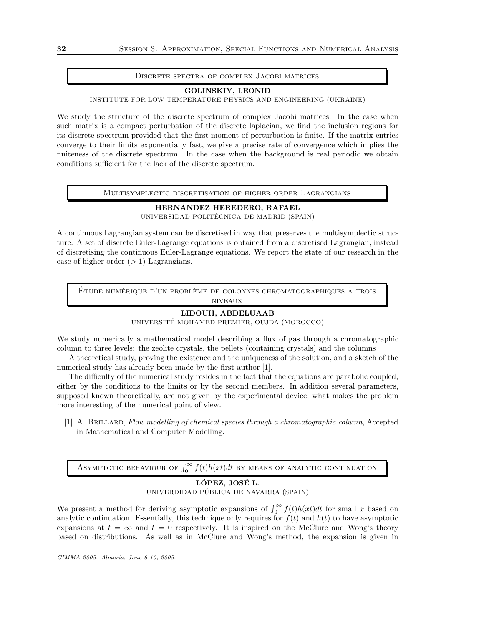#### Discrete spectra of complex Jacobi matrices

#### GOLINSKIY, LEONID

INSTITUTE FOR LOW TEMPERATURE PHYSICS AND ENGINEERING (UKRAINE)

We study the structure of the discrete spectrum of complex Jacobi matrices. In the case when such matrix is a compact perturbation of the discrete laplacian, we find the inclusion regions for its discrete spectrum provided that the first moment of perturbation is finite. If the matrix entries converge to their limits exponentially fast, we give a precise rate of convergence which implies the finiteness of the discrete spectrum. In the case when the background is real periodic we obtain conditions sufficient for the lack of the discrete spectrum.

#### Multisymplectic discretisation of higher order Lagrangians

## HERNANDEZ HEREDERO, RAFAEL ´ UNIVERSIDAD POLITÉCNICA DE MADRID (SPAIN)

A continuous Lagrangian system can be discretised in way that preserves the multisymplectic structure. A set of discrete Euler-Lagrange equations is obtained from a discretised Lagrangian, instead of discretising the continuous Euler-Lagrange equations. We report the state of our research in the case of higher order  $(> 1)$  Lagrangians.

ÉTUDE NUMÉRIQUE D'UN PROBLÈME DE COLONNES CHROMATOGRAPHIQUES À TROIS niveaux

#### LIDOUH, ABDELUAAB

UNIVERSITÉ MOHAMED PREMIER, OUJDA (MOROCCO)

We study numerically a mathematical model describing a flux of gas through a chromatographic column to three levels: the zeolite crystals, the pellets (containing crystals) and the columns

A theoretical study, proving the existence and the uniqueness of the solution, and a sketch of the numerical study has already been made by the first author [1].

The difficulty of the numerical study resides in the fact that the equations are parabolic coupled, either by the conditions to the limits or by the second members. In addition several parameters, supposed known theoretically, are not given by the experimental device, what makes the problem more interesting of the numerical point of view.

[1] A. BRILLARD, Flow modelling of chemical species through a chromatographic column, Accepted in Mathematical and Computer Modelling.

ASYMPTOTIC BEHAVIOUR OF  $\int_0^\infty f(t)h(xt)dt$  BY MEANS OF ANALYTIC CONTINUATION

## LÓPEZ, JOSÉ L. UNIVERDIDAD PÚBLICA DE NAVARRA (SPAIN)

We present a method for deriving asymptotic expansions of  $\int_0^\infty f(t)h(xt)dt$  for small x based on analytic continuation. Essentially, this technique only requires for  $f(t)$  and  $h(t)$  to have asymptotic expansions at  $t = \infty$  and  $t = 0$  respectively. It is inspired on the McClure and Wong's theory based on distributions. As well as in McClure and Wong's method, the expansion is given in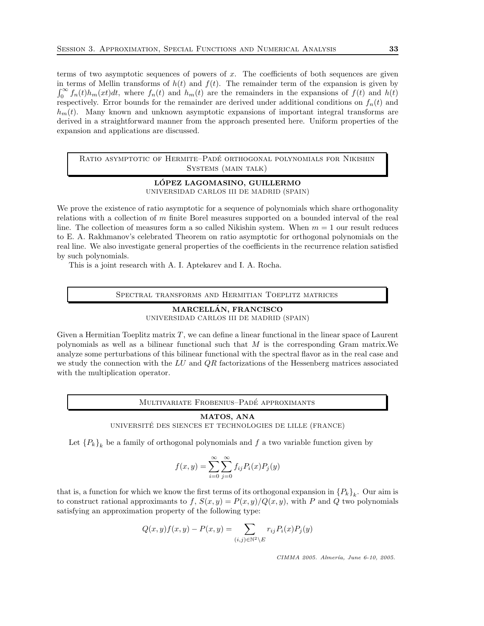terms of two asymptotic sequences of powers of  $x$ . The coefficients of both sequences are given in terms of Mellin transforms of  $h(t)$  and  $f(t)$ . The remainder term of the expansion is given by  $\int_0^\infty f_n(t)h_m(xt)dt$ , where  $f_n(t)$  and  $h_m(t)$  are the remainders in the expansions of  $f(t)$  and  $h(t)$ respectively. Error bounds for the remainder are derived under additional conditions on  $f_n(t)$  and  $h_m(t)$ . Many known and unknown asymptotic expansions of important integral transforms are derived in a straightforward manner from the approach presented here. Uniform properties of the expansion and applications are discussed.

RATIO ASYMPTOTIC OF HERMITE–PADÉ ORTHOGONAL POLYNOMIALS FOR NIKISHIN SYSTEMS (MAIN TALK)

## LÓPEZ LAGOMASINO, GUILLERMO UNIVERSIDAD CARLOS III DE MADRID (SPAIN)

We prove the existence of ratio asymptotic for a sequence of polynomials which share orthogonality relations with a collection of m finite Borel measures supported on a bounded interval of the real line. The collection of measures form a so called Nikishin system. When  $m = 1$  our result reduces to E. A. Rakhmanov's celebrated Theorem on ratio asymptotic for orthogonal polynomials on the real line. We also investigate general properties of the coefficients in the recurrence relation satisfied by such polynomials.

This is a joint research with A. I. Aptekarev and I. A. Rocha.

Spectral transforms and Hermitian Toeplitz matrices

### MARCELLAN, FRANCISCO ´ UNIVERSIDAD CARLOS III DE MADRID (SPAIN)

Given a Hermitian Toeplitz matrix  $T$ , we can define a linear functional in the linear space of Laurent polynomials as well as a bilinear functional such that M is the corresponding Gram matrix.We analyze some perturbations of this bilinear functional with the spectral flavor as in the real case and we study the connection with the  $LU$  and  $QR$  factorizations of the Hessenberg matrices associated with the multiplication operator.

#### MULTIVARIATE FROBENIUS–PADÉ APPROXIMANTS

#### MATOS, ANA

UNIVERSITÉ DES SIENCES ET TECHNOLOGIES DE LILLE (FRANCE)

Let  ${P_k}_k$  be a family of orthogonal polynomials and  $f$  a two variable function given by

$$
f(x,y) = \sum_{i=0}^{\infty} \sum_{j=0}^{\infty} f_{ij} P_i(x) P_j(y)
$$

that is, a function for which we know the first terms of its orthogonal expansion in  $\{P_k\}_k$ . Our aim is to construct rational approximants to f,  $S(x, y) = P(x, y)/Q(x, y)$ , with P and Q two polynomials satisfying an approximation property of the following type:

$$
Q(x,y)f(x,y) - P(x,y) = \sum_{(i,j) \in \mathbb{N}^2 \setminus E} r_{ij} P_i(x) P_j(y)
$$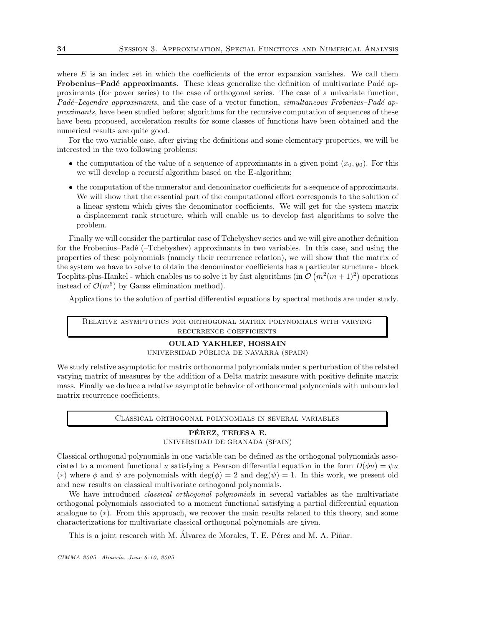where  $E$  is an index set in which the coefficients of the error expansion vanishes. We call them Frobenius–Padé approximants. These ideas generalize the definition of multivariate Padé approximants (for power series) to the case of orthogonal series. The case of a univariate function,  $Pad\acute{e}-Legendre$  approximants, and the case of a vector function, simultaneous Frobenius–Padé approximants, have been studied before; algorithms for the recursive computation of sequences of these have been proposed, acceleration results for some classes of functions have been obtained and the numerical results are quite good.

For the two variable case, after giving the definitions and some elementary properties, we will be interested in the two following problems:

- the computation of the value of a sequence of approximants in a given point  $(x_0, y_0)$ . For this we will develop a recursif algorithm based on the E-algorithm;
- the computation of the numerator and denominator coefficients for a sequence of approximants. We will show that the essential part of the computational effort corresponds to the solution of a linear system which gives the denominator coefficients. We will get for the system matrix a displacement rank structure, which will enable us to develop fast algorithms to solve the problem.

Finally we will consider the particular case of Tchebyshev series and we will give another definition for the Frobenius–Padé (–Tchebyshev) approximants in two variables. In this case, and using the properties of these polynomials (namely their recurrence relation), we will show that the matrix of the system we have to solve to obtain the denominator coefficients has a particular structure - block Toeplitz-plus-Hankel - which enables us to solve it by fast algorithms (in  $\mathcal{O}(m^2(m+1)^2)$ ) operations instead of  $\mathcal{O}(m^6)$  by Gauss elimination method).

Applications to the solution of partial differential equations by spectral methods are under study.

Relative asymptotics for orthogonal matrix polynomials with varying recurrence coefficients

## OULAD YAKHLEF, HOSSAIN UNIVERSIDAD PÚBLICA DE NAVARRA (SPAIN)

We study relative asymptotic for matrix orthonormal polynomials under a perturbation of the related varying matrix of measures by the addition of a Delta matrix measure with positive definite matrix mass. Finally we deduce a relative asymptotic behavior of orthonormal polynomials with unbounded matrix recurrence coefficients.

Classical orthogonal polynomials in several variables

#### PÉREZ, TERESA E.

UNIVERSIDAD DE GRANADA (SPAIN)

Classical orthogonal polynomials in one variable can be defined as the orthogonal polynomials associated to a moment functional u satisfying a Pearson differential equation in the form  $D(\phi u) = \psi u$ (\*) where  $\phi$  and  $\psi$  are polynomials with deg( $\phi$ ) = 2 and deg( $\psi$ ) = 1. In this work, we present old and new results on classical multivariate orthogonal polynomials.

We have introduced *classical orthogonal polynomials* in several variables as the multivariate orthogonal polynomials associated to a moment functional satisfying a partial differential equation analogue to (∗). From this approach, we recover the main results related to this theory, and some characterizations for multivariate classical orthogonal polynomials are given.

This is a joint research with M. Álvarez de Morales, T. E. Pérez and M. A. Piñar.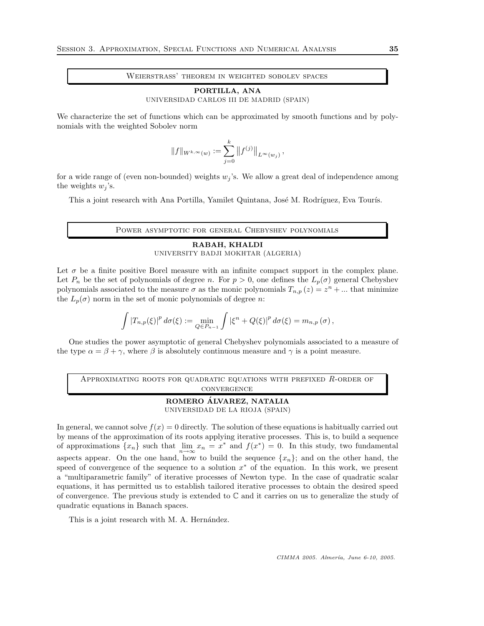Weierstrass' theorem in weighted sobolev spaces

#### PORTILLA, ANA

UNIVERSIDAD CARLOS III DE MADRID (SPAIN)

We characterize the set of functions which can be approximated by smooth functions and by polynomials with the weighted Sobolev norm

$$
||f||_{W^{k,\infty}(w)} := \sum_{j=0}^k ||f^{(j)}||_{L^{\infty}(w_j)},
$$

for a wide range of (even non-bounded) weights  $w_j$ 's. We allow a great deal of independence among the weights  $w_j$ 's.

This a joint research with Ana Portilla, Yamilet Quintana, José M. Rodríguez, Eva Tourís.

Power asymptotic for general Chebyshev polynomials

## RABAH, KHALDI UNIVERSITY BADJI MOKHTAR (ALGERIA)

Let  $\sigma$  be a finite positive Borel measure with an infinite compact support in the complex plane. Let  $P_n$  be the set of polynomials of degree n. For  $p > 0$ , one defines the  $L_p(\sigma)$  general Chebyshev polynomials associated to the measure  $\sigma$  as the monic polynomials  $T_{n,p}(z) = z^n + ...$  that minimize the  $L_p(\sigma)$  norm in the set of monic polynomials of degree n:

$$
\int \left|T_{n,p}(\xi)\right|^p d\sigma(\xi) := \min_{Q \in P_{n-1}} \int \left|\xi^n + Q(\xi)\right|^p d\sigma(\xi) = m_{n,p}(\sigma),
$$

One studies the power asymptotic of general Chebyshev polynomials associated to a measure of the type  $\alpha = \beta + \gamma$ , where  $\beta$  is absolutely continuous measure and  $\gamma$  is a point measure.

APPROXIMATING ROOTS FOR QUADRATIC EQUATIONS WITH PREFIXED R-ORDER OF convergence

> ROMERO ÁLVAREZ, NATALIA UNIVERSIDAD DE LA RIOJA (SPAIN)

In general, we cannot solve  $f(x) = 0$  directly. The solution of these equations is habitually carried out by means of the approximation of its roots applying iterative processes. This is, to build a sequence of approximations  $\{x_n\}$  such that  $\lim_{n\to\infty}x_n=x^*$  and  $f(x^*)=0$ . In this study, two fundamental aspects appear. On the one hand, how to build the sequence  $\{x_n\}$ ; and on the other hand, the speed of convergence of the sequence to a solution  $x^*$  of the equation. In this work, we present a "multiparametric family" of iterative processes of Newton type. In the case of quadratic scalar equations, it has permitted us to establish tailored iterative processes to obtain the desired speed of convergence. The previous study is extended to  $\mathbb C$  and it carries on us to generalize the study of quadratic equations in Banach spaces.

This is a joint research with M. A. Hernández.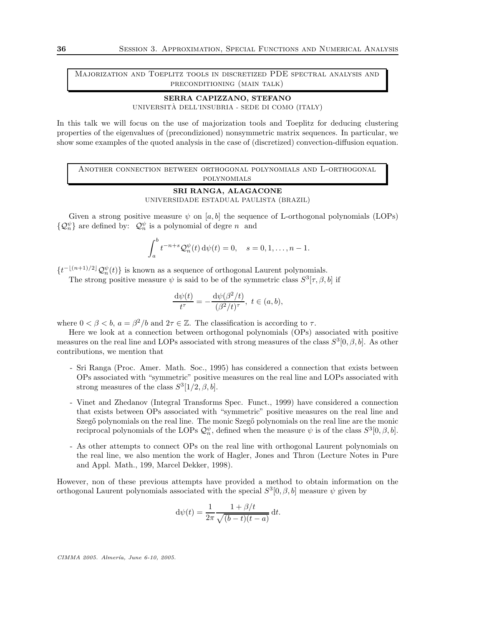Majorization and Toeplitz tools in discretized PDE spectral analysis and preconditioning (main talk)

## SERRA CAPIZZANO, STEFANO

UNIVERSITÀ DELL'INSUBRIA - SEDE DI COMO (ITALY)

In this talk we will focus on the use of majorization tools and Toeplitz for deducing clustering properties of the eigenvalues of (precondizioned) nonsymmetric matrix sequences. In particular, we show some examples of the quoted analysis in the case of (discretized) convection-diffusion equation.

Another connection between orthogonal polynomials and L-orthogonal polynomials

#### SRI RANGA, ALAGACONE UNIVERSIDADE ESTADUAL PAULISTA (BRAZIL)

Given a strong positive measure  $\psi$  on [a, b] the sequence of L-orthogonal polynomials (LOPs)  $\{\mathcal{Q}_n^{\psi}\}\$ are defined by:  $\mathcal{Q}_n^{\psi}$  is a polynomial of degre n and

$$
\int_a^b t^{-n+s} \mathcal{Q}_n^{\psi}(t) d\psi(t) = 0, \quad s = 0, 1, \dots, n-1.
$$

 $\{t^{-\lfloor (n+1)/2\rfloor} \mathcal{Q}_n^{\psi}(t)\}\$ is known as a sequence of orthogonal Laurent polynomials.

The strong positive measure  $\psi$  is said to be of the symmetric class  $S^3[\tau, \beta, b]$  if

$$
\frac{\mathrm{d}\psi(t)}{t^{\tau}} = -\frac{\mathrm{d}\psi(\beta^2/t)}{(\beta^2/t)^{\tau}}, \ t \in (a, b),
$$

where  $0 < \beta < b$ ,  $a = \beta^2/b$  and  $2\tau \in \mathbb{Z}$ . The classification is according to  $\tau$ .

Here we look at a connection between orthogonal polynomials (OPs) associated with positive measures on the real line and LOPs associated with strong measures of the class  $S^3[0, \beta, b]$ . As other contributions, we mention that

- Sri Ranga (Proc. Amer. Math. Soc., 1995) has considered a connection that exists between OPs associated with "symmetric" positive measures on the real line and LOPs associated with strong measures of the class  $S^3[1/2, \beta, b]$ .
- Vinet and Zhedanov (Integral Transforms Spec. Funct., 1999) have considered a connection that exists between OPs associated with "symmetric" positive measures on the real line and Szegő polynomials on the real line. The monic Szegő polynomials on the real line are the monic reciprocal polynomials of the LOPs  $\mathcal{Q}_n^{\psi}$ , defined when the measure  $\psi$  is of the class  $S^3[0,\beta,b]$ .
- As other attempts to connect OPs on the real line with orthogonal Laurent polynomials on the real line, we also mention the work of Hagler, Jones and Thron (Lecture Notes in Pure and Appl. Math., 199, Marcel Dekker, 1998).

However, non of these previous attempts have provided a method to obtain information on the orthogonal Laurent polynomials associated with the special  $S^3[0, \beta, b]$  measure  $\psi$  given by

$$
d\psi(t) = \frac{1}{2\pi} \frac{1 + \beta/t}{\sqrt{(b-t)(t-a)}} dt.
$$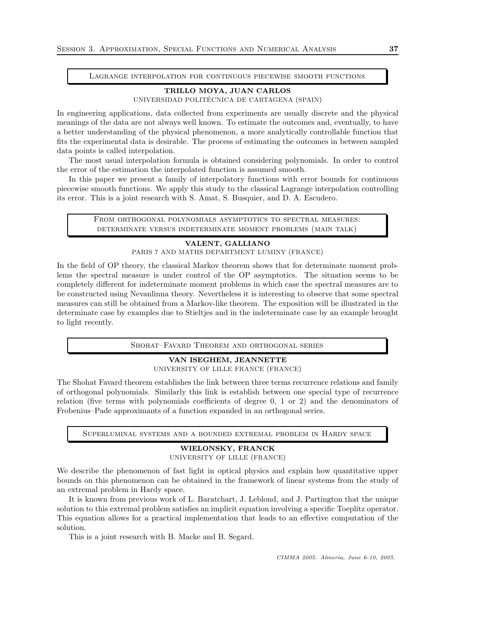Lagrange interpolation for continuous piecewise smooth functions

# TRILLO MOYA, JUAN CARLOS

UNIVERSIDAD POLITÉCNICA DE CARTAGENA (SPAIN)

In engineering applications, data collected from experiments are usually discrete and the physical meanings of the data are not always well known. To estimate the outcomes and, eventually, to have a better understanding of the physical phenomenon, a more analytically controllable function that fits the experimental data is desirable. The process of estimating the outcomes in between sampled data points is called interpolation.

The most usual interpolation formula is obtained considering polynomials. In order to control the error of the estimation the interpolated function is assumed smooth.

In this paper we present a family of interpolatory functions with error bounds for continuous piecewise smooth functions. We apply this study to the classical Lagrange interpolation controlling its error. This is a joint research with S. Amat, S. Busquier, and D. A. Escudero.

> From orthogonal polynomials asymptotics to spectral measures: determinate versus indeterminate moment problems (main talk)

# VALENT, GALLIANO

PARIS 7 AND MATHS DEPARTMENT LUMINY (FRANCE)

In the field of OP theory, the classical Markov theorem shows that for determinate moment problems the spectral measure is under control of the OP asymptotics. The situation seems to be completely different for indeterminate moment problems in which case the spectral measures are to be constructed using Nevanlinna theory. Nevertheless it is interesting to observe that some spectral measures can still be obtained from a Markov-like theorem. The exposition will be illustrated in the determinate case by examples due to Stieltjes and in the indeterminate case by an example brought to light recently.

Shohat–Favard Theorem and orthogonal series

VAN ISEGHEM, JEANNETTE UNIVERSITY OF LILLE FRANCE (FRANCE)

The Shohat Favard theorem establishes the link between three terms recurrence relations and family of orthogonal polynomials. Similarly this link is establish between one special type of recurrence relation (five terms with polynomials coefficients of degree 0, 1 or 2) and the denominators of Frobenius–Pade approximants of a function expanded in an orthogonal series.

Superluminal systems and a bounded extremal problem in Hardy space

# WIELONSKY, FRANCK

UNIVERSITY OF LILLE (FRANCE)

We describe the phenomenon of fast light in optical physics and explain how quantitative upper bounds on this phenomenon can be obtained in the framework of linear systems from the study of an extremal problem in Hardy space.

It is known from previous work of L. Baratchart, J. Leblond, and J. Partington that the unique solution to this extremal problem satisfies an implicit equation involving a specific Toeplitz operator. This equation allows for a practical implementation that leads to an effective computation of the solution.

This is a joint research with B. Macke and B. Segard.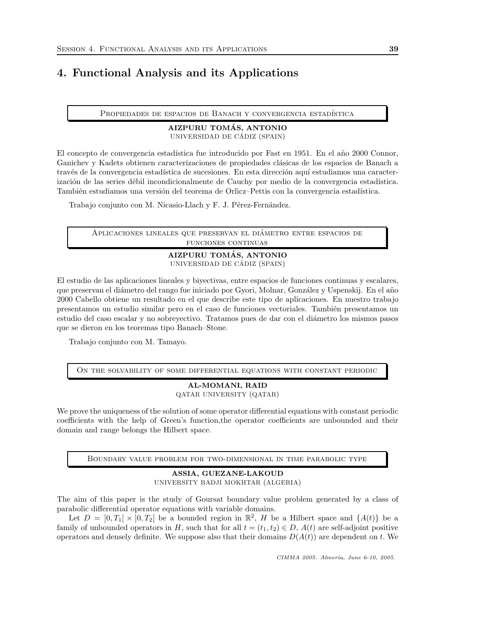# 4. Functional Analysis and its Applications

PROPIEDADES DE ESPACIOS DE BANACH Y CONVERGENCIA ESTADÍSTICA

### AIZPURU TOMÁS, ANTONIO UNIVERSIDAD DE CÁDIZ (SPAIN)

El concepto de convergencia estadística fue introducido por Fast en 1951. En el año 2000 Connor, Ganichev y Kadets obtienen caracterizaciones de propiedades clásicas de los espacios de Banach a través de la convergencia estadística de sucesiones. En esta dirección aquí estudiamos una caracterización de las series débil incondicionalmente de Cauchy por medio de la convergencia estadística. También estudiamos una versión del teorema de Orlicz–Pettis con la convergencia estadística.

Trabajo conjunto con M. Nicasio-Llach y F. J. Pérez-Fernández.

Aplicaciones lineales que preservan el diametro entre espacios de ´ funciones continuas

# AIZPURU TOMÁS, ANTONIO UNIVERSIDAD DE CÁDIZ (SPAIN)

El estudio de las aplicaciones lineales y biyectivas, entre espacios de funciones continuas y escalares, que preservan el diámetro del rango fue iniciado por Gyori, Molnar, González y Uspenskij. En el año 2000 Cabello obtiene un resultado en el que describe este tipo de aplicaciones. En nuestro trabajo presentamos un estudio similar pero en el caso de funciones vectoriales. También presentamos un estudio del caso escalar y no sobrevectivo. Tratamos pues de dar con el diámetro los mismos pasos que se dieron en los teoremas tipo Banach–Stone.

Trabajo conjunto con M. Tamayo.

On the solvability of some differential equations with constant periodic

# AL-MOMANI, RAID QATAR UNIVERSITY (QATAR)

We prove the uniqueness of the solution of some operator differential equations with constant periodic coefficients with the help of Green's function,the operator coefficients are unbounded and their domain and range belongs the Hilbert space.

Boundary value problem for two-dimensional in time parabolic type

# ASSIA, GUEZANE-LAKOUD UNIVERSITY BADJI MOKHTAR (ALGERIA)

The aim of this paper is the study of Goursat boundary value problem generated by a class of parabolic differential operator equations with variable domains.

Let  $D = [0, T_1] \times [0, T_2]$  be a bounded region in  $\mathbb{R}^2$ , H be a Hilbert space and  $\{A(t)\}\$ be a family of unbounded operators in H, such that for all  $t = (t_1, t_2) \in D$ ,  $A(t)$  are self-adjoint positive operators and densely definite. We suppose also that their domains  $D(A(t))$  are dependent on t. We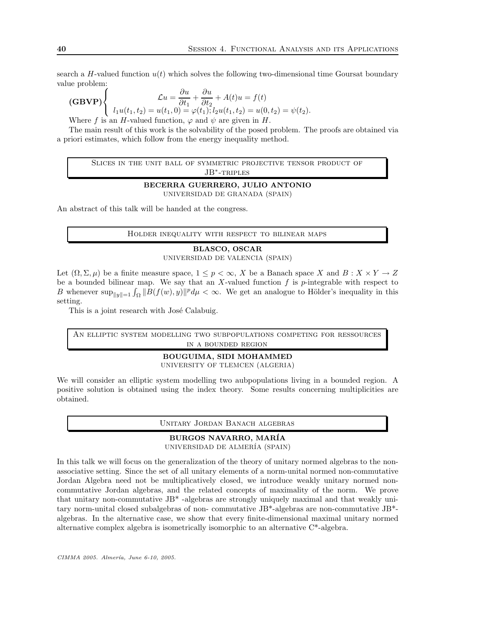search a H-valued function  $u(t)$  which solves the following two-dimensional time Goursat boundary value problem:

(GBVP)
$$
\begin{cases}\n\mathcal{L}u = \frac{\partial u}{\partial t_1} + \frac{\partial u}{\partial t_2} + A(t)u = f(t) \\
l_1u(t_1, t_2) = u(t_1, 0) = \varphi(t_1); l_2u(t_1, t_2) = u(0, t_2) = \psi(t_2).\n\end{cases}
$$

Where f is an H-valued function,  $\varphi$  and  $\psi$  are given in H.

The main result of this work is the solvability of the posed problem. The proofs are obtained via a priori estimates, which follow from the energy inequality method.

> Slices in the unit ball of symmetric projective tensor product of JB<sup>\*</sup>-TRIPLES

#### BECERRA GUERRERO, JULIO ANTONIO

UNIVERSIDAD DE GRANADA (SPAIN)

An abstract of this talk will be handed at the congress.

Holder inequality with respect to bilinear maps

## BLASCO, OSCAR UNIVERSIDAD DE VALENCIA (SPAIN)

Let  $(\Omega, \Sigma, \mu)$  be a finite measure space,  $1 \leq p < \infty$ , X be a Banach space X and  $B: X \times Y \to Z$ be a bounded bilinear map. We say that an  $X$ -valued function  $f$  is  $p$ -integrable with respect to B whenever  $\sup_{\|y\|=1} \int_{\Omega} \|B(f(w), y)\|^p d\mu < \infty$ . We get an analogue to Hölder's inequality in this setting.

This is a joint research with José Calabuig.

An elliptic system modelling two subpopulations competing for ressources in a bounded region

# BOUGUIMA, SIDI MOHAMMED

UNIVERSITY OF TLEMCEN (ALGERIA)

We will consider an elliptic system modelling two aubpopulations living in a bounded region. A positive solution is obtained using the index theory. Some results concerning multiplicities are obtained.

Unitary Jordan Banach algebras

# BURGOS NAVARRO, MAR´IA

UNIVERSIDAD DE ALMER´IA (SPAIN)

In this talk we will focus on the generalization of the theory of unitary normed algebras to the nonassociative setting. Since the set of all unitary elements of a norm-unital normed non-commutative Jordan Algebra need not be multiplicatively closed, we introduce weakly unitary normed noncommutative Jordan algebras, and the related concepts of maximality of the norm. We prove that unitary non-commutative JB\* -algebras are strongly uniquely maximal and that weakly unitary norm-unital closed subalgebras of non- commutative JB\*-algebras are non-commutative JB\* algebras. In the alternative case, we show that every finite-dimensional maximal unitary normed alternative complex algebra is isometrically isomorphic to an alternative C\*-algebra.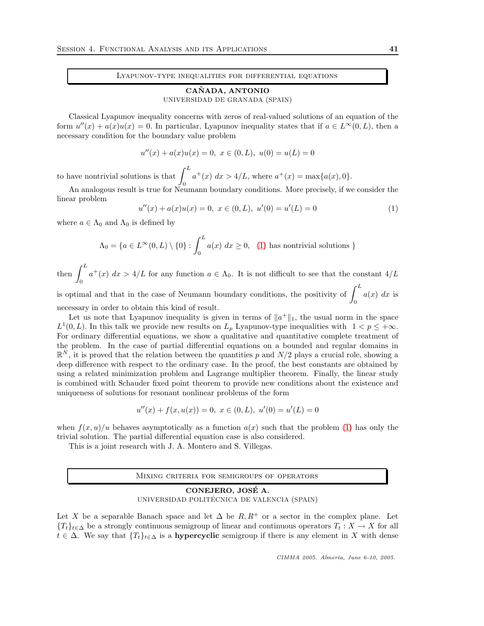## Lyapunov-type inequalities for differential equations

# CAÑADA, ANTONIO

#### UNIVERSIDAD DE GRANADA (SPAIN)

Classical Lyapunov inequality concerns with zeros of real-valued solutions of an equation of the form  $u''(x) + a(x)u(x) = 0$ . In particular, Lyapunov inequality states that if  $a \in L^{\infty}(0, L)$ , then a necessary condition for the boundary value problem

$$
u''(x) + a(x)u(x) = 0, \ x \in (0, L), \ u(0) = u(L) = 0
$$

to have nontrivial solutions is that  $\int^L$ 0  $a^+(x) dx > 4/L$ , where  $a^+(x) = \max\{a(x), 0\}.$ 

An analogous result is true for Neumann boundary conditions. More precisely, if we consider the linear problem

$$
u''(x) + a(x)u(x) = 0, \ x \in (0, L), \ u'(0) = u'(L) = 0 \tag{1}
$$

where  $a \in \Lambda_0$  and  $\Lambda_0$  is defined by

$$
\Lambda_0 = \{ a \in L^{\infty}(0, L) \setminus \{0\} : \int_0^L a(x) \ dx \ge 0, \tag{1} \text{ has nontrivial solutions } \}
$$

then  $\int^L$ 0  $a^+(x)$   $dx > 4/L$  for any function  $a \in \Lambda_0$ . It is not difficult to see that the constant  $4/L$ 

is optimal and that in the case of Neumann boundary conditions, the positivity of  $\int^L$ 0  $a(x)$  dx is necessary in order to obtain this kind of result.

Let us note that Lyapunov inequality is given in terms of  $||a^+||_1$ , the usual norm in the space  $L^1(0,L)$ . In this talk we provide new results on  $L_p$  Lyapunov-type inequalities with  $1 < p \leq +\infty$ . For ordinary differential equations, we show a qualitative and quantitative complete treatment of the problem. In the case of partial differential equations on a bounded and regular domains in  $\mathbb{R}^N$ , it is proved that the relation between the quantities p and  $N/2$  plays a crucial role, showing a deep difference with respect to the ordinary case. In the proof, the best constants are obtained by using a related minimization problem and Lagrange multiplier theorem. Finally, the linear study is combined with Schauder fixed point theorem to provide new conditions about the existence and uniqueness of solutions for resonant nonlinear problems of the form

$$
u''(x) + f(x, u(x)) = 0, \ x \in (0, L), \ u'(0) = u'(L) = 0
$$

when  $f(x, u)/u$  behaves asymptotically as a function  $a(x)$  such that the problem [\(1\)](#page-85-0) has only the trivial solution. The partial differential equation case is also considered.

This is a joint research with J. A. Montero and S. Villegas.

Mixing criteria for semigroups of operators

# CONEJERO, JOSE A. ´ UNIVERSIDAD POLITÉCNICA DE VALENCIA (SPAIN)

Let X be a separable Banach space and let  $\Delta$  be  $R, R^+$  or a sector in the complex plane. Let  ${T_t}_{t\in\Delta}$  be a strongly continuous semigroup of linear and continuous operators  $T_t : X \to X$  for all  $t \in \Delta$ . We say that  $\{T_t\}_{t \in \Delta}$  is a **hypercyclic** semigroup if there is any element in X with dense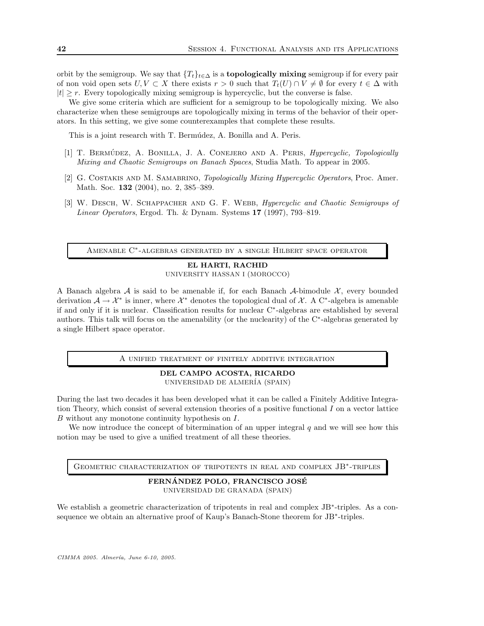orbit by the semigroup. We say that  $\{T_t\}_{t\in\Delta}$  is a **topologically mixing** semigroup if for every pair of non void open sets  $U, V \subset X$  there exists  $r > 0$  such that  $T_t(U) \cap V \neq \emptyset$  for every  $t \in \Delta$  with  $|t| \geq r$ . Every topologically mixing semigroup is hypercyclic, but the converse is false.

We give some criteria which are sufficient for a semigroup to be topologically mixing. We also characterize when these semigroups are topologically mixing in terms of the behavior of their operators. In this setting, we give some counterexamples that complete these results.

This is a joint research with T. Bermúdez, A. Bonilla and A. Peris.

- [1] T. BERMÚDEZ, A. BONILLA, J. A. CONEJERO AND A. PERIS, *Hypercyclic, Topologically* Mixing and Chaotic Semigroups on Banach Spaces, Studia Math. To appear in 2005.
- [2] G. COSTAKIS AND M. SAMABRINO, *Topologically Mixing Hypercyclic Operators*, Proc. Amer. Math. Soc. **132** (2004), no. 2, 385-389.
- [3] W. DESCH, W. SCHAPPACHER AND G. F. WEBB, *Hypercyclic and Chaotic Semigroups of* Linear Operators, Ergod. Th. & Dynam. Systems 17 (1997), 793–819.

Amenable C<sup>∗</sup> -algebras generated by a single Hilbert space operator

# EL HARTI, RACHID

UNIVERSITY HASSAN I (MOROCCO)

A Banach algebra A is said to be amenable if, for each Banach A-bimodule  $\mathcal{X}$ , every bounded derivation  $\mathcal{A} \to \mathcal{X}^*$  is inner, where  $\mathcal{X}^*$  denotes the topological dual of X. A C<sup>\*</sup>-algebra is amenable if and only if it is nuclear. Classification results for nuclear C<sup>∗</sup> -algebras are established by several authors. This talk will focus on the amenability (or the nuclearity) of the C<sup>∗</sup> -algebras generated by a single Hilbert space operator.

A unified treatment of finitely additive integration

## DEL CAMPO ACOSTA, RICARDO UNIVERSIDAD DE ALMER´IA (SPAIN)

During the last two decades it has been developed what it can be called a Finitely Additive Integration Theory, which consist of several extension theories of a positive functional  $I$  on a vector lattice B without any monotone continuity hypothesis on I.

We now introduce the concept of bitermination of an upper integral  $q$  and we will see how this notion may be used to give a unified treatment of all these theories.

GEOMETRIC CHARACTERIZATION OF TRIPOTENTS IN REAL AND COMPLEX JB<sup>\*</sup>-TRIPLES

FERNÁNDEZ POLO, FRANCISCO JOSÉ UNIVERSIDAD DE GRANADA (SPAIN)

We establish a geometric characterization of tripotents in real and complex JB<sup>\*</sup>-triples. As a consequence we obtain an alternative proof of Kaup's Banach-Stone theorem for JB<sup>\*</sup>-triples.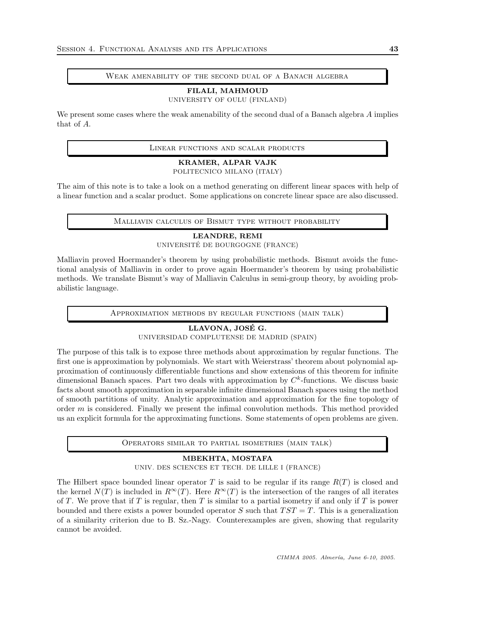### Weak amenability of the second dual of a Banach algebra

# FILALI, MAHMOUD

UNIVERSITY OF OULU (FINLAND)

We present some cases where the weak amenability of the second dual of a Banach algebra A implies that of A.

Linear functions and scalar products

# KRAMER, ALPAR VAJK

POLITECNICO MILANO (ITALY)

The aim of this note is to take a look on a method generating on different linear spaces with help of a linear function and a scalar product. Some applications on concrete linear space are also discussed.

Malliavin calculus of Bismut type without probability

# LEANDRE, REMI

UNIVERSITÉ DE BOURGOGNE (FRANCE)

Malliavin proved Hoermander's theorem by using probabilistic methods. Bismut avoids the functional analysis of Malliavin in order to prove again Hoermander's theorem by using probabilistic methods. We translate Bismut's way of Malliavin Calculus in semi-group theory, by avoiding probabilistic language.

Approximation methods by regular functions (main talk)

# LLAVONA, JOSE G. ´

UNIVERSIDAD COMPLUTENSE DE MADRID (SPAIN)

The purpose of this talk is to expose three methods about approximation by regular functions. The first one is approximation by polynomials. We start with Weierstrass' theorem about polynomial approximation of continuously differentiable functions and show extensions of this theorem for infinite dimensional Banach spaces. Part two deals with approximation by  $C<sup>k</sup>$ -functions. We discuss basic facts about smooth approximation in separable infinite dimensional Banach spaces using the method of smooth partitions of unity. Analytic approximation and approximation for the fine topology of order  $m$  is considered. Finally we present the infimal convolution methods. This method provided us an explicit formula for the approximating functions. Some statements of open problems are given.

Operators similar to partial isometries (main talk)

# MBEKHTA, MOSTAFA

UNIV. DES SCIENCES ET TECH. DE LILLE I (FRANCE)

The Hilbert space bounded linear operator T is said to be regular if its range  $R(T)$  is closed and the kernel  $N(T)$  is included in  $R^{\infty}(T)$ . Here  $R^{\infty}(T)$  is the intersection of the ranges of all iterates of T. We prove that if T is regular, then T is similar to a partial isometry if and only if T is power bounded and there exists a power bounded operator S such that  $TST = T$ . This is a generalization of a similarity criterion due to B. Sz.-Nagy. Counterexamples are given, showing that regularity cannot be avoided.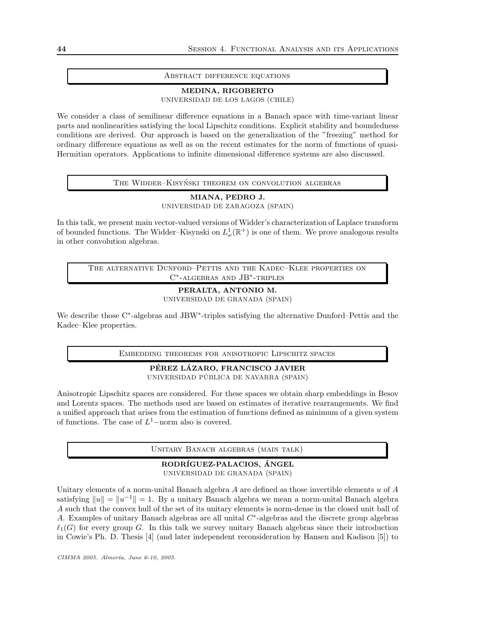#### Abstract difference equations

## MEDINA, RIGOBERTO

UNIVERSIDAD DE LOS LAGOS (CHILE)

We consider a class of semilinear difference equations in a Banach space with time-variant linear parts and nonlinearities satisfying the local Lipschitz conditions. Explicit stability and boundedness conditions are derived. Our approach is based on the generalization of the "freezing" method for ordinary difference equations as well as on the recent estimates for the norm of functions of quasi-Hermitian operators. Applications to infinite dimensional difference systems are also discussed.

THE WIDDER–KISYNSKI THEOREM ON CONVOLUTION ALGEBRAS

## MIANA, PEDRO J. UNIVERSIDAD DE ZARAGOZA (SPAIN)

In this talk, we present main vector-valued versions of Widder's characterization of Laplace transform of bounded functions. The Widder–Kisynski on  $L^1_\omega(\mathbb{R}^+)$  is one of them. We prove analogous results in other convolution algebras.

The alternative Dunford–Pettis and the Kadec–Klee properties on C<sup>∗</sup> -algebras and JB<sup>∗</sup> -triples

# PERALTA, ANTONIO M. UNIVERSIDAD DE GRANADA (SPAIN)

We describe those C<sup>∗</sup> -algebras and JBW<sup>∗</sup> -triples satisfying the alternative Dunford–Pettis and the Kadec–Klee properties.

Embedding theorems for anisotropic Lipschitz spaces

# PÉREZ LÁZARO, FRANCISCO JAVIER UNIVERSIDAD PÚBLICA DE NAVARRA (SPAIN)

Anisotropic Lipschitz spaces are considered. For these spaces we obtain sharp embeddings in Besov and Lorentz spaces. The methods used are based on estimates of iterative rearrangements. We find a unified approach that arises from the estimation of functions defined as minimum of a given system of functions. The case of  $L^1$ -norm also is covered.

UNITARY BANACH ALGEBRAS (MAIN TALK)

#### RODRÍGUEZ-PALACIOS, ÁNGEL UNIVERSIDAD DE GRANADA (SPAIN)

Unitary elements of a norm-unital Banach algebra  $A$  are defined as those invertible elements  $u$  of  $A$ satisfying  $||u|| = ||u^{-1}|| = 1$ . By a unitary Banach algebra we mean a norm-unital Banach algebra A such that the convex hull of the set of its unitary elements is norm-dense in the closed unit ball of A. Examples of unitary Banach algebras are all unital  $C^*$ -algebras and the discrete group algebras  $\ell_1(G)$  for every group G. In this talk we survey unitary Banach algebras since their introduction in Cowie's Ph. D. Thesis [4] (and later independent reconsideration by Hansen and Kadison [5]) to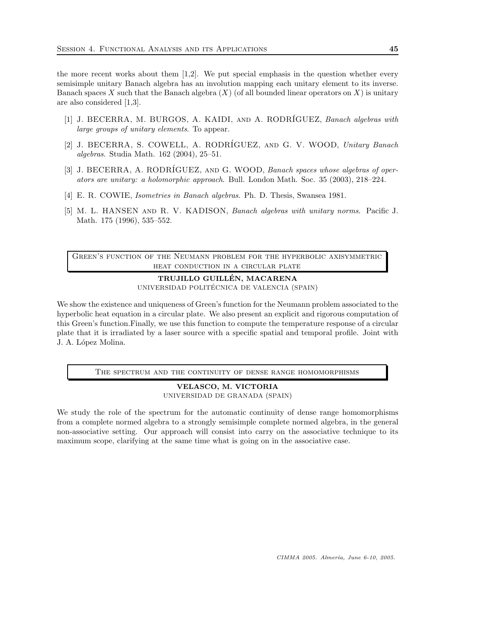the more recent works about them [1,2]. We put special emphasis in the question whether every semisimple unitary Banach algebra has an involution mapping each unitary element to its inverse. Banach spaces X such that the Banach algebra  $(X)$  (of all bounded linear operators on X) is unitary are also considered [1,3].

- [1] J. BECERRA, M. BURGOS, A. KAIDI, AND A. RODRÍGUEZ, Banach algebras with large groups of unitary elements. To appear.
- [2] J. BECERRA, S. COWELL, A. RODRÍGUEZ, AND G. V. WOOD, Unitary Banach algebras. Studia Math. 162 (2004), 25–51.
- [3] J. BECERRA, A. RODRÍGUEZ, AND G. WOOD, Banach spaces whose algebras of operators are unitary: a holomorphic approach. Bull. London Math. Soc. 35 (2003), 218–224.
- [4] E. R. COWIE, Isometries in Banach algebras. Ph. D. Thesis, Swansea 1981.
- [5] M. L. HANSEN AND R. V. KADISON, Banach algebras with unitary norms. Pacific J. Math. 175 (1996), 535–552.

Green's function of the Neumann problem for the hyperbolic axisymmetric heat conduction in a circular plate

> TRUJILLO GUILLEN, MACARENA ´ UNIVERSIDAD POLITÉCNICA DE VALENCIA (SPAIN)

We show the existence and uniqueness of Green's function for the Neumann problem associated to the hyperbolic heat equation in a circular plate. We also present an explicit and rigorous computation of this Green's function.Finally, we use this function to compute the temperature response of a circular plate that it is irradiated by a laser source with a specific spatial and temporal profile. Joint with J. A. López Molina.

The spectrum and the continuity of dense range homomorphisms

VELASCO, M. VICTORIA UNIVERSIDAD DE GRANADA (SPAIN)

We study the role of the spectrum for the automatic continuity of dense range homomorphisms from a complete normed algebra to a strongly semisimple complete normed algebra, in the general non-associative setting. Our approach will consist into carry on the associative technique to its maximum scope, clarifying at the same time what is going on in the associative case.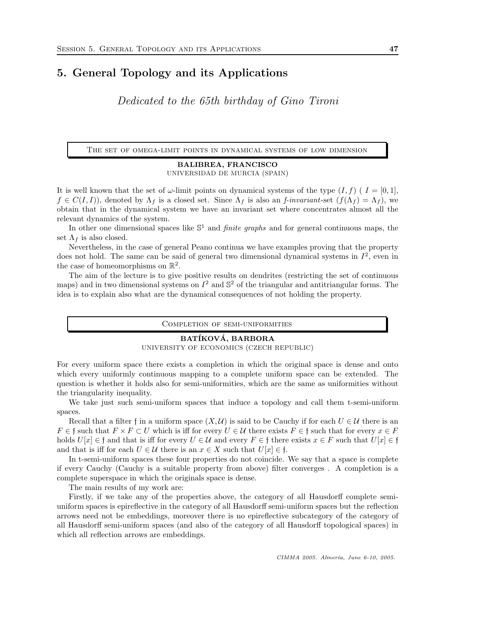# 5. General Topology and its Applications

Dedicated to the 65th birthday of Gino Tironi

The set of omega-limit points in dynamical systems of low dimension

# BALIBREA, FRANCISCO UNIVERSIDAD DE MURCIA (SPAIN)

It is well known that the set of  $\omega$ -limit points on dynamical systems of the type  $(I, f)$  ( $I = [0, 1]$ ,  $f \in C(I, I)$ , denoted by  $\Lambda_f$  is a closed set. Since  $\Lambda_f$  is also an f-invariant-set  $(f(\Lambda_f) = \Lambda_f)$ , we obtain that in the dynamical system we have an invariant set where concentrates almost all the relevant dynamics of the system.

In other one dimensional spaces like  $\mathbb{S}^1$  and *finite graphs* and for general continuous maps, the set  $\Lambda_f$  is also closed.

Nevertheless, in the case of general Peano continua we have examples proving that the property does not hold. The same can be said of general two dimensional dynamical systems in  $I^2$ , even in the case of homeomorphisms on  $\mathbb{R}^2$ .

The aim of the lecture is to give positive results on dendrites (restricting the set of continuous maps) and in two dimensional systems on  $I^2$  and  $\mathbb{S}^2$  of the triangular and antitriangular forms. The idea is to explain also what are the dynamical consequences of not holding the property.

Completion of semi-uniformities

#### BATÍKOVÁ, BARBORA

UNIVERSITY OF ECONOMICS (CZECH REPUBLIC)

For every uniform space there exists a completion in which the original space is dense and onto which every uniformly continuous mapping to a complete uniform space can be extended. The question is whether it holds also for semi-uniformities, which are the same as uniformities without the triangularity inequality.

We take just such semi-uniform spaces that induce a topology and call them t-semi-uniform spaces.

Recall that a filter f in a uniform space  $(X, \mathcal{U})$  is said to be Cauchy if for each  $U \in \mathcal{U}$  there is an  $F \in \mathfrak{f}$  such that  $F \times F \subset U$  which is iff for every  $U \in \mathcal{U}$  there exists  $F \in \mathfrak{f}$  such that for every  $x \in F$ holds  $U[x] \in \mathfrak{f}$  and that is iff for every  $U \in \mathcal{U}$  and every  $F \in \mathfrak{f}$  there exists  $x \in F$  such that  $U[x] \in \mathfrak{f}$ and that is iff for each  $U \in \mathcal{U}$  there is an  $x \in X$  such that  $U[x] \in \mathfrak{f}$ .

In t-semi-uniform spaces these four properties do not coincide. We say that a space is complete if every Cauchy (Cauchy is a suitable property from above) filter converges . A completion is a complete superspace in which the originals space is dense.

The main results of my work are:

Firstly, if we take any of the properties above, the category of all Hausdorff complete semiuniform spaces is epireflective in the category of all Hausdorff semi-uniform spaces but the reflection arrows need not be embeddings, moreover there is no epireflective subcategory of the category of all Hausdorff semi-uniform spaces (and also of the category of all Hausdorff topological spaces) in which all reflection arrows are embeddings.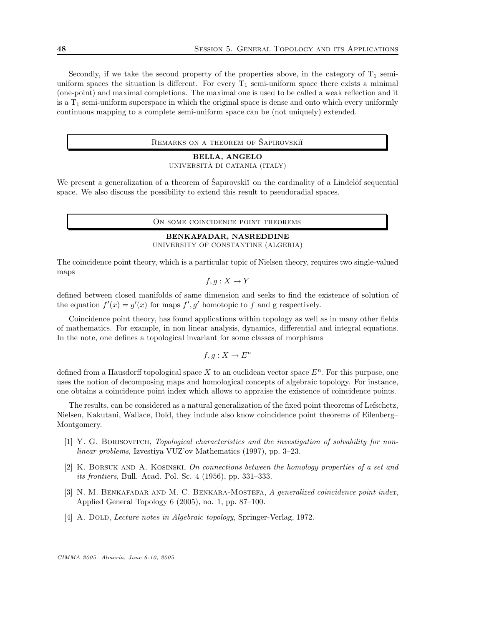Secondly, if we take the second property of the properties above, in the category of  $T_1$  semiuniform spaces the situation is different. For every  $T_1$  semi-uniform space there exists a minimal (one-point) and maximal completions. The maximal one is used to be called a weak reflection and it is a  $T_1$  semi-uniform superspace in which the original space is dense and onto which every uniformly continuous mapping to a complete semi-uniform space can be (not uniquely) extended.

REMARKS ON A THEOREM OF SAPIROVSKII

#### BELLA, ANGELO

### UNIVERSITÀ DI CATANIA (ITALY)

We present a generalization of a theorem of Šapirovskiĭ on the cardinality of a Lindelöf sequential space. We also discuss the possibility to extend this result to pseudoradial spaces.

ON SOME COINCIDENCE POINT THEOREMS

## BENKAFADAR, NASREDDINE UNIVERSITY OF CONSTANTINE (ALGERIA)

The coincidence point theory, which is a particular topic of Nielsen theory, requires two single-valued maps

$$
f,g:X\to Y
$$

defined between closed manifolds of same dimension and seeks to find the existence of solution of the equation  $f'(x) = g'(x)$  for maps  $f', g'$  homotopic to f and g respectively.

Coincidence point theory, has found applications within topology as well as in many other fields of mathematics. For example, in non linear analysis, dynamics, differential and integral equations. In the note, one defines a topological invariant for some classes of morphisms

$$
f, g: X \to E^n
$$

defined from a Hausdorff topological space X to an euclidean vector space  $E<sup>n</sup>$ . For this purpose, one uses the notion of decomposing maps and homological concepts of algebraic topology. For instance, one obtains a coincidence point index which allows to appraise the existence of coincidence points.

The results, can be considered as a natural generalization of the fixed point theorems of Lefschetz, Nielsen, Kakutani, Wallace, Dold, they include also know coincidence point theorems of Eilenberg– Montgomery.

- [1] Y. G. Borisovitch, Topological characteristics and the investigation of solvability for nonlinear problems, Izvestiya VUZ'ov Mathematics (1997), pp. 3–23.
- $[2]$  K. BORSUK AND A. KOSINSKI, On connections between the homology properties of a set and its frontiers, Bull. Acad. Pol. Sc. 4 (1956), pp. 331–333.
- [3] N. M. BENKAFADAR AND M. C. BENKARA-MOSTEFA, A generalized coincidence point index, Applied General Topology 6 (2005), no. 1, pp. 87–100.
- [4] A. DOLD, *Lecture notes in Algebraic topology*, Springer-Verlag, 1972.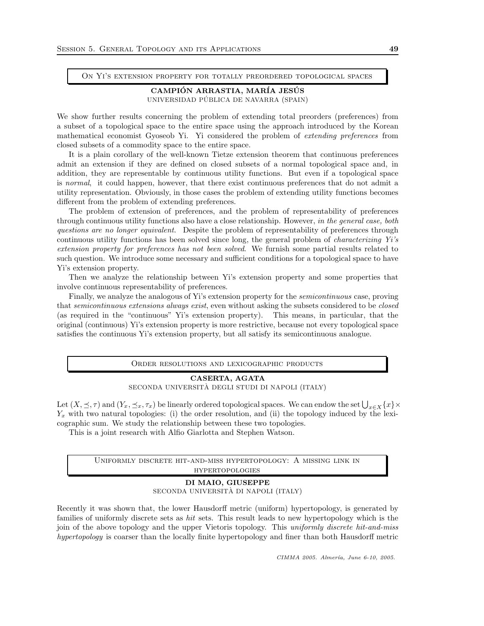On Yi's extension property for totally preordered topological spaces

## CAMPIÓN ARRASTIA, MARÍA JESÚS UNIVERSIDAD PÚBLICA DE NAVARRA (SPAIN)

We show further results concerning the problem of extending total preorders (preferences) from a subset of a topological space to the entire space using the approach introduced by the Korean mathematical economist Gyoseob Yi. Yi considered the problem of extending preferences from closed subsets of a commodity space to the entire space.

It is a plain corollary of the well-known Tietze extension theorem that continuous preferences admit an extension if they are defined on closed subsets of a normal topological space and, in addition, they are representable by continuous utility functions. But even if a topological space is normal, it could happen, however, that there exist continuous preferences that do not admit a utility representation. Obviously, in those cases the problem of extending utility functions becomes different from the problem of extending preferences.

The problem of extension of preferences, and the problem of representability of preferences through continuous utility functions also have a close relationship. However, in the general case, both questions are no longer equivalent. Despite the problem of representability of preferences through continuous utility functions has been solved since long, the general problem of characterizing Yi's extension property for preferences has not been solved. We furnish some partial results related to such question. We introduce some necessary and sufficient conditions for a topological space to have Yi's extension property.

Then we analyze the relationship between Yi's extension property and some properties that involve continuous representability of preferences.

Finally, we analyze the analogous of Yi's extension property for the *semicontinuous* case, proving that semicontinuous extensions always exist, even without asking the subsets considered to be closed (as required in the "continuous" Yi's extension property). This means, in particular, that the original (continuous) Yi's extension property is more restrictive, because not every topological space satisfies the continuous Yi's extension property, but all satisfy its semicontinuous analogue.

#### Order resolutions and lexicographic products

# CASERTA, AGATA SECONDA UNIVERSITÀ DEGLI STUDI DI NAPOLI (ITALY)

Let  $(X, \leq, \tau)$  and  $(Y_x, \leq_x, \tau_x)$  be linearly ordered topological spaces. We can endow the set  $\bigcup_{x \in X} \{x\} \times$  $Y_x$  with two natural topologies: (i) the order resolution, and (ii) the topology induced by the lexicographic sum. We study the relationship between these two topologies.

This is a joint research with Alfio Giarlotta and Stephen Watson.

Uniformly discrete hit-and-miss hypertopology: A missing link in hypertopologies

# DI MAIO, GIUSEPPE SECONDA UNIVERSITÀ DI NAPOLI (ITALY)

Recently it was shown that, the lower Hausdorff metric (uniform) hypertopology, is generated by families of uniformly discrete sets as *hit* sets. This result leads to new hypertopology which is the join of the above topology and the upper Vietoris topology. This uniformly discrete hit-and-miss hypertopology is coarser than the locally finite hypertopology and finer than both Hausdorff metric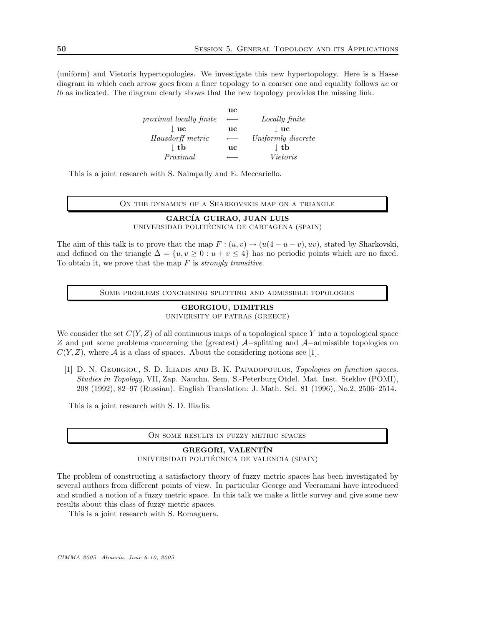(uniform) and Vietoris hypertopologies. We investigate this new hypertopology. Here is a Hasse diagram in which each arrow goes from a finer topology to a coarser one and equality follows uc or tb as indicated. The diagram clearly shows that the new topology provides the missing link.

> uc proximal locally finite ← Locally finite  $\perp$  uc  $\perp$  uc  $\perp$  uc  $Hausdorff metric \leftarrow Uniformly discrete$  $\downarrow$  tb uc  $\qquad \qquad \downarrow$  tb  $Proximal \t\leftarrow \tVietoris$

This is a joint research with S. Naimpally and E. Meccariello.

ON THE DYNAMICS OF A SHARKOVSKIS MAP ON A TRIANGLE

# GARCÍA GUIRAO, JUAN LUIS UNIVERSIDAD POLITÉCNICA DE CARTAGENA (SPAIN)

The aim of this talk is to prove that the map  $F : (u, v) \to (u(4 - u - v), uv)$ , stated by Sharkovski, and defined on the triangle  $\Delta = \{u, v \geq 0 : u + v \leq 4\}$  has no periodic points which are no fixed. To obtain it, we prove that the map  $F$  is *strongly transitive*.

Some problems concerning splitting and admissible topologies

# GEORGIOU, DIMITRIS UNIVERSITY OF PATRAS (GREECE)

We consider the set  $C(Y, Z)$  of all continuous maps of a topological space Y into a topological space Z and put some problems concerning the (greatest) A−splitting and A−admissible topologies on  $C(Y, Z)$ , where A is a class of spaces. About the considering notions see [1].

[1] D. N. GEORGIOU, S. D. ILIADIS AND B. K. PAPADOPOULOS, Topologies on function spaces, Studies in Topology, VII, Zap. Nauchn. Sem. S.-Peterburg Otdel. Mat. Inst. Steklov (POMI), 208 (1992), 82–97 (Russian). English Translation: J. Math. Sci. 81 (1996), No.2, 2506–2514.

This is a joint research with S. D. Iliadis.

#### On some results in fuzzy metric spaces

# GREGORI, VALENTIN UNIVERSIDAD POLITÉCNICA DE VALENCIA (SPAIN)

The problem of constructing a satisfactory theory of fuzzy metric spaces has been investigated by several authors from different points of view. In particular George and Veeramani have introduced and studied a notion of a fuzzy metric space. In this talk we make a little survey and give some new results about this class of fuzzy metric spaces.

This is a joint research with S. Romaguera.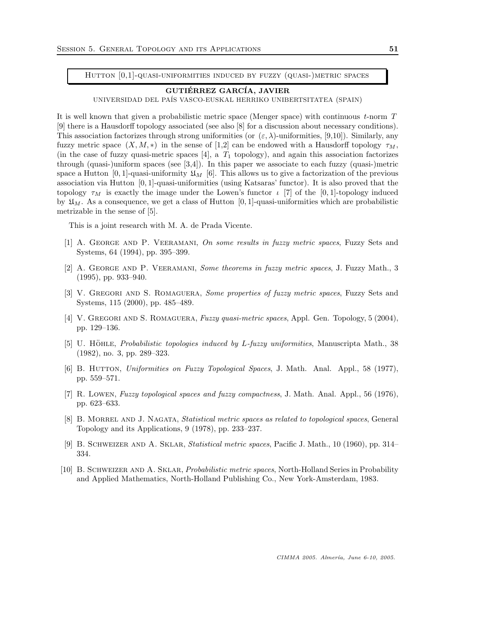HUTTON  $[0,1]$ -QUASI-UNIFORMITIES INDUCED BY FUZZY (QUASI-)METRIC SPACES

#### GUTIÉRREZ GARCÍA, JAVIER

UNIVERSIDAD DEL PA´IS VASCO-EUSKAL HERRIKO UNIBERTSITATEA (SPAIN)

It is well known that given a probabilistic metric space (Menger space) with continuous t-norm T [9] there is a Hausdorff topology associated (see also [8] for a discussion about necessary conditions). This association factorizes through strong uniformities (or  $(\varepsilon, \lambda)$ -uniformities, [9,10]). Similarly, any fuzzy metric space  $(X, M, *)$  in the sense of [1,2] can be endowed with a Hausdorff topology  $\tau_M$ , (in the case of fuzzy quasi-metric spaces [4], a  $T_1$  topology), and again this association factorizes through (quasi-)uniform spaces (see  $[3,4]$ ). In this paper we associate to each fuzzy (quasi-)metric space a Hutton  $[0, 1]$ -quasi-uniformity  $\mathfrak{U}_M$  [6]. This allows us to give a factorization of the previous association via Hutton [0, 1]-quasi-uniformities (using Katsaras' functor). It is also proved that the topology  $\tau_M$  is exactly the image under the Lowen's functor  $\iota$  [7] of the [0,1]-topology induced by  $\mathfrak{U}_M$ . As a consequence, we get a class of Hutton [0, 1]-quasi-uniformities which are probabilistic metrizable in the sense of [5].

This is a joint research with M. A. de Prada Vicente.

- [1] A. GEORGE AND P. VEERAMANI, On some results in fuzzy metric spaces, Fuzzy Sets and Systems, 64 (1994), pp. 395–399.
- [2] A. George and P. Veeramani, Some theorems in fuzzy metric spaces, J. Fuzzy Math., 3 (1995), pp. 933–940.
- [3] V. Gregori and S. Romaguera, Some properties of fuzzy metric spaces, Fuzzy Sets and Systems, 115 (2000), pp. 485–489.
- [4] V. Gregori and S. Romaguera, Fuzzy quasi-metric spaces, Appl. Gen. Topology, 5 (2004), pp. 129–136.
- [5] U. HöHLE, Probabilistic topologies induced by L-fuzzy uniformities, Manuscripta Math., 38 (1982), no. 3, pp. 289–323.
- [6] B. HUTTON, Uniformities on Fuzzy Topological Spaces, J. Math. Anal. Appl., 58 (1977), pp. 559–571.
- [7] R. Lowen, Fuzzy topological spaces and fuzzy compactness, J. Math. Anal. Appl., 56 (1976), pp. 623–633.
- [8] B. MORREL AND J. NAGATA, *Statistical metric spaces as related to topological spaces*, General Topology and its Applications, 9 (1978), pp. 233–237.
- [9] B. Schweizer and A. Sklar, Statistical metric spaces, Pacific J. Math., 10 (1960), pp. 314– 334.
- [10] B. Schweizer and A. Sklar, Probabilistic metric spaces, North-Holland Series in Probability and Applied Mathematics, North-Holland Publishing Co., New York-Amsterdam, 1983.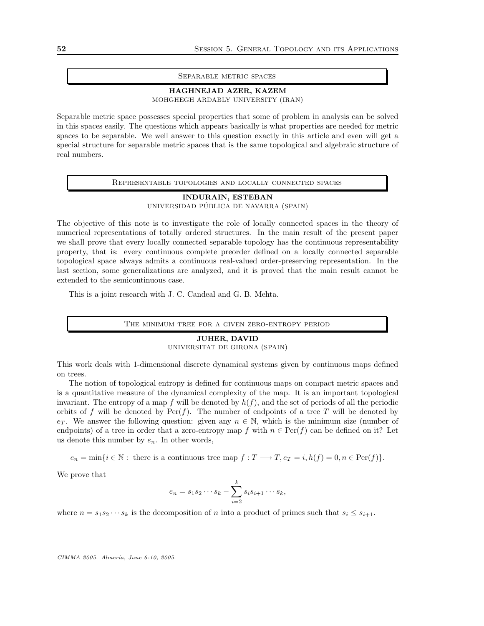#### Separable metric spaces

## HAGHNEJAD AZER, KAZEM MOHGHEGH ARDABLY UNIVERSITY (IRAN)

Separable metric space possesses special properties that some of problem in analysis can be solved in this spaces easily. The questions which appears basically is what properties are needed for metric spaces to be separable. We well answer to this question exactly in this article and even will get a special structure for separable metric spaces that is the same topological and algebraic structure of real numbers.

Representable topologies and locally connected spaces

INDURAIN, ESTEBAN UNIVERSIDAD PÚBLICA DE NAVARRA (SPAIN)

The objective of this note is to investigate the role of locally connected spaces in the theory of numerical representations of totally ordered structures. In the main result of the present paper we shall prove that every locally connected separable topology has the continuous representability property, that is: every continuous complete preorder defined on a locally connected separable topological space always admits a continuous real-valued order-preserving representation. In the last section, some generalizations are analyzed, and it is proved that the main result cannot be extended to the semicontinuous case.

This is a joint research with J. C. Candeal and G. B. Mehta.

The minimum tree for a given zero-entropy period

#### JUHER, DAVID

UNIVERSITAT DE GIRONA (SPAIN)

This work deals with 1-dimensional discrete dynamical systems given by continuous maps defined on trees.

The notion of topological entropy is defined for continuous maps on compact metric spaces and is a quantitative measure of the dynamical complexity of the map. It is an important topological invariant. The entropy of a map f will be denoted by  $h(f)$ , and the set of periods of all the periodic orbits of f will be denoted by  $\text{Per}(f)$ . The number of endpoints of a tree T will be denoted by extra. We answer the following question: given any  $n \in \mathbb{N}$ , which is the minimum size (number of endpoints) of a tree in order that a zero-entropy map f with  $n \in Per(f)$  can be defined on it? Let us denote this number by  $e_n$ . In other words,

 $e_n = \min\{i \in \mathbb{N}: \text{ there is a continuous tree map } f : T \longrightarrow T, e_T = i, h(f) = 0, n \in \text{Per}(f)\}.$ 

We prove that

$$
e_n = s_1 s_2 \cdots s_k - \sum_{i=2}^k s_i s_{i+1} \cdots s_k,
$$

where  $n = s_1 s_2 \cdots s_k$  is the decomposition of n into a product of primes such that  $s_i \leq s_{i+1}$ .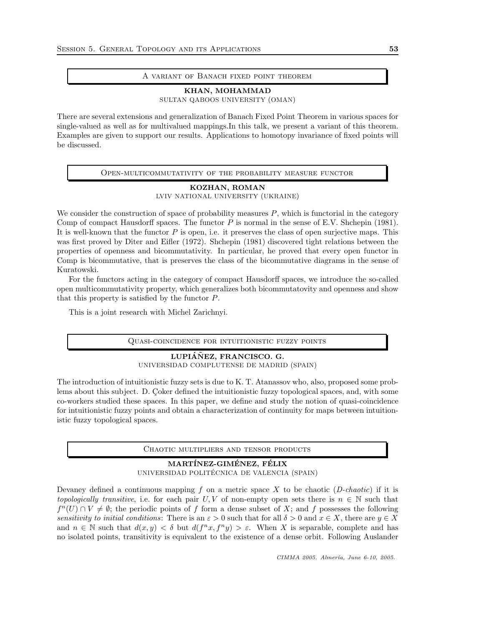#### A variant of Banach fixed point theorem

KHAN, MOHAMMAD SULTAN QABOOS UNIVERSITY (OMAN)

There are several extensions and generalization of Banach Fixed Point Theorem in various spaces for single-valued as well as for multivalued mappings.In this talk, we present a variant of this theorem. Examples are given to support our results. Applications to homotopy invariance of fixed points will be discussed.

Open-multicommutativity of the probability measure functor

## KOZHAN, ROMAN LVIV NATIONAL UNIVERSITY (UKRAINE)

We consider the construction of space of probability measures  $P$ , which is functorial in the category Comp of compact Hausdorff spaces. The functor  $P$  is normal in the sense of E.V. Shchepin (1981). It is well-known that the functor  $P$  is open, i.e. it preserves the class of open surjective maps. This was first proved by Diter and Eifler (1972). Shchepin (1981) discovered tight relations between the properties of openness and bicommutativity. In particular, he proved that every open functor in Comp is bicommutative, that is preserves the class of the bicommutative diagrams in the sense of Kuratowski.

For the functors acting in the category of compact Hausdorff spaces, we introduce the so-called open multicommutativity property, which generalizes both bicommutatovity and openness and show that this property is satisfied by the functor P.

This is a joint research with Michel Zarichnyi.

#### Quasi-coincidence for intuitionistic fuzzy points

LUPIÁÑEZ, FRANCISCO. G. UNIVERSIDAD COMPLUTENSE DE MADRID (SPAIN)

The introduction of intuitionistic fuzzy sets is due to K. T. Atanassov who, also, proposed some problems about this subject. D. Coker defined the intuitionistic fuzzy topological spaces, and, with some co-workers studied these spaces. In this paper, we define and study the notion of quasi-coincidence for intuitionistic fuzzy points and obtain a characterization of continuity for maps between intuitionistic fuzzy topological spaces.

Chaotic multipliers and tensor products

# MARTÍNEZ-GIMÉNEZ, FÉLIX UNIVERSIDAD POLITÉCNICA DE VALENCIA (SPAIN)

Devaney defined a continuous mapping f on a metric space X to be chaotic (D-chaotic) if it is topologically transitive, i.e. for each pair U, V of non-empty open sets there is  $n \in \mathbb{N}$  such that  $f^{n}(U) \cap V \neq \emptyset$ ; the periodic points of f form a dense subset of X; and f possesses the following sensitivity to initial conditions: There is an  $\varepsilon > 0$  such that for all  $\delta > 0$  and  $x \in X$ , there are  $y \in X$ and  $n \in \mathbb{N}$  such that  $d(x, y) < \delta$  but  $d(f^n x, f^n y) > \varepsilon$ . When X is separable, complete and has no isolated points, transitivity is equivalent to the existence of a dense orbit. Following Auslander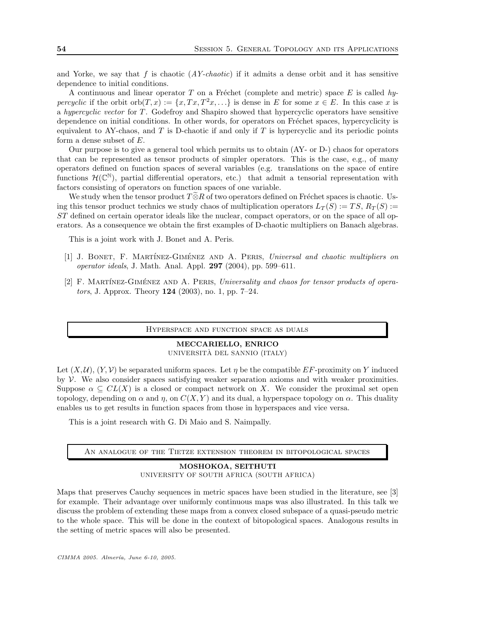and Yorke, we say that  $f$  is chaotic  $(AY\text{-}chaotic)$  if it admits a dense orbit and it has sensitive dependence to initial conditions.

A continuous and linear operator T on a Fréchet (complete and metric) space E is called hypercyclic if the orbit orb $(T, x) := \{x, Tx, T^2x, \ldots\}$  is dense in E for some  $x \in E$ . In this case x is a hypercyclic vector for T . Godefroy and Shapiro showed that hypercyclic operators have sensitive dependence on initial conditions. In other words, for operators on Fréchet spaces, hypercyclicity is equivalent to AY-chaos, and  $T$  is D-chaotic if and only if  $T$  is hypercyclic and its periodic points form a dense subset of  $E$ .

Our purpose is to give a general tool which permits us to obtain (AY- or D-) chaos for operators that can be represented as tensor products of simpler operators. This is the case, e.g., of many operators defined on function spaces of several variables (e.g. translations on the space of entire functions  $\mathcal{H}(\mathbb{C}^{\mathbb{N}})$ , partial differential operators, etc.) that admit a tensorial representation with factors consisting of operators on function spaces of one variable.

We study when the tensor product  $T\widetilde{\otimes}R$  of two operators defined on Fréchet spaces is chaotic. Using this tensor product technics we study chaos of multiplication operators  $L_T(S) := TS$ ,  $R_T(S) :=$ ST defined on certain operator ideals like the nuclear, compact operators, or on the space of all operators. As a consequence we obtain the first examples of D-chaotic multipliers on Banach algebras.

This is a joint work with J. Bonet and A. Peris.

- [1] J. BONET, F. MARTÍNEZ-GIMÉNEZ AND A. PERIS, Universal and chaotic multipliers on operator ideals, J. Math. Anal. Appl.  $297$  (2004), pp. 599–611.
- [2] F. MARTÍNEZ-GIMÉNEZ AND A. PERIS, Universality and chaos for tensor products of operators, J. Approx. Theory 124 (2003), no. 1, pp. 7–24.

#### Hyperspace and function space as duals

# MECCARIELLO, ENRICO UNIVERSITÀ DEL SANNIO (ITALY)

Let  $(X, \mathcal{U}), (Y, \mathcal{V})$  be separated uniform spaces. Let  $\eta$  be the compatible EF-proximity on Y induced by  $\mathcal V$ . We also consider spaces satisfying weaker separation axioms and with weaker proximities. Suppose  $\alpha \subseteq CL(X)$  is a closed or compact network on X. We consider the proximal set open topology, depending on  $\alpha$  and  $\eta$ , on  $C(X, Y)$  and its dual, a hyperspace topology on  $\alpha$ . This duality enables us to get results in function spaces from those in hyperspaces and vice versa.

This is a joint research with G. Di Maio and S. Naimpally.

#### An analogue of the Tietze extension theorem in bitopological spaces

## MOSHOKOA, SEITHUTI UNIVERSITY OF SOUTH AFRICA (SOUTH AFRICA)

Maps that preserves Cauchy sequences in metric spaces have been studied in the literature, see [3] for example. Their advantage over uniformly continuous maps was also illustrated. In this talk we discuss the problem of extending these maps from a convex closed subspace of a quasi-pseudo metric to the whole space. This will be done in the context of bitopological spaces. Analogous results in the setting of metric spaces will also be presented.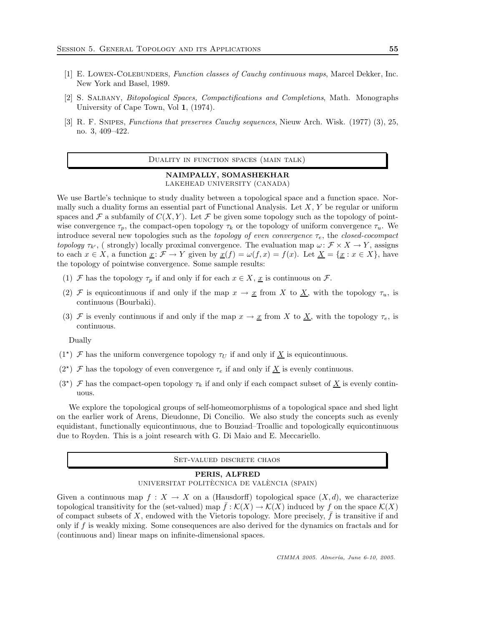- [1] E. Lowen-Colebunders, Function classes of Cauchy continuous maps, Marcel Dekker, Inc. New York and Basel, 1989.
- [2] S. Salbany, Bitopological Spaces, Compactifications and Completions, Math. Monographs University of Cape Town, Vol 1, (1974).
- [3] R. F. Snipes, Functions that preserves Cauchy sequences, Nieuw Arch. Wisk. (1977) (3), 25, no. 3, 409–422.

Duality in function spaces (main talk)

#### NAIMPALLY, SOMASHEKHAR LAKEHEAD UNIVERSITY (CANADA)

We use Bartle's technique to study duality between a topological space and a function space. Normally such a duality forms an essential part of Functional Analysis. Let  $X, Y$  be regular or uniform spaces and F a subfamily of  $C(X, Y)$ . Let F be given some topology such as the topology of pointwise convergence  $\tau_p$ , the compact-open topology  $\tau_k$  or the topology of uniform convergence  $\tau_u$ . We introduce several new topologies such as the *topology of even convergence*  $\tau_e$ , the *closed-cocompact* topology  $\tau_{k'}$ , ( strongly) locally proximal convergence. The evaluation map  $\omega \colon \mathcal{F} \times X \to Y$ , assigns to each  $x \in X$ , a function  $\underline{x} : \mathcal{F} \to Y$  given by  $\underline{x}(f) = \omega(f, x) = f(x)$ . Let  $\underline{X} = \{\underline{x} : x \in X\}$ , have the topology of pointwise convergence. Some sample results:

- (1) F has the topology  $\tau_p$  if and only if for each  $x \in X$ ,  $\underline{x}$  is continuous on F.
- (2) F is equicontinuous if and only if the map  $x \to \underline{x}$  from X to  $\underline{X}$ , with the topology  $\tau_u$ , is continuous (Bourbaki).
- (3) F is evenly continuous if and only if the map  $x \to \underline{x}$  from X to  $\underline{X}$ , with the topology  $\tau_e$ , is continuous.

Dually

- (1<sup>\*</sup>)  $\mathcal F$  has the uniform convergence topology  $\tau_U$  if and only if  $\underline X$  is equicontinuous.
- (2<sup>\*</sup>)  $\mathcal F$  has the topology of even convergence  $\tau_e$  if and only if  $\underline X$  is evenly continuous.
- (3<sup>\*</sup>)  $\mathcal F$  has the compact-open topology  $\tau_k$  if and only if each compact subset of  $\underline X$  is evenly continuous.

We explore the topological groups of self-homeomorphisms of a topological space and shed light on the earlier work of Arens, Dieudonne, Di Concilio. We also study the concepts such as evenly equidistant, functionally equicontinuous, due to Bouziad–Troallic and topologically equicontinuous due to Royden. This is a joint research with G. Di Maio and E. Meccariello.

#### Set-valued discrete chaos

# PERIS, ALFRED

UNIVERSITAT POLITÈCNICA DE VALÈNCIA (SPAIN)

Given a continuous map  $f: X \to X$  on a (Hausdorff) topological space  $(X, d)$ , we characterize topological transitivity for the (set-valued) map  $f:\mathcal{K}(X)\to\mathcal{K}(X)$  induced by f on the space  $\mathcal{K}(X)$ of compact subsets of  $X$ , endowed with the Vietoris topology. More precisely,  $f$  is transitive if and only if f is weakly mixing. Some consequences are also derived for the dynamics on fractals and for (continuous and) linear maps on infinite-dimensional spaces.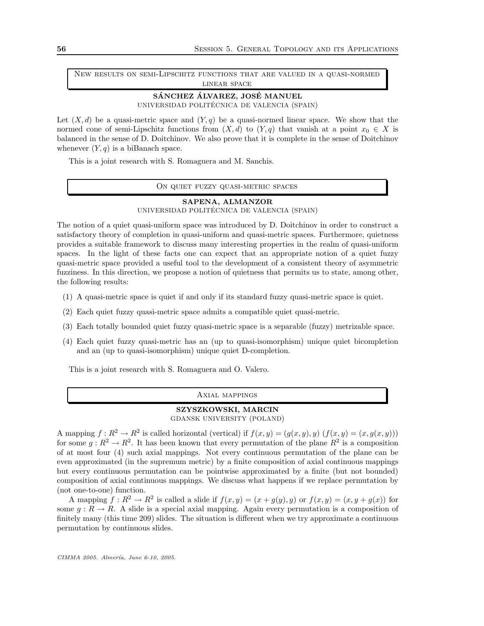New results on semi-Lipschitz functions that are valued in a quasi-normed linear space

#### SÁNCHEZ ÁLVAREZ, JOSÉ MANUEL UNIVERSIDAD POLITÉCNICA DE VALENCIA (SPAIN)

Let  $(X, d)$  be a quasi-metric space and  $(Y, q)$  be a quasi-normed linear space. We show that the normed cone of semi-Lipschitz functions from  $(X, d)$  to  $(Y, q)$  that vanish at a point  $x_0 \in X$  is balanced in the sense of D. Doitchinov. We also prove that it is complete in the sense of Doitchinov whenever  $(Y, q)$  is a biBanach space.

This is a joint research with S. Romaguera and M. Sanchis.

On quiet fuzzy quasi-metric spaces

## SAPENA, ALMANZOR

UNIVERSIDAD POLITÉCNICA DE VALENCIA (SPAIN)

The notion of a quiet quasi-uniform space was introduced by D. Doitchinov in order to construct a satisfactory theory of completion in quasi-uniform and quasi-metric spaces. Furthermore, quietness provides a suitable framework to discuss many interesting properties in the realm of quasi-uniform spaces. In the light of these facts one can expect that an appropriate notion of a quiet fuzzy quasi-metric space provided a useful tool to the development of a consistent theory of asymmetric fuzziness. In this direction, we propose a notion of quietness that permits us to state, among other, the following results:

- (1) A quasi-metric space is quiet if and only if its standard fuzzy quasi-metric space is quiet.
- (2) Each quiet fuzzy quasi-metric space admits a compatible quiet quasi-metric.
- (3) Each totally bounded quiet fuzzy quasi-metric space is a separable (fuzzy) metrizable space.
- (4) Each quiet fuzzy quasi-metric has an (up to quasi-isomorphism) unique quiet bicompletion and an (up to quasi-isomorphism) unique quiet D-completion.

This is a joint research with S. Romaguera and O. Valero.

#### Axial mappings

# SZYSZKOWSKI, MARCIN

GDANSK UNIVERSITY (POLAND)

A mapping  $f: \mathbb{R}^2 \to \mathbb{R}^2$  is called horizontal (vertical) if  $f(x, y) = (g(x, y), y) (f(x, y) = (x, g(x, y)))$ for some  $g: \mathbb{R}^2 \to \mathbb{R}^2$ . It has been known that every permutation of the plane  $\mathbb{R}^2$  is a composition of at most four (4) such axial mappings. Not every continuous permutation of the plane can be even approximated (in the supremum metric) by a finite composition of axial continuous mappings but every continuous permutation can be pointwise approximated by a finite (but not bounded) composition of axial continuous mappings. We discuss what happens if we replace permutation by (not one-to-one) function.

A mapping  $f: R^2 \to R^2$  is called a slide if  $f(x, y) = (x + g(y), y)$  or  $f(x, y) = (x, y + g(x))$  for some  $g: R \to R$ . A slide is a special axial mapping. Again every permutation is a composition of finitely many (this time 209) slides. The situation is different when we try approximate a continuous permutation by continuous slides.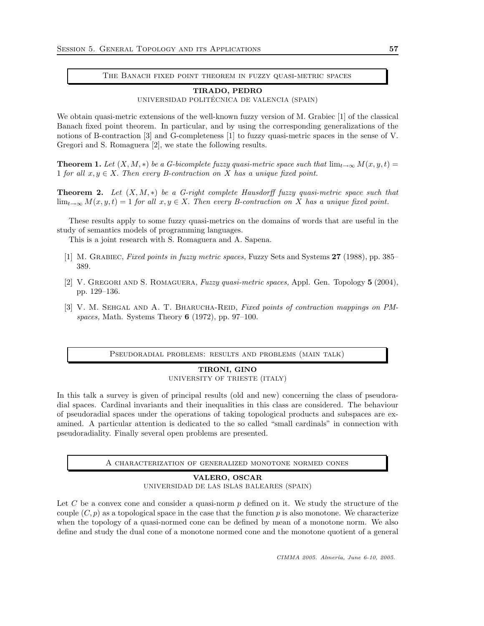The Banach fixed point theorem in fuzzy quasi-metric spaces

#### TIRADO, PEDRO

UNIVERSIDAD POLITÉCNICA DE VALENCIA (SPAIN)

We obtain quasi-metric extensions of the well-known fuzzy version of M. Grabiec [1] of the classical Banach fixed point theorem. In particular, and by using the corresponding generalizations of the notions of B-contraction [3] and G-completeness [1] to fuzzy quasi-metric spaces in the sense of V. Gregori and S. Romaguera [2], we state the following results.

**Theorem 1.** Let  $(X, M, *)$  be a G-bicomplete fuzzy quasi-metric space such that  $\lim_{t\to\infty} M(x, y, t)$  = 1 for all  $x, y \in X$ . Then every B-contraction on X has a unique fixed point.

**Theorem 2.** Let  $(X, M, *)$  be a G-right complete Hausdorff fuzzy quasi-metric space such that  $\lim_{t\to\infty} M(x, y, t) = 1$  for all  $x, y \in X$ . Then every B-contraction on X has a unique fixed point.

These results apply to some fuzzy quasi-metrics on the domains of words that are useful in the study of semantics models of programming languages.

This is a joint research with S. Romaguera and A. Sapena.

- [1] M. GRABIEC, Fixed points in fuzzy metric spaces, Fuzzy Sets and Systems 27 (1988), pp. 385– 389.
- [2] V. Gregori and S. Romaguera, Fuzzy quasi-metric spaces, Appl. Gen. Topology 5 (2004), pp. 129–136.
- [3] V. M. SEHGAL AND A. T. BHARUCHA-REID, Fixed points of contraction mappings on PMspaces, Math. Systems Theory  $6$  (1972), pp. 97–100.

Pseudoradial problems: results and problems (main talk)

#### TIRONI, GINO

UNIVERSITY OF TRIESTE (ITALY)

In this talk a survey is given of principal results (old and new) concerning the class of pseudoradial spaces. Cardinal invariants and their inequalities in this class are considered. The behaviour of pseudoradial spaces under the operations of taking topological products and subspaces are examined. A particular attention is dedicated to the so called "small cardinals" in connection with pseudoradiality. Finally several open problems are presented.

A characterization of generalized monotone normed cones

VALERO, OSCAR UNIVERSIDAD DE LAS ISLAS BALEARES (SPAIN)

Let  $C$  be a convex cone and consider a quasi-norm  $p$  defined on it. We study the structure of the couple  $(C, p)$  as a topological space in the case that the function p is also monotone. We characterize when the topology of a quasi-normed cone can be defined by mean of a monotone norm. We also define and study the dual cone of a monotone normed cone and the monotone quotient of a general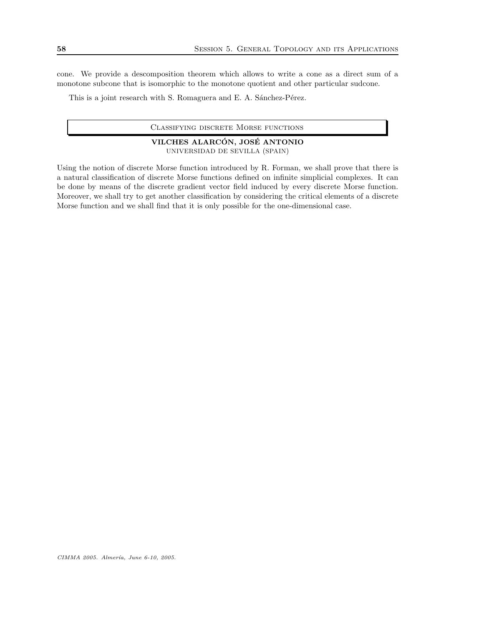cone. We provide a descomposition theorem which allows to write a cone as a direct sum of a monotone subcone that is isomorphic to the monotone quotient and other particular sudcone.

This is a joint research with S. Romaguera and E. A. Sánchez-Pérez.

## VILCHES ALARCÓN, JOSÉ ANTONIO UNIVERSIDAD DE SEVILLA (SPAIN)

Using the notion of discrete Morse function introduced by R. Forman, we shall prove that there is a natural classification of discrete Morse functions defined on infinite simplicial complexes. It can be done by means of the discrete gradient vector field induced by every discrete Morse function. Moreover, we shall try to get another classification by considering the critical elements of a discrete Morse function and we shall find that it is only possible for the one-dimensional case.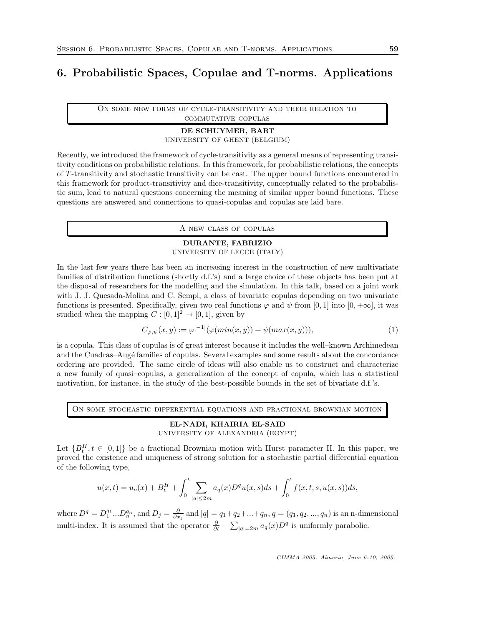# 6. Probabilistic Spaces, Copulae and T-norms. Applications

On some new forms of cycle-transitivity and their relation to commutative copulas

# DE SCHUYMER, BART

UNIVERSITY OF GHENT (BELGIUM)

Recently, we introduced the framework of cycle-transitivity as a general means of representing transitivity conditions on probabilistic relations. In this framework, for probabilistic relations, the concepts of T -transitivity and stochastic transitivity can be cast. The upper bound functions encountered in this framework for product-transitivity and dice-transitivity, conceptually related to the probabilistic sum, lead to natural questions concerning the meaning of similar upper bound functions. These questions are answered and connections to quasi-copulas and copulas are laid bare.

A new class of copulas

# DURANTE, FABRIZIO

UNIVERSITY OF LECCE (ITALY)

In the last few years there has been an increasing interest in the construction of new multivariate families of distribution functions (shortly d.f.'s) and a large choice of these objects has been put at the disposal of researchers for the modelling and the simulation. In this talk, based on a joint work with J. J. Quesada-Molina and C. Sempi, a class of bivariate copulas depending on two univariate functions is presented. Specifically, given two real functions  $\varphi$  and  $\psi$  from [0, 1] into [0, + $\infty$ ], it was studied when the mapping  $C:[0,1]^2\rightarrow[0,1],$  given by

$$
C_{\varphi,\psi}(x,y) := \varphi^{[-1]}(\varphi(\min(x,y)) + \psi(\max(x,y))),\tag{1}
$$

is a copula. This class of copulas is of great interest because it includes the well–known Archimedean and the Cuadras–Augé families of copulas. Several examples and some results about the concordance ordering are provided. The same circle of ideas will also enable us to construct and characterize a new family of quasi–copulas, a generalization of the concept of copula, which has a statistical motivation, for instance, in the study of the best-possible bounds in the set of bivariate d.f.'s.

On some stochastic differential equations and fractional brownian motion

#### EL-NADI, KHAIRIA EL-SAID UNIVERSITY OF ALEXANDRIA (EGYPT)

Let  ${B_t^H, t \in [0,1]}$  be a fractional Brownian motion with Hurst parameter H. In this paper, we proved the existence and uniqueness of strong solution for a stochastic partial differential equation of the following type,

$$
u(x,t) = u_o(x) + B_t^H + \int_0^t \sum_{|q| \le 2m} a_q(x) D^q u(x,s) ds + \int_0^t f(x,t,s,u(x,s)) ds,
$$

where  $D^q = D_1^{q_1} ... D_n^{q_n}$ , and  $D_j = \frac{\partial}{\partial x_j}$  and  $|q| = q_1 + q_2 + ... + q_n$ ,  $q = (q_1, q_2, ..., q_n)$  is an n-dimensional multi-index. It is assumed that the operator  $\frac{\partial}{\partial t} - \sum_{|q|=2m} a_q(x) D^q$  is uniformly parabolic.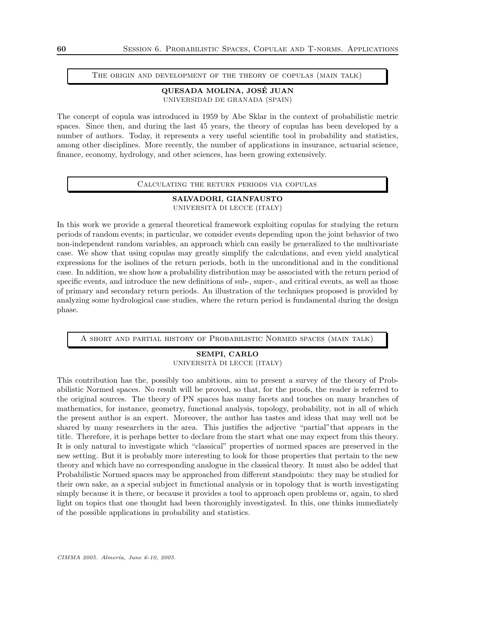#### The origin and development of the theory of copulas (main talk)

## QUESADA MOLINA, JOSE JUAN ´ UNIVERSIDAD DE GRANADA (SPAIN)

The concept of copula was introduced in 1959 by Abe Sklar in the context of probabilistic metric spaces. Since then, and during the last 45 years, the theory of copulas has been developed by a number of authors. Today, it represents a very useful scientific tool in probability and statistics, among other disciplines. More recently, the number of applications in insurance, actuarial science, finance, economy, hydrology, and other sciences, has been growing extensively.

#### Calculating the return periods via copulas

## SALVADORI, GIANFAUSTO UNIVERSITÀ DI LECCE (ITALY)

In this work we provide a general theoretical framework exploiting copulas for studying the return periods of random events; in particular, we consider events depending upon the joint behavior of two non-independent random variables, an approach which can easily be generalized to the multivariate case. We show that using copulas may greatly simplify the calculations, and even yield analytical expressions for the isolines of the return periods, both in the unconditional and in the conditional case. In addition, we show how a probability distribution may be associated with the return period of specific events, and introduce the new definitions of sub-, super-, and critical events, as well as those of primary and secondary return periods. An illustration of the techniques proposed is provided by analyzing some hydrological case studies, where the return period is fundamental during the design phase.

A short and partial history of Probabilistic Normed spaces (main talk)

# SEMPI, CARLO UNIVERSITÀ DI LECCE (ITALY)

This contribution has the, possibly too ambitious, aim to present a survey of the theory of Probabilistic Normed spaces. No result will be proved, so that, for the proofs, the reader is referred to the original sources. The theory of PN spaces has many facets and touches on many branches of mathematics, for instance, geometry, functional analysis, topology, probability, not in all of which the present author is an expert. Moreover, the author has tastes and ideas that may well not be shared by many researchers in the area. This justifies the adjective "partial"that appears in the title. Therefore, it is perhaps better to declare from the start what one may expect from this theory. It is only natural to investigate which "classical" properties of normed spaces are preserved in the new setting. But it is probably more interesting to look for those properties that pertain to the new theory and which have no corresponding analogue in the classical theory. It must also be added that Probabilistic Normed spaces may be approached from different standpoints: they may be studied for their own sake, as a special subject in functional analysis or in topology that is worth investigating simply because it is there, or because it provides a tool to approach open problems or, again, to shed light on topics that one thought had been thoroughly investigated. In this, one thinks immediately of the possible applications in probability and statistics.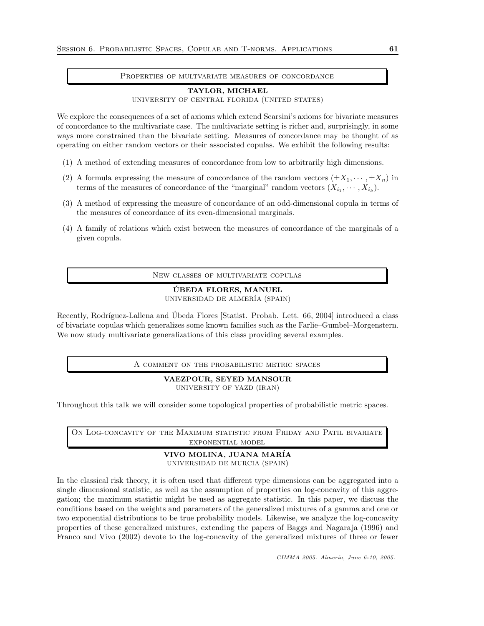#### Properties of multvariate measures of concordance

#### TAYLOR, MICHAEL

UNIVERSITY OF CENTRAL FLORIDA (UNITED STATES)

We explore the consequences of a set of axioms which extend Scarsini's axioms for bivariate measures of concordance to the multivariate case. The multivariate setting is richer and, surprisingly, in some ways more constrained than the bivariate setting. Measures of concordance may be thought of as operating on either random vectors or their associated copulas. We exhibit the following results:

- (1) A method of extending measures of concordance from low to arbitrarily high dimensions.
- (2) A formula expressing the measure of concordance of the random vectors  $(\pm X_1, \dots, \pm X_n)$  in terms of the measures of concordance of the "marginal" random vectors  $(X_{i_1}, \dots, X_{i_k})$ .
- (3) A method of expressing the measure of concordance of an odd-dimensional copula in terms of the measures of concordance of its even-dimensional marginals.
- (4) A family of relations which exist between the measures of concordance of the marginals of a given copula.

New classes of multivariate copulas

# UBEDA FLORES, MANUEL ´

UNIVERSIDAD DE ALMER´IA (SPAIN)

Recently, Rodríguez-Lallena and Ubeda Flores [Statist. Probab. Lett. 66, 2004] introduced a class of bivariate copulas which generalizes some known families such as the Farlie–Gumbel–Morgenstern. We now study multivariate generalizations of this class providing several examples.

A comment on the probabilistic metric spaces

VAEZPOUR, SEYED MANSOUR UNIVERSITY OF YAZD (IRAN)

Throughout this talk we will consider some topological properties of probabilistic metric spaces.

ON LOG-CONCAVITY OF THE MAXIMUM STATISTIC FROM FRIDAY AND PATIL BIVARIATE exponential model

#### VIVO MOLINA, JUANA MAR´IA UNIVERSIDAD DE MURCIA (SPAIN)

In the classical risk theory, it is often used that different type dimensions can be aggregated into a single dimensional statistic, as well as the assumption of properties on log-concavity of this aggregation; the maximum statistic might be used as aggregate statistic. In this paper, we discuss the conditions based on the weights and parameters of the generalized mixtures of a gamma and one or two exponential distributions to be true probability models. Likewise, we analyze the log-concavity properties of these generalized mixtures, extending the papers of Baggs and Nagaraja (1996) and Franco and Vivo (2002) devote to the log-concavity of the generalized mixtures of three or fewer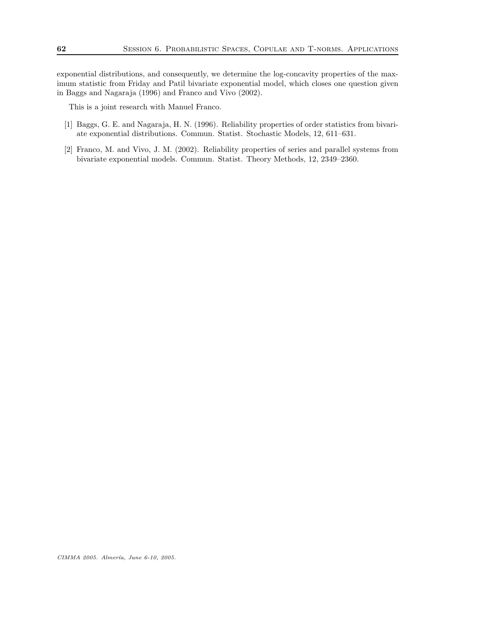exponential distributions, and consequently, we determine the log-concavity properties of the maximum statistic from Friday and Patil bivariate exponential model, which closes one question given in Baggs and Nagaraja (1996) and Franco and Vivo (2002).

This is a joint research with Manuel Franco.

- [1] Baggs, G. E. and Nagaraja, H. N. (1996). Reliability properties of order statistics from bivariate exponential distributions. Commun. Statist. Stochastic Models, 12, 611–631.
- [2] Franco, M. and Vivo, J. M. (2002). Reliability properties of series and parallel systems from bivariate exponential models. Commun. Statist. Theory Methods, 12, 2349–2360.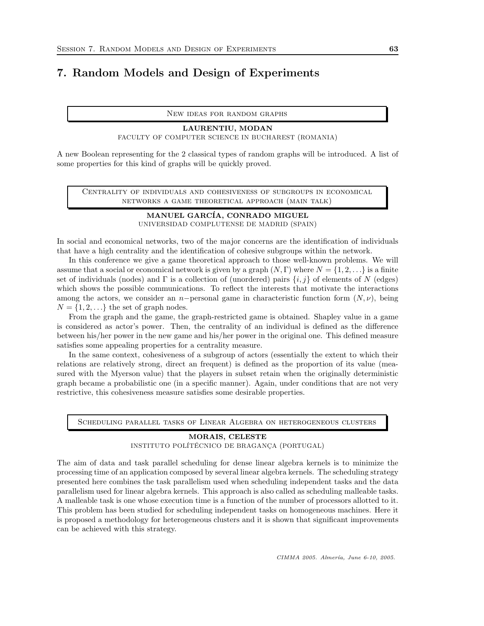# 7. Random Models and Design of Experiments

New ideas for random graphs

# LAURENTIU, MODAN FACULTY OF COMPUTER SCIENCE IN BUCHAREST (ROMANIA)

A new Boolean representing for the 2 classical types of random graphs will be introduced. A list of some properties for this kind of graphs will be quickly proved.

Centrality of individuals and cohesiveness of subgroups in economical networks a game theoretical approach (main talk)

# MANUEL GARCÍA, CONRADO MIGUEL UNIVERSIDAD COMPLUTENSE DE MADRID (SPAIN)

In social and economical networks, two of the major concerns are the identification of individuals that have a high centrality and the identification of cohesive subgroups within the network.

In this conference we give a game theoretical approach to those well-known problems. We will assume that a social or economical network is given by a graph  $(N, \Gamma)$  where  $N = \{1, 2, \ldots\}$  is a finite set of individuals (nodes) and Γ is a collection of (unordered) pairs  $\{i, j\}$  of elements of N (edges) which shows the possible communications. To reflect the interests that motivate the interactions among the actors, we consider an n−personal game in characteristic function form  $(N, \nu)$ , being  $N = \{1, 2, \ldots\}$  the set of graph nodes.

From the graph and the game, the graph-restricted game is obtained. Shapley value in a game is considered as actor's power. Then, the centrality of an individual is defined as the difference between his/her power in the new game and his/her power in the original one. This defined measure satisfies some appealing properties for a centrality measure.

In the same context, cohesiveness of a subgroup of actors (essentially the extent to which their relations are relatively strong, direct an frequent) is defined as the proportion of its value (measured with the Myerson value) that the players in subset retain when the originally deterministic graph became a probabilistic one (in a specific manner). Again, under conditions that are not very restrictive, this cohesiveness measure satisfies some desirable properties.

Scheduling parallel tasks of Linear Algebra on heterogeneous clusters

## MORAIS, CELESTE

#### INSTITUTO POLÍTÉCNICO DE BRAGANÇA (PORTUGAL)

The aim of data and task parallel scheduling for dense linear algebra kernels is to minimize the processing time of an application composed by several linear algebra kernels. The scheduling strategy presented here combines the task parallelism used when scheduling independent tasks and the data parallelism used for linear algebra kernels. This approach is also called as scheduling malleable tasks. A malleable task is one whose execution time is a function of the number of processors allotted to it. This problem has been studied for scheduling independent tasks on homogeneous machines. Here it is proposed a methodology for heterogeneous clusters and it is shown that significant improvements can be achieved with this strategy.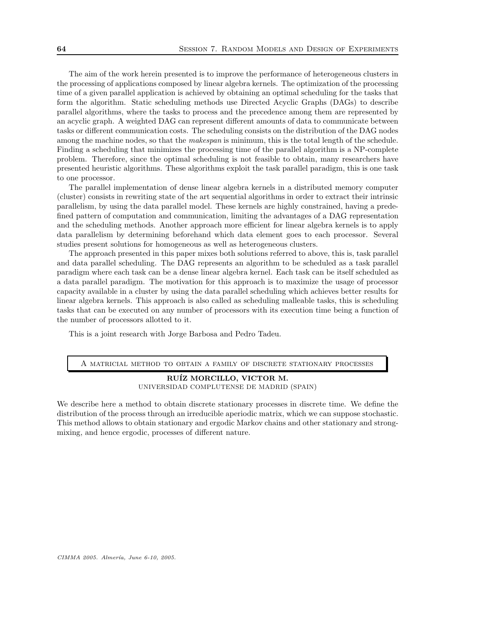The aim of the work herein presented is to improve the performance of heterogeneous clusters in the processing of applications composed by linear algebra kernels. The optimization of the processing time of a given parallel application is achieved by obtaining an optimal scheduling for the tasks that form the algorithm. Static scheduling methods use Directed Acyclic Graphs (DAGs) to describe parallel algorithms, where the tasks to process and the precedence among them are represented by an acyclic graph. A weighted DAG can represent different amounts of data to communicate between tasks or different communication costs. The scheduling consists on the distribution of the DAG nodes among the machine nodes, so that the *makespan* is minimum, this is the total length of the schedule. Finding a scheduling that minimizes the processing time of the parallel algorithm is a NP-complete problem. Therefore, since the optimal scheduling is not feasible to obtain, many researchers have presented heuristic algorithms. These algorithms exploit the task parallel paradigm, this is one task to one processor.

The parallel implementation of dense linear algebra kernels in a distributed memory computer (cluster) consists in rewriting state of the art sequential algorithms in order to extract their intrinsic parallelism, by using the data parallel model. These kernels are highly constrained, having a predefined pattern of computation and communication, limiting the advantages of a DAG representation and the scheduling methods. Another approach more efficient for linear algebra kernels is to apply data parallelism by determining beforehand which data element goes to each processor. Several studies present solutions for homogeneous as well as heterogeneous clusters.

The approach presented in this paper mixes both solutions referred to above, this is, task parallel and data parallel scheduling. The DAG represents an algorithm to be scheduled as a task parallel paradigm where each task can be a dense linear algebra kernel. Each task can be itself scheduled as a data parallel paradigm. The motivation for this approach is to maximize the usage of processor capacity available in a cluster by using the data parallel scheduling which achieves better results for linear algebra kernels. This approach is also called as scheduling malleable tasks, this is scheduling tasks that can be executed on any number of processors with its execution time being a function of the number of processors allotted to it.

This is a joint research with Jorge Barbosa and Pedro Tadeu.

#### A matricial method to obtain a family of discrete stationary processes

RUÍZ MORCILLO, VICTOR M. UNIVERSIDAD COMPLUTENSE DE MADRID (SPAIN)

We describe here a method to obtain discrete stationary processes in discrete time. We define the distribution of the process through an irreducible aperiodic matrix, which we can suppose stochastic. This method allows to obtain stationary and ergodic Markov chains and other stationary and strongmixing, and hence ergodic, processes of different nature.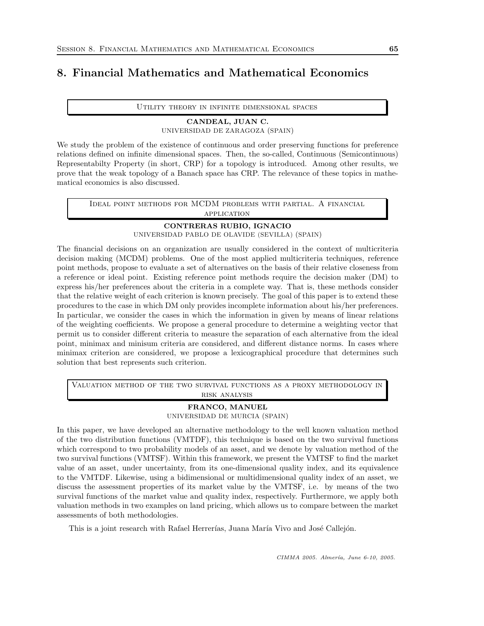# 8. Financial Mathematics and Mathematical Economics

Utility theory in infinite dimensional spaces

# CANDEAL, JUAN C. UNIVERSIDAD DE ZARAGOZA (SPAIN)

We study the problem of the existence of continuous and order preserving functions for preference relations defined on infinite dimensional spaces. Then, the so-called, Continuous (Semicontinuous) Representabilty Property (in short, CRP) for a topology is introduced. Among other results, we prove that the weak topology of a Banach space has CRP. The relevance of these topics in mathematical economics is also discussed.

Ideal point methods for MCDM problems with partial. A financial application

# CONTRERAS RUBIO, IGNACIO

UNIVERSIDAD PABLO DE OLAVIDE (SEVILLA) (SPAIN)

The financial decisions on an organization are usually considered in the context of multicriteria decision making (MCDM) problems. One of the most applied multicriteria techniques, reference point methods, propose to evaluate a set of alternatives on the basis of their relative closeness from a reference or ideal point. Existing reference point methods require the decision maker (DM) to express his/her preferences about the criteria in a complete way. That is, these methods consider that the relative weight of each criterion is known precisely. The goal of this paper is to extend these procedures to the case in which DM only provides incomplete information about his/her preferences. In particular, we consider the cases in which the information in given by means of linear relations of the weighting coefficients. We propose a general procedure to determine a weighting vector that permit us to consider different criteria to measure the separation of each alternative from the ideal point, minimax and minisum criteria are considered, and different distance norms. In cases where minimax criterion are considered, we propose a lexicographical procedure that determines such solution that best represents such criterion.

Valuation method of the two survival functions as a proxy methodology in risk analysis

# FRANCO, MANUEL UNIVERSIDAD DE MURCIA (SPAIN)

In this paper, we have developed an alternative methodology to the well known valuation method of the two distribution functions (VMTDF), this technique is based on the two survival functions which correspond to two probability models of an asset, and we denote by valuation method of the two survival functions (VMTSF). Within this framework, we present the VMTSF to find the market value of an asset, under uncertainty, from its one-dimensional quality index, and its equivalence to the VMTDF. Likewise, using a bidimensional or multidimensional quality index of an asset, we discuss the assessment properties of its market value by the VMTSF, i.e. by means of the two survival functions of the market value and quality index, respectively. Furthermore, we apply both valuation methods in two examples on land pricing, which allows us to compare between the market assessments of both methodologies.

This is a joint research with Rafael Herrerías, Juana María Vivo and José Callejón.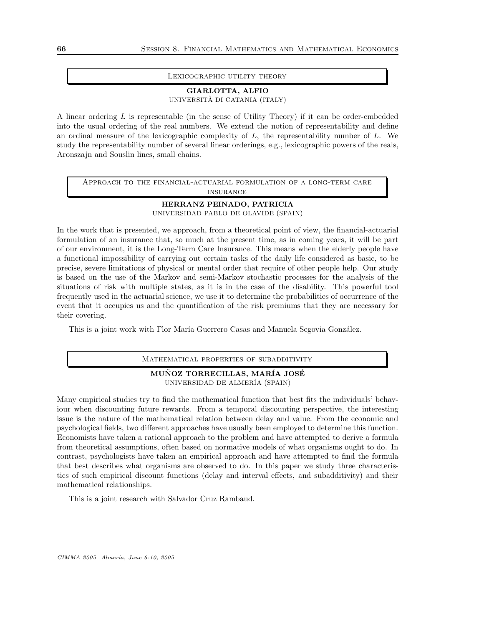#### Lexicographic utility theory

# GIARLOTTA, ALFIO

UNIVERSITÀ DI CATANIA (ITALY)

A linear ordering  $L$  is representable (in the sense of Utility Theory) if it can be order-embedded into the usual ordering of the real numbers. We extend the notion of representability and define an ordinal measure of the lexicographic complexity of  $L$ , the representability number of  $L$ . We study the representability number of several linear orderings, e.g., lexicographic powers of the reals, Aronszajn and Souslin lines, small chains.

Approach to the financial-actuarial formulation of a long-term care insurance

## HERRANZ PEINADO, PATRICIA UNIVERSIDAD PABLO DE OLAVIDE (SPAIN)

In the work that is presented, we approach, from a theoretical point of view, the financial-actuarial formulation of an insurance that, so much at the present time, as in coming years, it will be part of our environment, it is the Long-Term Care Insurance. This means when the elderly people have a functional impossibility of carrying out certain tasks of the daily life considered as basic, to be precise, severe limitations of physical or mental order that require of other people help. Our study is based on the use of the Markov and semi-Markov stochastic processes for the analysis of the situations of risk with multiple states, as it is in the case of the disability. This powerful tool frequently used in the actuarial science, we use it to determine the probabilities of occurrence of the event that it occupies us and the quantification of the risk premiums that they are necessary for their covering.

This is a joint work with Flor María Guerrero Casas and Manuela Segovia González.

Mathematical properties of subadditivity

### MUÑOZ TORRECILLAS, MARÍA JOSÉ UNIVERSIDAD DE ALMER´IA (SPAIN)

Many empirical studies try to find the mathematical function that best fits the individuals' behaviour when discounting future rewards. From a temporal discounting perspective, the interesting issue is the nature of the mathematical relation between delay and value. From the economic and psychological fields, two different approaches have usually been employed to determine this function. Economists have taken a rational approach to the problem and have attempted to derive a formula from theoretical assumptions, often based on normative models of what organisms ought to do. In contrast, psychologists have taken an empirical approach and have attempted to find the formula that best describes what organisms are observed to do. In this paper we study three characteristics of such empirical discount functions (delay and interval effects, and subadditivity) and their mathematical relationships.

This is a joint research with Salvador Cruz Rambaud.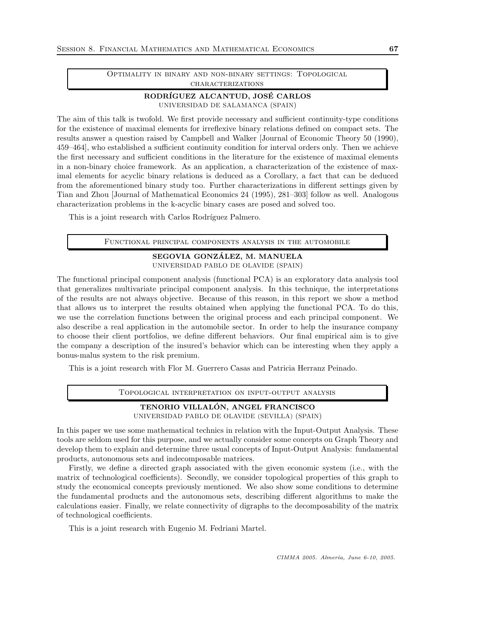Optimality in binary and non-binary settings: Topological **CHARACTERIZATIONS** 

# RODRÍGUEZ ALCANTUD, JOSÉ CARLOS UNIVERSIDAD DE SALAMANCA (SPAIN)

The aim of this talk is twofold. We first provide necessary and sufficient continuity-type conditions for the existence of maximal elements for irreflexive binary relations defined on compact sets. The results answer a question raised by Campbell and Walker [Journal of Economic Theory 50 (1990), 459–464], who established a sufficient continuity condition for interval orders only. Then we achieve the first necessary and sufficient conditions in the literature for the existence of maximal elements in a non-binary choice framework. As an application, a characterization of the existence of maximal elements for acyclic binary relations is deduced as a Corollary, a fact that can be deduced from the aforementioned binary study too. Further characterizations in different settings given by Tian and Zhou [Journal of Mathematical Economics 24 (1995), 281–303] follow as well. Analogous characterization problems in the k-acyclic binary cases are posed and solved too.

This is a joint research with Carlos Rodríguez Palmero.

Functional principal components analysis in the automobile

# SEGOVIA GONZÁLEZ, M. MANUELA UNIVERSIDAD PABLO DE OLAVIDE (SPAIN)

The functional principal component analysis (functional PCA) is an exploratory data analysis tool that generalizes multivariate principal component analysis. In this technique, the interpretations of the results are not always objective. Because of this reason, in this report we show a method that allows us to interpret the results obtained when applying the functional PCA. To do this, we use the correlation functions between the original process and each principal component. We also describe a real application in the automobile sector. In order to help the insurance company to choose their client portfolios, we define different behaviors. Our final empirical aim is to give the company a description of the insured's behavior which can be interesting when they apply a bonus-malus system to the risk premium.

This is a joint research with Flor M. Guerrero Casas and Patricia Herranz Peinado.

Topological interpretation on input-output analysis

# TENORIO VILLALON, ANGEL FRANCISCO ´

UNIVERSIDAD PABLO DE OLAVIDE (SEVILLA) (SPAIN)

In this paper we use some mathematical technics in relation with the Input-Output Analysis. These tools are seldom used for this purpose, and we actually consider some concepts on Graph Theory and develop them to explain and determine three usual concepts of Input-Output Analysis: fundamental products, autonomous sets and indecomposable matrices.

Firstly, we define a directed graph associated with the given economic system (i.e., with the matrix of technological coefficients). Secondly, we consider topological properties of this graph to study the economical concepts previously mentioned. We also show some conditions to determine the fundamental products and the autonomous sets, describing different algorithms to make the calculations easier. Finally, we relate connectivity of digraphs to the decomposability of the matrix of technological coefficients.

This is a joint research with Eugenio M. Fedriani Martel.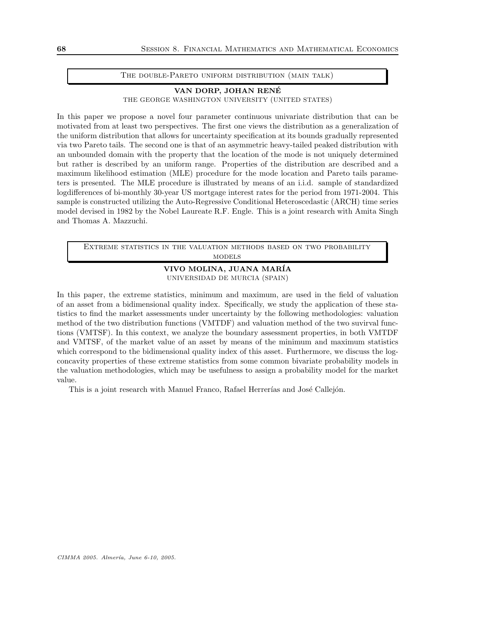#### THE DOUBLE-PARETO UNIFORM DISTRIBUTION (MAIN TALK)

## VAN DORP, JOHAN RENE´ THE GEORGE WASHINGTON UNIVERSITY (UNITED STATES)

In this paper we propose a novel four parameter continuous univariate distribution that can be motivated from at least two perspectives. The first one views the distribution as a generalization of the uniform distribution that allows for uncertainty specification at its bounds gradually represented via two Pareto tails. The second one is that of an asymmetric heavy-tailed peaked distribution with an unbounded domain with the property that the location of the mode is not uniquely determined but rather is described by an uniform range. Properties of the distribution are described and a maximum likelihood estimation (MLE) procedure for the mode location and Pareto tails parameters is presented. The MLE procedure is illustrated by means of an i.i.d. sample of standardized logdifferences of bi-monthly 30-year US mortgage interest rates for the period from 1971-2004. This sample is constructed utilizing the Auto-Regressive Conditional Heteroscedastic (ARCH) time series model devised in 1982 by the Nobel Laureate R.F. Engle. This is a joint research with Amita Singh and Thomas A. Mazzuchi.

Extreme statistics in the valuation methods based on two probability **MODELS** 

## VIVO MOLINA, JUANA MAR´IA UNIVERSIDAD DE MURCIA (SPAIN)

In this paper, the extreme statistics, minimum and maximum, are used in the field of valuation of an asset from a bidimensional quality index. Specifically, we study the application of these statistics to find the market assessments under uncertainty by the following methodologies: valuation method of the two distribution functions (VMTDF) and valuation method of the two suvirval functions (VMTSF). In this context, we analyze the boundary assessment properties, in both VMTDF and VMTSF, of the market value of an asset by means of the minimum and maximum statistics which correspond to the bidimensional quality index of this asset. Furthermore, we discuss the logconcavity properties of these extreme statistics from some common bivariate probability models in the valuation methodologies, which may be usefulness to assign a probability model for the market value.

This is a joint research with Manuel Franco, Rafael Herrerías and José Callejón.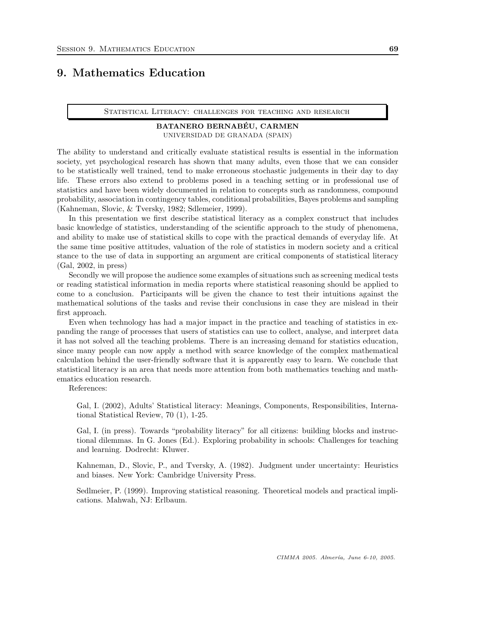# 9. Mathematics Education

STATISTICAL LITERACY: CHALLENGES FOR TEACHING AND RESEARCH

# BATANERO BERNABEU, CARMEN ´ UNIVERSIDAD DE GRANADA (SPAIN)

The ability to understand and critically evaluate statistical results is essential in the information society, yet psychological research has shown that many adults, even those that we can consider to be statistically well trained, tend to make erroneous stochastic judgements in their day to day life. These errors also extend to problems posed in a teaching setting or in professional use of statistics and have been widely documented in relation to concepts such as randomness, compound probability, association in contingency tables, conditional probabilities, Bayes problems and sampling (Kahneman, Slovic, & Tversky, 1982; Sdlemeier, 1999).

In this presentation we first describe statistical literacy as a complex construct that includes basic knowledge of statistics, understanding of the scientific approach to the study of phenomena, and ability to make use of statistical skills to cope with the practical demands of everyday life. At the same time positive attitudes, valuation of the role of statistics in modern society and a critical stance to the use of data in supporting an argument are critical components of statistical literacy (Gal, 2002, in press)

Secondly we will propose the audience some examples of situations such as screening medical tests or reading statistical information in media reports where statistical reasoning should be applied to come to a conclusion. Participants will be given the chance to test their intuitions against the mathematical solutions of the tasks and revise their conclusions in case they are mislead in their first approach.

Even when technology has had a major impact in the practice and teaching of statistics in expanding the range of processes that users of statistics can use to collect, analyse, and interpret data it has not solved all the teaching problems. There is an increasing demand for statistics education, since many people can now apply a method with scarce knowledge of the complex mathematical calculation behind the user-friendly software that it is apparently easy to learn. We conclude that statistical literacy is an area that needs more attention from both mathematics teaching and mathematics education research.

References:

Gal, I. (2002), Adults' Statistical literacy: Meanings, Components, Responsibilities, International Statistical Review, 70 (1), 1-25.

Gal, I. (in press). Towards "probability literacy" for all citizens: building blocks and instructional dilemmas. In G. Jones (Ed.). Exploring probability in schools: Challenges for teaching and learning. Dodrecht: Kluwer.

Kahneman, D., Slovic, P., and Tversky, A. (1982). Judgment under uncertainty: Heuristics and biases. New York: Cambridge University Press.

Sedlmeier, P. (1999). Improving statistical reasoning. Theoretical models and practical implications. Mahwah, NJ: Erlbaum.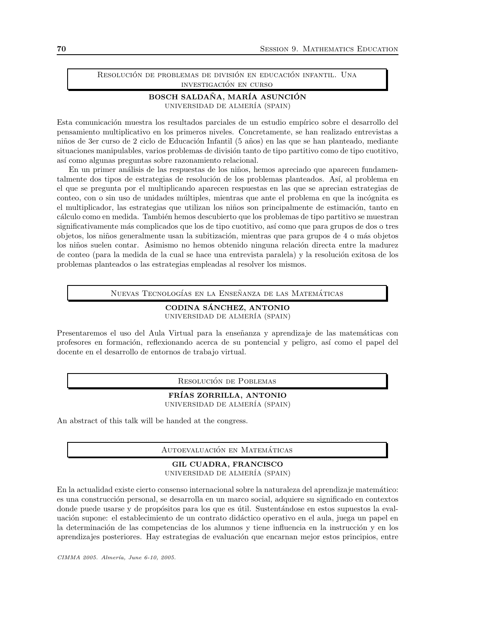## RESOLUCIÓN DE PROBLEMAS DE DIVISIÓN EN EDUCACIÓN INFANTIL. UNA investigacion en curso ´

# BOSCH SALDAÑA, MARÍA ASUNCIÓN UNIVERSIDAD DE ALMER´IA (SPAIN)

Esta comunicación muestra los resultados parciales de un estudio empírico sobre el desarrollo del pensamiento multiplicativo en los primeros niveles. Concretamente, se han realizado entrevistas a niños de 3er curso de 2 ciclo de Educación Infantil (5 años) en las que se han planteado, mediante situaciones manipulables, varios problemas de división tanto de tipo partitivo como de tipo cuotitivo, así como algunas preguntas sobre razonamiento relacional.

En un primer análisis de las respuestas de los niños, hemos apreciado que aparecen fundamentalmente dos tipos de estrategias de resolución de los problemas planteados. Así, al problema en el que se pregunta por el multiplicando aparecen respuestas en las que se aprecian estrategias de conteo, con o sin uso de unidades múltiples, mientras que ante el problema en que la incógnita es el multiplicador, las estrategias que utilizan los niños son principalmente de estimación, tanto en cálculo como en medida. También hemos descubierto que los problemas de tipo partitivo se muestran significativamente más complicados que los de tipo cuotitivo, así como que para grupos de dos o tres objetos, los niños generalmente usan la subitización, mientras que para grupos de 4 o más objetos los niños suelen contar. Asimismo no hemos obtenido ninguna relación directa entre la madurez de conteo (para la medida de la cual se hace una entrevista paralela) y la resolución exitosa de los problemas planteados o las estrategias empleadas al resolver los mismos.

NUEVAS TECNOLOGÍAS EN LA ENSEÑANZA DE LAS MATEMÁTICAS

## CODINA SANCHEZ, ANTONIO ´ UNIVERSIDAD DE ALMER´IA (SPAIN)

Presentaremos el uso del Aula Virtual para la enseñanza y aprendizaje de las matemáticas con profesores en formación, reflexionando acerca de su pontencial y peligro, así como el papel del docente en el desarrollo de entornos de trabajo virtual.

RESOLUCIÓN DE POBLEMAS

## FRÍAS ZORRILLA, ANTONIO UNIVERSIDAD DE ALMER´IA (SPAIN)

An abstract of this talk will be handed at the congress.

AUTOEVALUACIÓN EN MATEMÁTICAS

## GIL CUADRA, FRANCISCO UNIVERSIDAD DE ALMER´IA (SPAIN)

En la actualidad existe cierto consenso internacional sobre la naturaleza del aprendizaje matem´atico: es una construcción personal, se desarrolla en un marco social, adquiere su significado en contextos donde puede usarse y de propósitos para los que es útil. Sustentándose en estos supuestos la evaluación supone: el establecimiento de un contrato didáctico operativo en el aula, juega un papel en la determinación de las competencias de los alumnos y tiene influencia en la instrucción y en los aprendizajes posteriores. Hay estrategias de evaluación que encarnan mejor estos principios, entre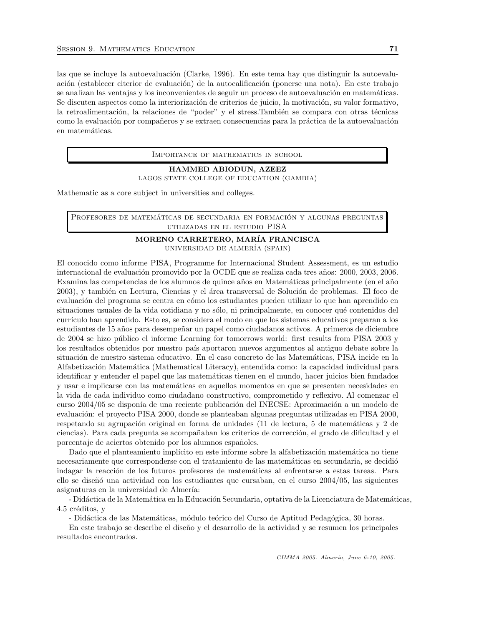las que se incluye la autoevaluación (Clarke, 1996). En este tema hay que distinguir la autoevaluación (establecer citerior de evaluación) de la autocalificación (ponerse una nota). En este trabajo se analizan las ventajas y los inconvenientes de seguir un proceso de autoevaluación en matemáticas. Se discuten aspectos como la interiorización de criterios de juicio, la motivación, su valor formativo, la retroalimentación, la relaciones de "poder" y el stress.También se compara con otras técnicas como la evaluación por compañeros y se extraen consecuencias para la práctica de la autoevaluación en matemáticas.

Importance of mathematics in school

HAMMED ABIODUN, AZEEZ LAGOS STATE COLLEGE OF EDUCATION (GAMBIA)

Mathematic as a core subject in universities and colleges.

PROFESORES DE MATEMÁTICAS DE SECUNDARIA EN FORMACIÓN Y ALGUNAS PREGUNTAS utilizadas en el estudio PISA

## MORENO CARRETERO, MAR´IA FRANCISCA UNIVERSIDAD DE ALMER´IA (SPAIN)

El conocido como informe PISA, Programme for Internacional Student Assessment, es un estudio internacional de evaluación promovido por la OCDE que se realiza cada tres años: 2000, 2003, 2006. Examina las competencias de los alumnos de quince años en Matemáticas principalmente (en el año 2003), y también en Lectura, Ciencias y el área transversal de Solución de problemas. El foco de evaluación del programa se centra en cómo los estudiantes pueden utilizar lo que han aprendido en situaciones usuales de la vida cotidiana y no sólo, ni principalmente, en conocer qué contenidos del curr´ıculo han aprendido. Esto es, se considera el modo en que los sistemas educativos preparan a los estudiantes de 15 años para desempeñar un papel como ciudadanos activos. A primeros de diciembre de 2004 se hizo público el informe Learning for tomorrows world: first results from PISA 2003 y los resultados obtenidos por nuestro país aportaron nuevos argumentos al antiguo debate sobre la situación de nuestro sistema educativo. En el caso concreto de las Matemáticas, PISA incide en la Alfabetización Matemática (Mathematical Literacy), entendida como: la capacidad individual para identificar y entender el papel que las matem´aticas tienen en el mundo, hacer juicios bien fundados y usar e implicarse con las matem´aticas en aquellos momentos en que se presenten necesidades en la vida de cada individuo como ciudadano constructivo, comprometido y reflexivo. Al comenzar el curso 2004/05 se disponía de una reciente publicación del INECSE: Aproximación a un modelo de evaluación: el proyecto PISA 2000, donde se planteaban algunas preguntas utilizadas en PISA 2000, respetando su agrupación original en forma de unidades (11 de lectura, 5 de matemáticas y 2 de ciencias). Para cada pregunta se acompañaban los criterios de corrección, el grado de dificultad y el porcentaje de aciertos obtenido por los alumnos espa˜noles.

Dado que el planteamiento implícito en este informe sobre la alfabetización matemática no tiene necesariamente que corresponderse con el tratamiento de las matemáticas en secundaria, se decidió indagar la reacción de los futuros profesores de matemáticas al enfrentarse a estas tareas. Para ello se diseñó una actividad con los estudiantes que cursaban, en el curso  $2004/05$ , las siguientes asignaturas en la universidad de Almería:

- Didáctica de la Matemática en la Educación Secundaria, optativa de la Licenciatura de Matemáticas, 4.5 créditos, y

- Didáctica de las Matemáticas, módulo teórico del Curso de Aptitud Pedagógica, 30 horas.

En este trabajo se describe el diseño y el desarrollo de la actividad y se resumen los principales resultados encontrados.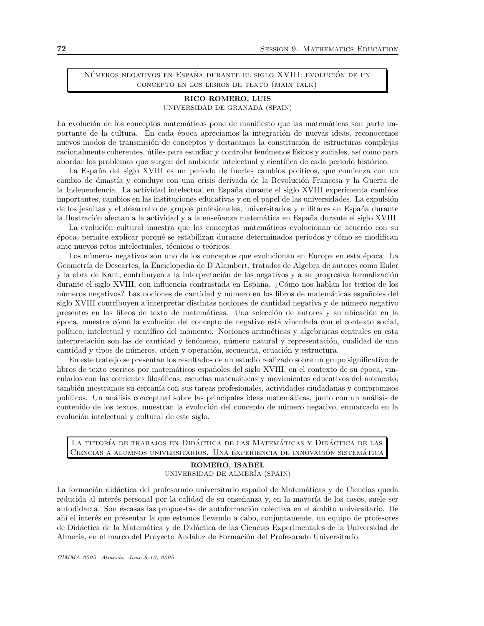NÚMEROS NEGATIVOS EN ESPAÑA DURANTE EL SIGLO XVIII: EVOLUCIÓN DE UN concepto en los libros de texto (main talk)

# RICO ROMERO, LUIS UNIVERSIDAD DE GRANADA (SPAIN)

La evolución de los conceptos matemáticos pone de manifiesto que las matemáticas son parte importante de la cultura. En cada época apreciamos la integración de nuevas ideas, reconocemos nuevos modos de transmisión de conceptos y destacamos la constitución de estructuras complejas racionalmente coherentes, útiles para estudiar y controlar fenómenos físicos y sociales, así como para abordar los problemas que surgen del ambiente intelectual y científico de cada periodo histórico.

La España del siglo XVIII es un periodo de fuertes cambios políticos, que comienza con un cambio de dinastía y concluye con una crisis derivada de la Revolución Francesa y la Guerra de la Independencia. La actividad intelectual en España durante el siglo XVIII experimenta cambios importantes, cambios en las instituciones educativas y en el papel de las universidades. La expulsión de los jesuitas y el desarrollo de grupos profesionales, universitarios y militares en España durante la Ilustración afectan a la actividad y a la enseñanza matemática en España durante el siglo XVIII.

La evolución cultural muestra que los conceptos matemáticos evolucionan de acuerdo con su ´epoca, permite explicar porqu´e se estabilizan durante determinados periodos y c´omo se modifican ante nuevos retos intelectuales, técnicos o teóricos.

Los números negativos son uno de los conceptos que evolucionan en Europa en esta época. La Geometría de Descartes, la Enciclopedia de D'Alambert, tratados de Álgebra de autores como Euler y la obra de Kant, contribuyen a la interpretación de los negativos y a su progresiva formalización durante el siglo XVIII, con influencia contrastada en España. ¿Cómo nos hablan los textos de los números negativos? Las nociones de cantidad y número en los libros de matemáticas españoles del siglo XVIII contribuyen a interpretar distintas nociones de cantidad negativa y de número negativo presentes en los libros de texto de matemáticas. Una selección de autores y su ubicación en la  $época$ , muestra cómo la evolución del concepto de negativo está vinculada con el contexto social, político, intelectual y científico del momento. Nociones aritméticas y algebraicas centrales en esta interpretación son las de cantidad y fenómeno, número natural y representación, cualidad de una cantidad y tipos de números, orden y operación, secuencia, ecuación y estructura.

En este trabajo se presentan los resultados de un estudio realizado sobre un grupo significativo de libros de texto escritos por matemáticos españoles del siglo XVIII, en el contexto de su época, vinculados con las corrientes filosóficas, escuelas matemáticas y movimientos educativos del momento; también mostramos su cercanía con sus tareas profesionales, actividades ciudadanas y compromisos políticos. Un análisis conceptual sobre las principales ideas matemáticas, junto con un análisis de contenido de los textos, muestran la evolución del concepto de número negativo, enmarcado en la evolución intelectual y cultural de este siglo.

La tutoría de trabajos en Didáctica de las Matemáticas y Didáctica de las Ciencias a alumnos universitarios. Una experiencia de innovación sistemática

# ROMERO, ISABEL UNIVERSIDAD DE ALMER´IA (SPAIN)

La formación didáctica del profesorado universitario español de Matemáticas y de Ciencias queda reducida al interés personal por la calidad de su enseñanza y, en la mayoría de los casos, suele ser autodidacta. Son escasas las propuestas de autoformación colectiva en el ámbito universitario. De ahí el interés en presentar la que estamos llevando a cabo, conjuntamente, un equipo de profesores de Did´actica de la Matem´atica y de Did´actica de las Ciencias Experimentales de la Universidad de Almería, en el marco del Proyecto Andaluz de Formación del Profesorado Universitario.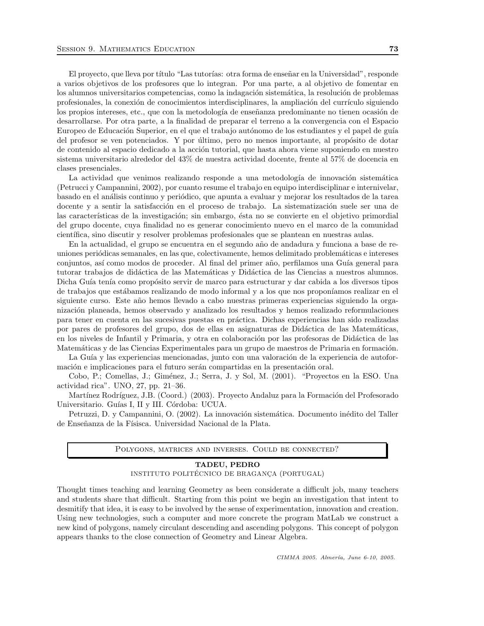El proyecto, que lleva por título "Las tutorías: otra forma de enseñar en la Universidad", responde a varios objetivos de los profesores que lo integran. Por una parte, a al objetivo de fomentar en los alumnos universitarios competencias, como la indagación sistemática, la resolución de problemas profesionales, la conexión de conocimientos interdisciplinares, la ampliación del currículo siguiendo los propios intereses, etc., que con la metodología de enseñanza predominante no tienen ocasión de desarrollarse. Por otra parte, a la finalidad de preparar el terreno a la convergencia con el Espacio Europeo de Educación Superior, en el que el trabajo autónomo de los estudiantes y el papel de guía del profesor se ven potenciados. Y por último, pero no menos importante, al propósito de dotar de contenido al espacio dedicado a la acción tutorial, que hasta ahora viene suponiendo en nuestro sistema universitario alrededor del 43% de nuestra actividad docente, frente al 57% de docencia en clases presenciales.

La actividad que venimos realizando responde a una metodología de innovación sistemática (Petrucci y Campannini, 2002), por cuanto resume el trabajo en equipo interdisciplinar e internivelar, basado en el análisis continuo y periódico, que apunta a evaluar y mejorar los resultados de la tarea docente y a sentir la satisfacción en el proceso de trabajo. La sistematización suele ser una de las características de la investigación; sin embargo, ésta no se convierte en el objetivo primordial del grupo docente, cuya finalidad no es generar conocimiento nuevo en el marco de la comunidad científica, sino discutir y resolver problemas profesionales que se plantean en nuestras aulas.

En la actualidad, el grupo se encuentra en el segundo a˜no de andadura y funciona a base de reuniones periódicas semanales, en las que, colectivamente, hemos delimitado problemáticas e intereses conjuntos, así como modos de proceder. Al final del primer año, perfilamos una Guía general para tutorar trabajos de didáctica de las Matemáticas y Didáctica de las Ciencias a nuestros alumnos. Dicha Guía tenía como propósito servir de marco para estructurar y dar cabida a los diversos tipos de trabajos que estábamos realizando de modo informal y a los que nos proponíamos realizar en el siguiente curso. Este año hemos llevado a cabo nuestras primeras experiencias siguiendo la organización planeada, hemos observado y analizado los resultados y hemos realizado reformulaciones para tener en cuenta en las sucesivas puestas en pr´actica. Dichas experiencias han sido realizadas por pares de profesores del grupo, dos de ellas en asignaturas de Did´actica de las Matem´aticas, en los niveles de Infantil y Primaria, y otra en colaboración por las profesoras de Didáctica de las Matemáticas y de las Ciencias Experimentales para un grupo de maestros de Primaria en formación.

La Guía y las experiencias mencionadas, junto con una valoración de la experiencia de autoformación e implicaciones para el futuro serán compartidas en la presentación oral.

Cobo, P.; Comellas, J.; Giménez, J.; Serra, J. y Sol, M. (2001). "Proyectos en la ESO. Una actividad rica". UNO, 27, pp. 21–36.

Martínez Rodríguez, J.B. (Coord.) (2003). Proyecto Andaluz para la Formación del Profesorado Universitario. Guías I, II y III. Córdoba: UCUA.

Petruzzi, D. y Campannini, O. (2002). La innovación sistemática. Documento inédito del Taller de Enseñanza de la Físisca. Universidad Nacional de la Plata.

Polygons, matrices and inverses. Could be connected?

#### TADEU, PEDRO INSTITUTO POLITÉCNICO DE BRAGANÇA (PORTUGAL)

Thought times teaching and learning Geometry as been considerate a difficult job, many teachers and students share that difficult. Starting from this point we begin an investigation that intent to desmitify that idea, it is easy to be involved by the sense of experimentation, innovation and creation. Using new technologies, such a computer and more concrete the program MatLab we construct a new kind of polygons, namely circulant descending and ascending polygons. This concept of polygon appears thanks to the close connection of Geometry and Linear Algebra.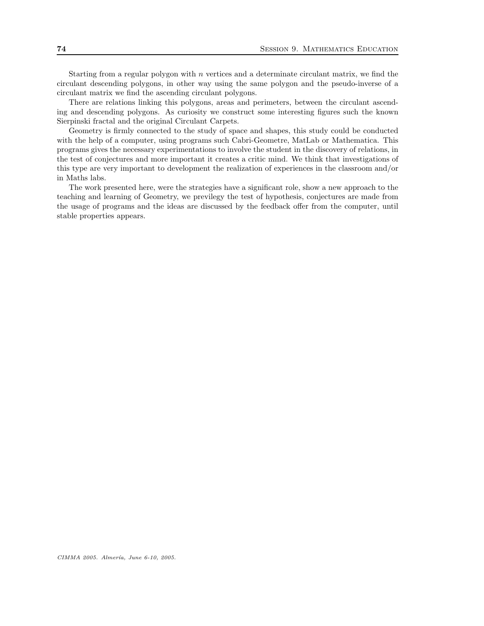Starting from a regular polygon with  $n$  vertices and a determinate circulant matrix, we find the circulant descending polygons, in other way using the same polygon and the pseudo-inverse of a circulant matrix we find the ascending circulant polygons.

There are relations linking this polygons, areas and perimeters, between the circulant ascending and descending polygons. As curiosity we construct some interesting figures such the known Sierpinski fractal and the original Circulant Carpets.

Geometry is firmly connected to the study of space and shapes, this study could be conducted with the help of a computer, using programs such Cabri-Geometre, MatLab or Mathematica. This programs gives the necessary experimentations to involve the student in the discovery of relations, in the test of conjectures and more important it creates a critic mind. We think that investigations of this type are very important to development the realization of experiences in the classroom and/or in Maths labs.

The work presented here, were the strategies have a significant role, show a new approach to the teaching and learning of Geometry, we previlegy the test of hypothesis, conjectures are made from the usage of programs and the ideas are discussed by the feedback offer from the computer, until stable properties appears.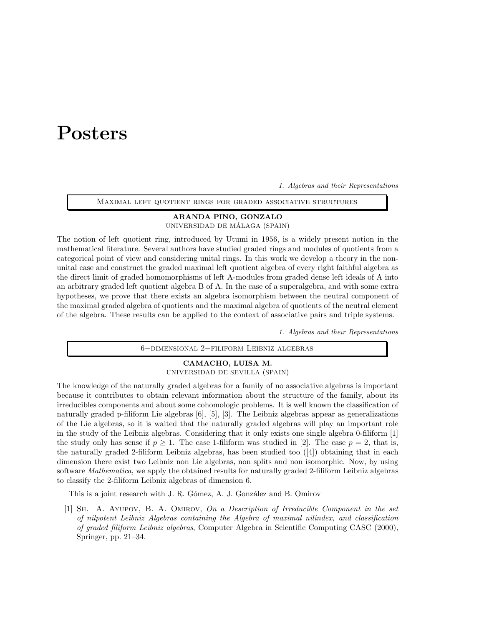# Posters

1. Algebras and their Representations

Maximal left quotient rings for graded associative structures

# ARANDA PINO, GONZALO

UNIVERSIDAD DE MÁLAGA (SPAIN)

The notion of left quotient ring, introduced by Utumi in 1956, is a widely present notion in the mathematical literature. Several authors have studied graded rings and modules of quotients from a categorical point of view and considering unital rings. In this work we develop a theory in the nonunital case and construct the graded maximal left quotient algebra of every right faithful algebra as the direct limit of graded homomorphisms of left A-modules from graded dense left ideals of A into an arbitrary graded left quotient algebra B of A. In the case of a superalgebra, and with some extra hypotheses, we prove that there exists an algebra isomorphism between the neutral component of the maximal graded algebra of quotients and the maximal algebra of quotients of the neutral element of the algebra. These results can be applied to the context of associative pairs and triple systems.

1. Algebras and their Representations

6−dimensional 2−filiform Leibniz algebras

#### CAMACHO, LUISA M. UNIVERSIDAD DE SEVILLA (SPAIN)

The knowledge of the naturally graded algebras for a family of no associative algebras is important because it contributes to obtain relevant information about the structure of the family, about its irreducibles components and about some cohomologic problems. It is well known the classification of naturally graded p-filiform Lie algebras [6], [5], [3]. The Leibniz algebras appear as generalizations of the Lie algebras, so it is waited that the naturally graded algebras will play an important role in the study of the Leibniz algebras. Considering that it only exists one single algebra 0-filiform [1] the study only has sense if  $p \geq 1$ . The case 1-filiform was studied in [2]. The case  $p = 2$ , that is, the naturally graded 2-filiform Leibniz algebras, has been studied too ([4]) obtaining that in each dimension there exist two Leibniz non Lie algebras, non splits and non isomorphic. Now, by using software *Mathematica*, we apply the obtained results for naturally graded 2-filiform Leibniz algebras to classify the 2-filiform Leibniz algebras of dimension 6.

This is a joint research with J. R. Gómez, A. J. González and B. Omirov

[1] Sh. A. Ayupov, B. A. Omirov, On a Description of Irreducible Component in the set of nilpotent Leibniz Algebras containing the Algebra of maximal nilindex, and classification of graded filiform Leibniz algebras, Computer Algebra in Scientific Computing CASC (2000), Springer, pp. 21–34.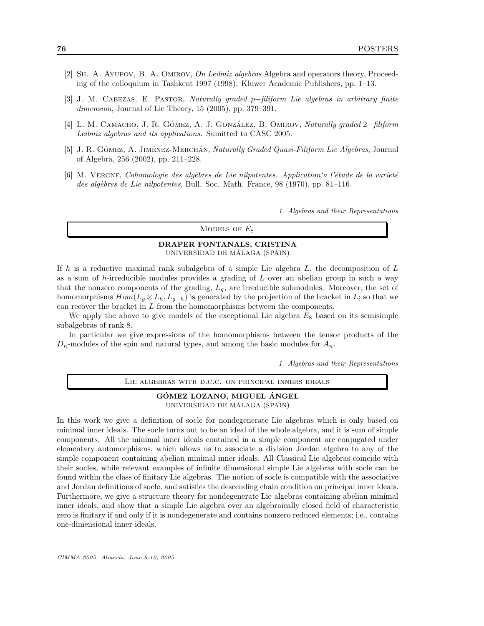- [2] SH. A. AYUPOV, B. A. OMIROV, On Leibniz algebras Algebra and operators theory, Proceeding of the colloquium in Tashkent 1997 (1998). Kluwer Academic Publishers, pp. 1–13.
- [3] J. M. Cabezas, E. Pastor, Naturally graded p−filiform Lie algebras in arbitrary finite dimension, Journal of Lie Theory, 15 (2005), pp. 379–391.
- [4] L. M. CAMACHO, J. R. GÓMEZ, A. J. GONZÁLEZ, B. OMIROV, *Naturally graded* 2−*filiform* Leibniz algebras and its applications. Sumitted to CASC 2005.
- [5] J. R. GÓMEZ, A. JIMÉNEZ-MERCHÁN, Naturally Graded Quasi-Filiform Lie Algebras, Journal of Algebra, 256 (2002), pp. 211–228.
- $[6]$  M. VERGNE, Cohomologie des algèbres de Lie nilpotentes. Application'a l'étude de la varieté des algèbres de Lie nilpotentes, Bull. Soc. Math. France, 98 (1970), pp. 81-116.

1. Algebras and their Representations

MODELS OF  $E_8$ 

#### DRAPER FONTANALS, CRISTINA UNIVERSIDAD DE MÁLAGA (SPAIN)

If h is a reductive maximal rank subalgebra of a simple Lie algebra  $L$ , the decomposition of  $L$ as a sum of  $h$ -irreducible modules provides a grading of  $L$  over an abelian group in such a way that the nonzero components of the grading,  $L_q$ , are irreducible submodules. Moreover, the set of homomorphisms  $Hom(L_q \otimes L_h, L_{q+h})$  is generated by the projection of the bracket in L; so that we can recover the bracket in L from the homomorphisms between the components.

We apply the above to give models of the exceptional Lie algebra  $E_8$  based on its semisimple subalgebras of rank 8.

In particular we give expressions of the homomorphisms between the tensor products of the  $D_n$ -modules of the spin and natural types, and among the basic modules for  $A_n$ .

1. Algebras and their Representations

Lie algebras with d.c.c. on principal inners ideals

#### GÓMEZ LOZANO, MIGUEL ÁNGEL UNIVERSIDAD DE MÁLAGA (SPAIN)

In this work we give a definition of socle for nondegenerate Lie algebras which is only based on minimal inner ideals. The socle turns out to be an ideal of the whole algebra, and it is sum of simple components. All the minimal inner ideals contained in a simple component are conjugated under elementary automorphisms, which allows us to associate a division Jordan algebra to any of the simple component containing abelian minimal inner ideals. All Classical Lie algebras coincide with their socles, while relevant examples of infinite dimensional simple Lie algebras with socle can be found within the class of finitary Lie algebras. The notion of socle is compatible with the associative and Jordan definitions of socle, and satisfies the descending chain condition on principal inner ideals. Furthermore, we give a structure theory for nondegenerate Lie algebras containing abelian minimal inner ideals, and show that a simple Lie algebra over an algebraically closed field of characteristic zero is finitary if and only if it is nondegenerate and contains nonzero reduced elements; i.e., contains one-dimensional inner ideals.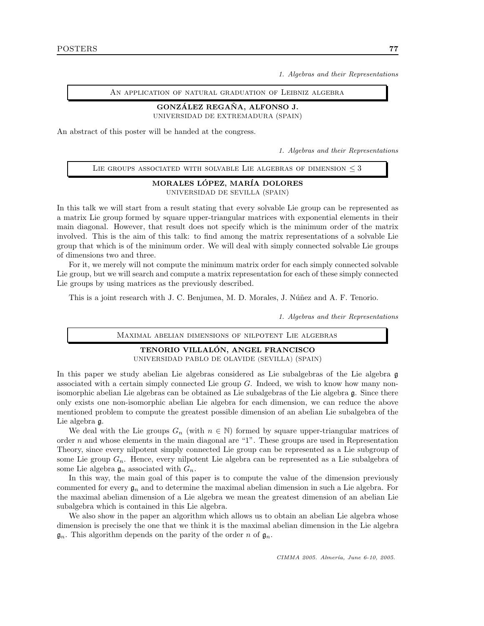1. Algebras and their Representations

An application of natural graduation of Leibniz algebra

### GONZÁLEZ REGANA, ALFONSO J.

UNIVERSIDAD DE EXTREMADURA (SPAIN)

An abstract of this poster will be handed at the congress.

1. Algebras and their Representations

| LIE GROUPS ASSOCIATED WITH SOLVABLE LIE ALGEBRAS OF DIMENSION $\leq$ 3 |  |
|------------------------------------------------------------------------|--|
|------------------------------------------------------------------------|--|

#### MORALES LÓPEZ, MARÍA DOLORES

UNIVERSIDAD DE SEVILLA (SPAIN)

In this talk we will start from a result stating that every solvable Lie group can be represented as a matrix Lie group formed by square upper-triangular matrices with exponential elements in their main diagonal. However, that result does not specify which is the minimum order of the matrix involved. This is the aim of this talk: to find among the matrix representations of a solvable Lie group that which is of the minimum order. We will deal with simply connected solvable Lie groups of dimensions two and three.

For it, we merely will not compute the minimum matrix order for each simply connected solvable Lie group, but we will search and compute a matrix representation for each of these simply connected Lie groups by using matrices as the previously described.

This is a joint research with J. C. Benjumea, M. D. Morales, J. Núñez and A. F. Tenorio.

1. Algebras and their Representations

#### Maximal abelian dimensions of nilpotent Lie algebras

# TENORIO VILLALON, ANGEL FRANCISCO ´

UNIVERSIDAD PABLO DE OLAVIDE (SEVILLA) (SPAIN)

In this paper we study abelian Lie algebras considered as Lie subalgebras of the Lie algebra g associated with a certain simply connected Lie group  $G$ . Indeed, we wish to know how many nonisomorphic abelian Lie algebras can be obtained as Lie subalgebras of the Lie algebra g. Since there only exists one non-isomorphic abelian Lie algebra for each dimension, we can reduce the above mentioned problem to compute the greatest possible dimension of an abelian Lie subalgebra of the Lie algebra g.

We deal with the Lie groups  $G_n$  (with  $n \in \mathbb{N}$ ) formed by square upper-triangular matrices of order n and whose elements in the main diagonal are "1". These groups are used in Representation Theory, since every nilpotent simply connected Lie group can be represented as a Lie subgroup of some Lie group  $G_n$ . Hence, every nilpotent Lie algebra can be represented as a Lie subalgebra of some Lie algebra  $\mathfrak{g}_n$  associated with  $G_n$ .

In this way, the main goal of this paper is to compute the value of the dimension previously commented for every  $\mathfrak{g}_n$  and to determine the maximal abelian dimension in such a Lie algebra. For the maximal abelian dimension of a Lie algebra we mean the greatest dimension of an abelian Lie subalgebra which is contained in this Lie algebra.

We also show in the paper an algorithm which allows us to obtain an abelian Lie algebra whose dimension is precisely the one that we think it is the maximal abelian dimension in the Lie algebra  $\mathfrak{g}_n$ . This algorithm depends on the parity of the order n of  $\mathfrak{g}_n$ .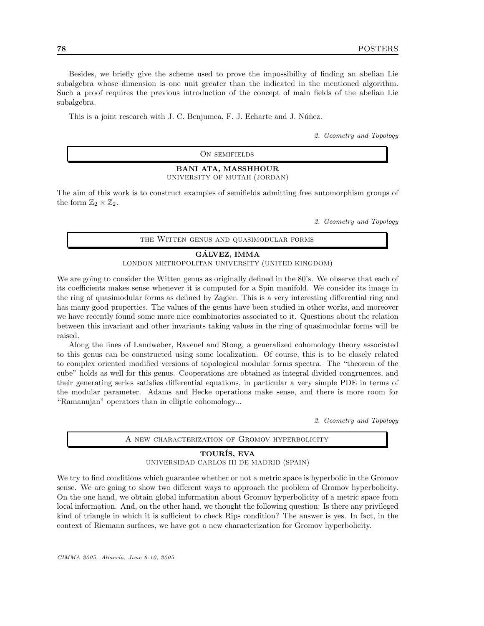Besides, we briefly give the scheme used to prove the impossibility of finding an abelian Lie subalgebra whose dimension is one unit greater than the indicated in the mentioned algorithm. Such a proof requires the previous introduction of the concept of main fields of the abelian Lie subalgebra.

This is a joint research with J. C. Benjumea, F. J. Echarte and J. Núñez.

2. Geometry and Topology

ON SEMIFIELDS

#### BANI ATA, MASSHHOUR UNIVERSITY OF MUTAH (JORDAN)

The aim of this work is to construct examples of semifields admitting free automorphism groups of the form  $\mathbb{Z}_2 \times \mathbb{Z}_2$ .

2. Geometry and Topology

the Witten genus and quasimodular forms

#### GALVEZ, IMMA ´

LONDON METROPOLITAN UNIVERSITY (UNITED KINGDOM)

We are going to consider the Witten genus as originally defined in the 80's. We observe that each of its coefficients makes sense whenever it is computed for a Spin manifold. We consider its image in the ring of quasimodular forms as defined by Zagier. This is a very interesting differential ring and has many good properties. The values of the genus have been studied in other works, and moreover we have recently found some more nice combinatorics associated to it. Questions about the relation between this invariant and other invariants taking values in the ring of quasimodular forms will be raised.

Along the lines of Landweber, Ravenel and Stong, a generalized cohomology theory associated to this genus can be constructed using some localization. Of course, this is to be closely related to complex oriented modified versions of topological modular forms spectra. The "theorem of the cube" holds as well for this genus. Cooperations are obtained as integral divided congruences, and their generating series satisfies differential equations, in particular a very simple PDE in terms of the modular parameter. Adams and Hecke operations make sense, and there is more room for "Ramanujan" operators than in elliptic cohomology...

2. Geometry and Topology

| A NEW CHARACTERIZATION OF GROMOV HYPERBOLICITY |  |
|------------------------------------------------|--|
|                                                |  |

#### TOURIS, EVA UNIVERSIDAD CARLOS III DE MADRID (SPAIN)

We try to find conditions which guarantee whether or not a metric space is hyperbolic in the Gromov sense. We are going to show two different ways to approach the problem of Gromov hyperbolicity. On the one hand, we obtain global information about Gromov hyperbolicity of a metric space from local information. And, on the other hand, we thought the following question: Is there any privileged kind of triangle in which it is sufficient to check Rips condition? The answer is yes. In fact, in the context of Riemann surfaces, we have got a new characterization for Gromov hyperbolicity.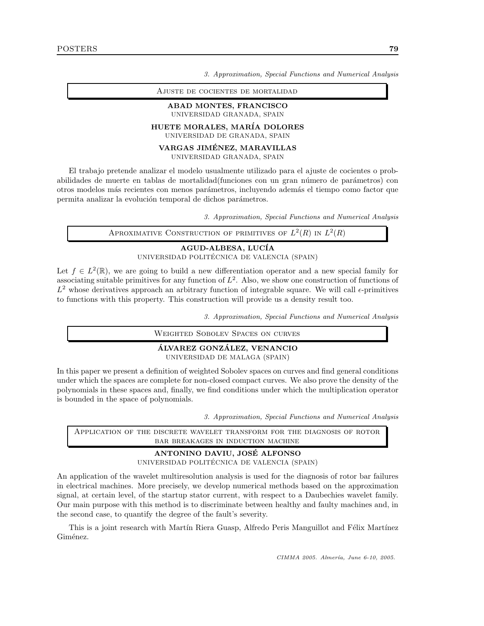Ajuste de cocientes de mortalidad

#### ABAD MONTES, FRANCISCO UNIVERSIDAD GRANADA, SPAIN

### HUETE MORALES, MAR´IA DOLORES

UNIVERSIDAD DE GRANADA, SPAIN

#### VARGAS JIMENEZ, MARAVILLAS ´

UNIVERSIDAD GRANADA, SPAIN

El trabajo pretende analizar el modelo usualmente utilizado para el ajuste de cocientes o probabilidades de muerte en tablas de mortalidad(funciones con un gran número de parámetros) con otros modelos m´as recientes con menos par´ametros, incluyendo adem´as el tiempo como factor que permita analizar la evolución temporal de dichos parámetros.

3. Approximation, Special Functions and Numerical Analysis

APROXIMATIVE CONSTRUCTION OF PRIMITIVES OF  $L^2(R)$  in  $L^2(R)$ 

## AGUD-ALBESA, LUCÍA UNIVERSIDAD POLITÉCNICA DE VALENCIA (SPAIN)

Let  $f \in L^2(\mathbb{R})$ , we are going to build a new differentiation operator and a new special family for associating suitable primitives for any function of  $L^2$ . Also, we show one construction of functions of  $L^2$  whose derivatives approach an arbitrary function of integrable square. We will call  $\epsilon$ -primitives to functions with this property. This construction will provide us a density result too.

3. Approximation, Special Functions and Numerical Analysis

Weighted Sobolev Spaces on curves

#### ÁLVAREZ GONZÁLEZ, VENANCIO UNIVERSIDAD DE MALAGA (SPAIN)

In this paper we present a definition of weighted Sobolev spaces on curves and find general conditions under which the spaces are complete for non-closed compact curves. We also prove the density of the polynomials in these spaces and, finally, we find conditions under which the multiplication operator is bounded in the space of polynomials.

3. Approximation, Special Functions and Numerical Analysis

Application of the discrete wavelet transform for the diagnosis of rotor bar breakages in induction machine

#### ANTONINO DAVIU, JOSE ALFONSO ´

UNIVERSIDAD POLITÉCNICA DE VALENCIA (SPAIN)

An application of the wavelet multiresolution analysis is used for the diagnosis of rotor bar failures in electrical machines. More precisely, we develop numerical methods based on the approximation signal, at certain level, of the startup stator current, with respect to a Daubechies wavelet family. Our main purpose with this method is to discriminate between healthy and faulty machines and, in the second case, to quantify the degree of the fault's severity.

This is a joint research with Martín Riera Guasp, Alfredo Peris Manguillot and Félix Martínez Giménez.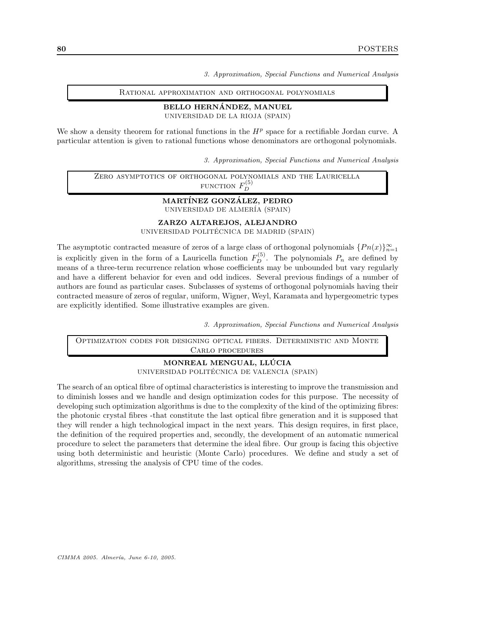Rational approximation and orthogonal polynomials

#### BELLO HERNÁNDEZ, MANUEL

UNIVERSIDAD DE LA RIOJA (SPAIN)

We show a density theorem for rational functions in the  $H<sup>p</sup>$  space for a rectifiable Jordan curve. A particular attention is given to rational functions whose denominators are orthogonal polynomials.

3. Approximation, Special Functions and Numerical Analysis

Zero asymptotics of orthogonal polynomials and the Lauricella FUNCTION  $F_D^{(5)}$ D

#### MARTÍNEZ GONZÁLEZ, PEDRO UNIVERSIDAD DE ALMER´IA (SPAIN)

ZARZO ALTAREJOS, ALEJANDRO

UNIVERSIDAD POLITÉCNICA DE MADRID (SPAIN)

The asymptotic contracted measure of zeros of a large class of orthogonal polynomials  $\{Pn(x)\}_{n=1}^{\infty}$ is explicitly given in the form of a Lauricella function  $F_D^{(5)}$ . The polynomials  $P_n$  are defined by means of a three-term recurrence relation whose coefficients may be unbounded but vary regularly and have a different behavior for even and odd indices. Several previous findings of a number of authors are found as particular cases. Subclasses of systems of orthogonal polynomials having their contracted measure of zeros of regular, uniform, Wigner, Weyl, Karamata and hypergeometric types are explicitly identified. Some illustrative examples are given.

3. Approximation, Special Functions and Numerical Analysis

Optimization codes for designing optical fibers. Deterministic and Monte Carlo procedures

> MONREAL MENGUAL, LLÚCIA UNIVERSIDAD POLITÉCNICA DE VALENCIA (SPAIN)

The search of an optical fibre of optimal characteristics is interesting to improve the transmission and to diminish losses and we handle and design optimization codes for this purpose. The necessity of developing such optimization algorithms is due to the complexity of the kind of the optimizing fibres: the photonic crystal fibres -that constitute the last optical fibre generation and it is supposed that they will render a high technological impact in the next years. This design requires, in first place, the definition of the required properties and, secondly, the development of an automatic numerical procedure to select the parameters that determine the ideal fibre. Our group is facing this objective using both deterministic and heuristic (Monte Carlo) procedures. We define and study a set of algorithms, stressing the analysis of CPU time of the codes.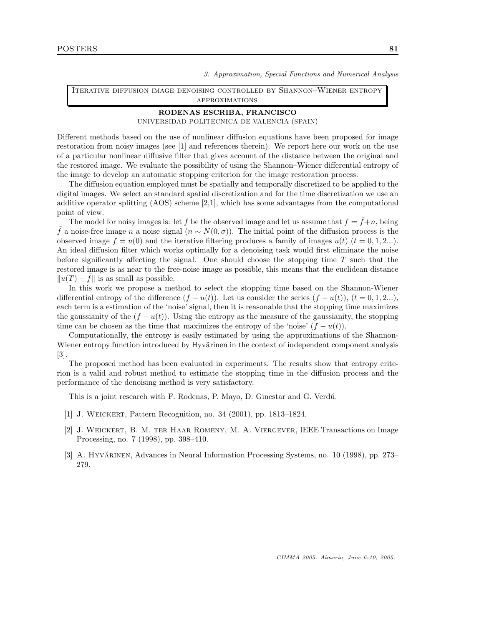Iterative diffusion image denoising controlled by Shannon–Wiener entropy approximations

#### RODENAS ESCRIBA, FRANCISCO

UNIVERSIDAD POLITECNICA DE VALENCIA (SPAIN)

Different methods based on the use of nonlinear diffusion equations have been proposed for image restoration from noisy images (see [1] and references therein). We report here our work on the use of a particular nonlinear diffusive filter that gives account of the distance between the original and the restored image. We evaluate the possibility of using the Shannon–Wiener differential entropy of the image to develop an automatic stopping criterion for the image restoration process.

The diffusion equation employed must be spatially and temporally discretized to be applied to the digital images. We select an standard spatial discretization and for the time discretization we use an additive operator splitting (AOS) scheme [2,1], which has some advantages from the computational point of view.

The model for noisy images is: let f be the observed image and let us assume that  $f = \tilde{f} + n$ , being f a noise-free image n a noise signal  $(n \sim N(0, \sigma))$ . The initial point of the diffusion process is the observed image  $f = u(0)$  and the iterative filtering produces a family of images  $u(t)$   $(t = 0, 1, 2...).$ An ideal diffusion filter which works optimally for a denoising task would first eliminate the noise before significantly affecting the signal. One should choose the stopping time  $T$  such that the restored image is as near to the free-noise image as possible, this means that the euclidean distance  $||u(T) - f||$  is as small as possible.

In this work we propose a method to select the stopping time based on the Shannon-Wiener differential entropy of the difference  $(f - u(t))$ . Let us consider the series  $(f - u(t))$ ,  $(t = 0, 1, 2...)$ , each term is a estimation of the 'noise' signal, then it is reasonable that the stopping time maximizes the gaussianity of the  $(f - u(t))$ . Using the entropy as the measure of the gaussianity, the stopping time can be chosen as the time that maximizes the entropy of the 'noise'  $(f - u(t))$ .

Computationally, the entropy is easily estimated by using the approximations of the Shannon-Wiener entropy function introduced by Hyvärinen in the context of independent component analysis [3].

The proposed method has been evaluated in experiments. The results show that entropy criterion is a valid and robust method to estimate the stopping time in the diffusion process and the performance of the denoising method is very satisfactory.

This is a joint research with F. Rodenas, P. Mayo, D. Ginestar and G. Verd´u.

- [1] J. Weickert, Pattern Recognition, no. 34 (2001), pp. 1813–1824.
- [2] J. Weickert, B. M. ter Haar Romeny, M. A. Viergever, IEEE Transactions on Image Processing, no. 7 (1998), pp. 398–410.
- [3] A. Hyvärinen, Advances in Neural Information Processing Systems, no. 10 (1998), pp. 273– 279.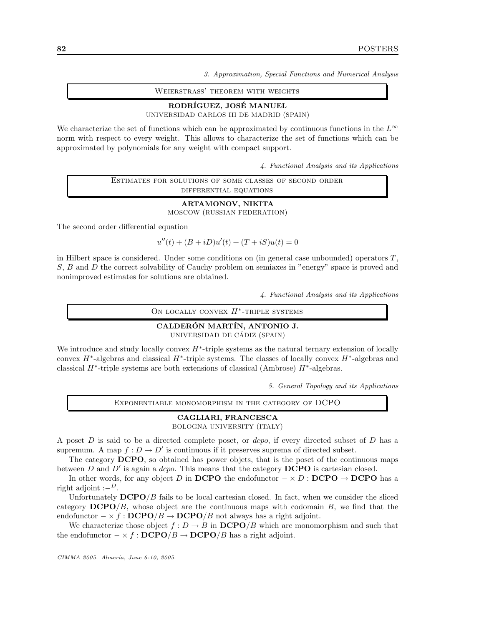Weierstrass' theorem with weights

## RODRÍGUEZ, JOSÉ MANUEL

UNIVERSIDAD CARLOS III DE MADRID (SPAIN)

We characterize the set of functions which can be approximated by continuous functions in the  $L^{\infty}$ norm with respect to every weight. This allows to characterize the set of functions which can be approximated by polynomials for any weight with compact support.

4. Functional Analysis and its Applications

Estimates for solutions of some classes of second order differential equations

> ARTAMONOV, NIKITA MOSCOW (RUSSIAN FEDERATION)

The second order differential equation

 $u''(t) + (B + iD)u'(t) + (T + iS)u(t) = 0$ 

in Hilbert space is considered. Under some conditions on (in general case unbounded) operators  $T$ , S, B and D the correct solvability of Cauchy problem on semiaxes in "energy" space is proved and nonimproved estimates for solutions are obtained.

4. Functional Analysis and its Applications

ON LOCALLY CONVEX  $H^*$ -TRIPLE SYSTEMS

#### CALDERÓN MARTÍN, ANTONIO J. UNIVERSIDAD DE CÁDIZ (SPAIN)

We introduce and study locally convex  $H^*$ -triple systems as the natural ternary extension of locally convex  $H^*$ -algebras and classical  $H^*$ -triple systems. The classes of locally convex  $H^*$ -algebras and classical  $H^*$ -triple systems are both extensions of classical (Ambrose)  $H^*$ -algebras.

5. General Topology and its Applications

Exponentiable monomorphism in the category of DCPO

#### CAGLIARI, FRANCESCA BOLOGNA UNIVERSITY (ITALY)

A poset  $D$  is said to be a directed complete poset, or  $dcpo$ , if every directed subset of  $D$  has a supremum. A map  $f: D \to D'$  is continuous if it preserves suprema of directed subset.

The category DCPO, so obtained has power objets, that is the poset of the continuous maps between  $D$  and  $D'$  is again a *dcpo*. This means that the category **DCPO** is cartesian closed.

In other words, for any object D in DCPO the endofunctor  $-\times D$  : DCPO  $\rightarrow$  DCPO has a right adjoint  $:-^D$ .

Unfortunately  $\mathbf{DCPO}/B$  fails to be local cartesian closed. In fact, when we consider the sliced category  $\text{DCPO}/B$ , whose object are the continuous maps with codomain B, we find that the endofunctor  $-\times f : DCPO/B \to DCPO/B$  not always has a right adjoint.

We characterize those object  $f: D \to B$  in  $\mathbf{DCPO}/B$  which are monomorphism and such that the endofunctor  $-\times f : \mathbf{DCPO}/B \to \mathbf{DCPO}/B$  has a right adjoint.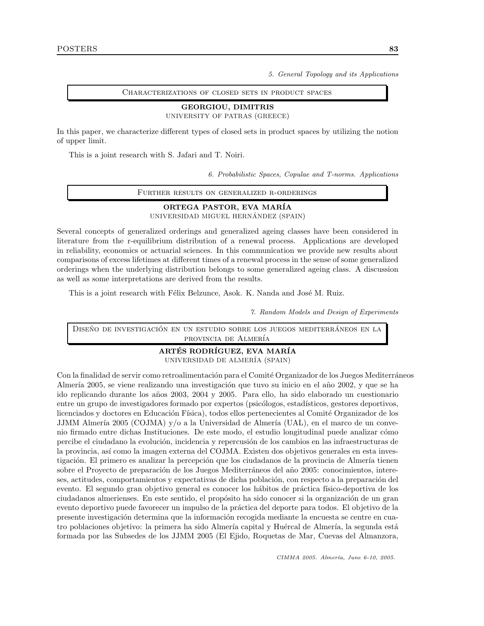5. General Topology and its Applications

Characterizations of closed sets in product spaces

#### GEORGIOU, DIMITRIS

UNIVERSITY OF PATRAS (GREECE)

In this paper, we characterize different types of closed sets in product spaces by utilizing the notion of upper limit.

This is a joint research with S. Jafari and T. Noiri.

6. Probabilistic Spaces, Copulae and T-norms. Applications

Further results on generalized r-orderings

ORTEGA PASTOR, EVA MAR´IA UNIVERSIDAD MIGUEL HERNÁNDEZ (SPAIN)

Several concepts of generalized orderings and generalized ageing classes have been considered in literature from the r-equilibrium distribution of a renewal process. Applications are developed in reliability, economics or actuarial sciences. In this communication we provide new results about comparisons of excess lifetimes at different times of a renewal process in the sense of some generalized orderings when the underlying distribution belongs to some generalized ageing class. A discussion as well as some interpretations are derived from the results.

This is a joint research with Félix Belzunce, Asok. K. Nanda and José M. Ruiz.

7. Random Models and Design of Experiments

DISEÑO DE INVESTIGACIÓN EN UN ESTUDIO SOBRE LOS JUEGOS MEDITERRÁNEOS EN LA provincia de Almería

> ARTÉS RODRÍGUEZ, EVA MARÍA UNIVERSIDAD DE ALMER´IA (SPAIN)

Con la finalidad de servir como retroalimentación para el Comité Organizador de los Juegos Mediterráneos Almería 2005, se viene realizando una investigación que tuvo su inicio en el año 2002, y que se ha ido replicando durante los años 2003, 2004 y 2005. Para ello, ha sido elaborado un cuestionario entre un grupo de investigadores formado por expertos (psicólogos, estadísticos, gestores deportivos, licenciados y doctores en Educación Física), todos ellos pertenecientes al Comité Organizador de los JJMM Almería 2005 (COJMA) y/o a la Universidad de Almería (UAL), en el marco de un convenio firmado entre dichas Instituciones. De este modo, el estudio longitudinal puede analizar cómo percibe el ciudadano la evolución, incidencia y repercusión de los cambios en las infraestructuras de la provincia, así como la imagen externa del COJMA. Existen dos objetivos generales en esta investigación. El primero es analizar la percepción que los ciudadanos de la provincia de Almería tienen sobre el Proyecto de preparación de los Juegos Mediterráneos del año 2005: conocimientos, intereses, actitudes, comportamientos y expectativas de dicha población, con respecto a la preparación del evento. El segundo gran objetivo general es conocer los hábitos de práctica físico-deportiva de los ciudadanos almerienses. En este sentido, el propósito ha sido conocer si la organización de un gran evento deportivo puede favorecer un impulso de la práctica del deporte para todos. El objetivo de la presente investigación determina que la información recogida mediante la encuesta se centre en cuatro poblaciones objetivo: la primera ha sido Almería capital y Huércal de Almería, la segunda está formada por las Subsedes de los JJMM 2005 (El Ejido, Roquetas de Mar, Cuevas del Almanzora,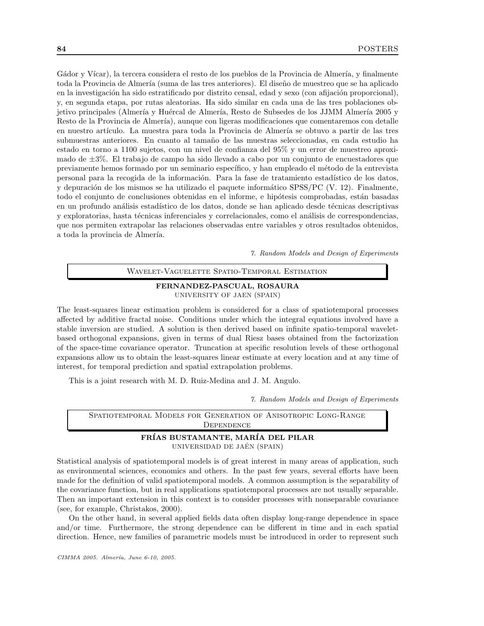Gádor y Vícar), la tercera considera el resto de los pueblos de la Provincia de Almería, y finalmente toda la Provincia de Almería (suma de las tres anteriores). El diseño de muestreo que se ha aplicado en la investigación ha sido estratificado por distrito censal, edad y sexo (con afijación proporcional), y, en segunda etapa, por rutas aleatorias. Ha sido similar en cada una de las tres poblaciones objetivo principales (Almería y Huércal de Almería, Resto de Subsedes de los JJMM Almería 2005 y Resto de la Provincia de Almería), aunque con ligeras modificaciones que comentaremos con detalle en nuestro artículo. La muestra para toda la Provincia de Almería se obtuvo a partir de las tres submuestras anteriores. En cuanto al tamaño de las muestras seleccionadas, en cada estudio ha estado en torno a 1100 sujetos, con un nivel de confianza del 95% y un error de muestreo aproximado de ±3%. El trabajo de campo ha sido llevado a cabo por un conjunto de encuestadores que previamente hemos formado por un seminario específico, y han empleado el método de la entrevista personal para la recogida de la información. Para la fase de tratamiento estadístico de los datos, y depuración de los mismos se ha utilizado el paquete informático SPSS/PC (V. 12). Finalmente, todo el conjunto de conclusiones obtenidas en el informe, e hipótesis comprobadas, están basadas en un profundo análisis estadístico de los datos, donde se han aplicado desde técnicas descriptivas y exploratorias, hasta técnicas inferenciales y correlacionales, como el análisis de correspondencias, que nos permiten extrapolar las relaciones observadas entre variables y otros resultados obtenidos, a toda la provincia de Almería.

7. Random Models and Design of Experiments

#### Wavelet-Vaguelette Spatio-Temporal Estimation

FERNANDEZ-PASCUAL, ROSAURA UNIVERSITY OF JAEN (SPAIN)

The least-squares linear estimation problem is considered for a class of spatiotemporal processes affected by additive fractal noise. Conditions under which the integral equations involved have a stable inversion are studied. A solution is then derived based on infinite spatio-temporal waveletbased orthogonal expansions, given in terms of dual Riesz bases obtained from the factorization of the space-time covariance operator. Truncation at specific resolution levels of these orthogonal expansions allow us to obtain the least-squares linear estimate at every location and at any time of interest, for temporal prediction and spatial extrapolation problems.

This is a joint research with M. D. Ruiz-Medina and J. M. Angulo.

7. Random Models and Design of Experiments

# Spatiotemporal Models for Generation of Anisotropic Long-Range **DEPENDENCE** FRÍAS BUSTAMANTE, MARÍA DEL PILAR

UNIVERSIDAD DE JAEN´ (SPAIN)

Statistical analysis of spatiotemporal models is of great interest in many areas of application, such as environmental sciences, economics and others. In the past few years, several efforts have been made for the definition of valid spatiotemporal models. A common assumption is the separability of the covariance function, but in real applications spatiotemporal processes are not usually separable. Then an important extension in this context is to consider processes with nonseparable covariance (see, for example, Christakos, 2000).

On the other hand, in several applied fields data often display long-range dependence in space and/or time. Furthermore, the strong dependence can be different in time and in each spatial direction. Hence, new families of parametric models must be introduced in order to represent such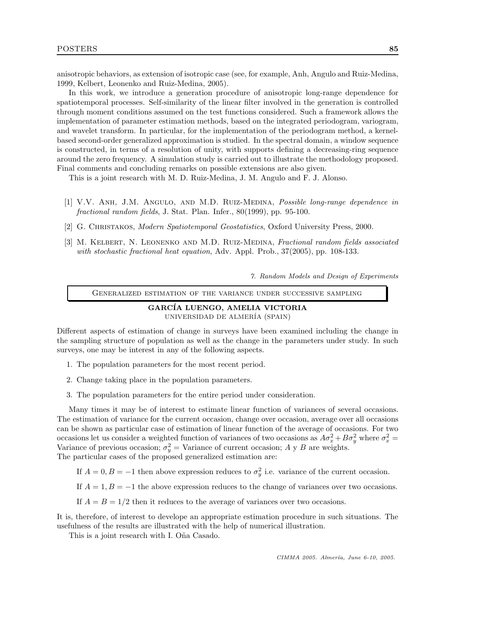anisotropic behaviors, as extension of isotropic case (see, for example, Anh, Angulo and Ruiz-Medina, 1999, Kelbert, Leonenko and Ruiz-Medina, 2005).

In this work, we introduce a generation procedure of anisotropic long-range dependence for spatiotemporal processes. Self-similarity of the linear filter involved in the generation is controlled through moment conditions assumed on the test functions considered. Such a framework allows the implementation of parameter estimation methods, based on the integrated periodogram, variogram, and wavelet transform. In particular, for the implementation of the periodogram method, a kernelbased second-order generalized approximation is studied. In the spectral domain, a window sequence is constructed, in terms of a resolution of unity, with supports defining a decreasing-ring sequence around the zero frequency. A simulation study is carried out to illustrate the methodology proposed. Final comments and concluding remarks on possible extensions are also given.

This is a joint research with M. D. Ruiz-Medina, J. M. Angulo and F. J. Alonso.

- [1] V.V. Anh, J.M. Angulo, and M.D. Ruiz-Medina, Possible long-range dependence in fractional random fields, J. Stat. Plan. Infer., 80(1999), pp. 95-100.
- [2] G. CHRISTAKOS, *Modern Spatiotemporal Geostatistics*, Oxford University Press, 2000.
- [3] M. KELBERT, N. LEONENKO AND M.D. RUIZ-MEDINA, Fractional random fields associated with stochastic fractional heat equation, Adv. Appl. Prob., 37(2005), pp. 108-133.

7. Random Models and Design of Experiments

Generalized estimation of the variance under successive sampling

#### GARCÍA LUENGO, AMELIA VICTORIA UNIVERSIDAD DE ALMER´IA (SPAIN)

Different aspects of estimation of change in surveys have been examined including the change in the sampling structure of population as well as the change in the parameters under study. In such surveys, one may be interest in any of the following aspects.

- 1. The population parameters for the most recent period.
- 2. Change taking place in the population parameters.
- 3. The population parameters for the entire period under consideration.

Many times it may be of interest to estimate linear function of variances of several occasions. The estimation of variance for the current occasion, change over occasion, average over all occasions can be shown as particular case of estimation of linear function of the average of occasions. For two occasions let us consider a weighted function of variances of two occasions as  $A\sigma_x^2 + B\sigma_y^2$  where  $\sigma_x^2 =$ Variance of previous occasion;  $\sigma_y^2$  = Variance of current occasion; A y B are weights. The particular cases of the proposed generalized estimation are:

- If  $A = 0, B = -1$  then above expression reduces to  $\sigma_y^2$  i.e. variance of the current occasion.
- If  $A = 1, B = -1$  the above expression reduces to the change of variances over two occasions.
- If  $A = B = 1/2$  then it reduces to the average of variances over two occasions.

It is, therefore, of interest to develope an appropriate estimation procedure in such situations. The usefulness of the results are illustrated with the help of numerical illustration.

This is a joint research with I. Oña Casado.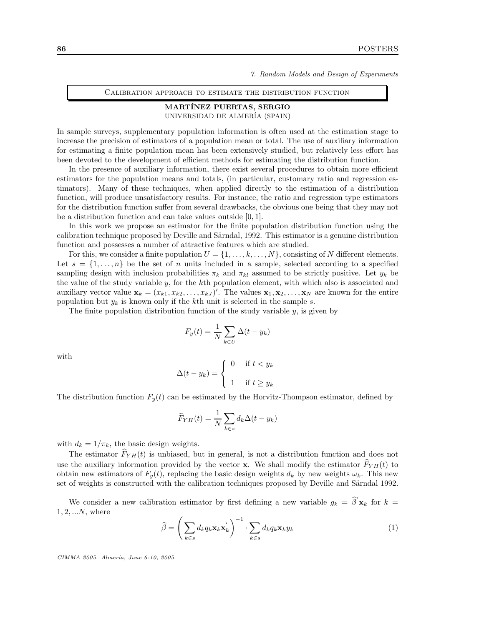7. Random Models and Design of Experiments

Calibration approach to estimate the distribution function

#### MARTÍNEZ PUERTAS, SERGIO

UNIVERSIDAD DE ALMER´IA (SPAIN)

In sample surveys, supplementary population information is often used at the estimation stage to increase the precision of estimators of a population mean or total. The use of auxiliary information for estimating a finite population mean has been extensively studied, but relatively less effort has been devoted to the development of efficient methods for estimating the distribution function.

In the presence of auxiliary information, there exist several procedures to obtain more efficient estimators for the population means and totals, (in particular, customary ratio and regression estimators). Many of these techniques, when applied directly to the estimation of a distribution function, will produce unsatisfactory results. For instance, the ratio and regression type estimators for the distribution function suffer from several drawbacks, the obvious one being that they may not be a distribution function and can take values outside [0, 1].

In this work we propose an estimator for the finite population distribution function using the calibration technique proposed by Deville and Särndal, 1992. This estimator is a genuine distribution function and possesses a number of attractive features which are studied.

For this, we consider a finite population  $U = \{1, \ldots, k, \ldots, N\}$ , consisting of N different elements. Let  $s = \{1, \ldots, n\}$  be the set of n units included in a sample, selected according to a specified sampling design with inclusion probabilities  $\pi_k$  and  $\pi_{kl}$  assumed to be strictly positive. Let  $y_k$  be the value of the study variable  $y$ , for the kth population element, with which also is associated and auxiliary vector value  $\mathbf{x}_k = (x_{k1}, x_{k2}, \dots, x_{kJ})'$ . The values  $\mathbf{x}_1, \mathbf{x}_2, \dots, \mathbf{x}_N$  are known for the entire population but  $y_k$  is known only if the kth unit is selected in the sample s.

The finite population distribution function of the study variable  $y$ , is given by

$$
F_y(t) = \frac{1}{N} \sum_{k \in U} \Delta(t - y_k)
$$

with

$$
\Delta(t - y_k) = \begin{cases} 0 & \text{if } t < y_k \\ 1 & \text{if } t \ge y_k \end{cases}
$$

The distribution function  $F_y(t)$  can be estimated by the Horvitz-Thompson estimator, defined by

$$
\widehat{F}_{YH}(t) = \frac{1}{N} \sum_{k \in s} d_k \Delta(t - y_k)
$$

with  $d_k = 1/\pi_k$ , the basic design weights.

The estimator  $\widehat{F}_{YH}(t)$  is unbiased, but in general, is not a distribution function and does not use the auxiliary information provided by the vector x. We shall modify the estimator  $\hat{F}_{YH}(t)$  to obtain new estimators of  $F<sub>y</sub>(t)$ , replacing the basic design weights  $d<sub>k</sub>$  by new weights  $\omega<sub>k</sub>$ . This new set of weights is constructed with the calibration techniques proposed by Deville and Särndal 1992.

We consider a new calibration estimator by first defining a new variable  $g_k = \hat{\beta}' \mathbf{x}_k$  for  $k =$  $1, 2, ...N$ , where

$$
\widehat{\beta} = \left(\sum_{k \in s} d_k q_k \mathbf{x}_k \mathbf{x}_k'\right)^{-1} \cdot \sum_{k \in s} d_k q_k \mathbf{x}_k y_k \tag{1}
$$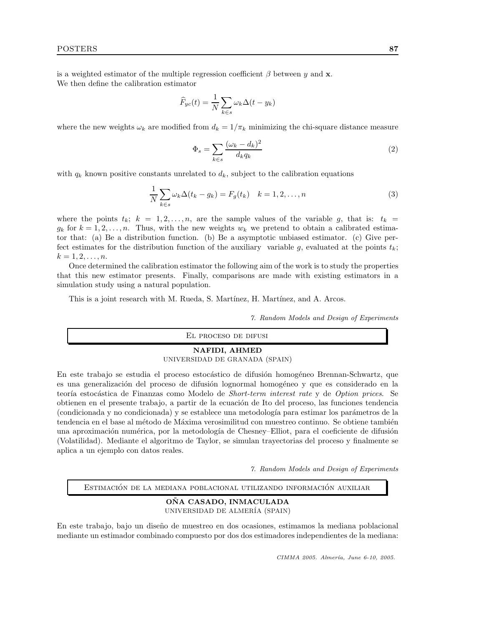is a weighted estimator of the multiple regression coefficient  $\beta$  between y and **x**. We then define the calibration estimator

$$
\widehat{F}_{yc}(t) = \frac{1}{N} \sum_{k \in s} \omega_k \Delta(t - y_k)
$$

where the new weights  $\omega_k$  are modified from  $d_k = 1/\pi_k$  minimizing the chi-square distance measure

$$
\Phi_s = \sum_{k \in s} \frac{(\omega_k - d_k)^2}{d_k q_k} \tag{2}
$$

with  $q_k$  known positive constants unrelated to  $d_k$ , subject to the calibration equations

$$
\frac{1}{N} \sum_{k \in s} \omega_k \Delta(t_k - g_k) = F_g(t_k) \quad k = 1, 2, \dots, n
$$
\n(3)

where the points  $t_k$ ;  $k = 1, 2, ..., n$ , are the sample values of the variable g, that is:  $t_k =$  $g_k$  for  $k = 1, 2, \ldots, n$ . Thus, with the new weights  $w_k$  we pretend to obtain a calibrated estimator that: (a) Be a distribution function. (b) Be a asymptotic unbiased estimator. (c) Give perfect estimates for the distribution function of the auxiliary variable g, evaluated at the points  $t_k$ ;  $k = 1, 2, \ldots, n$ .

Once determined the calibration estimator the following aim of the work is to study the properties that this new estimator presents. Finally, comparisons are made with existing estimators in a simulation study using a natural population.

This is a joint research with M. Rueda, S. Martínez, H. Martínez, and A. Arcos.

7. Random Models and Design of Experiments

El proceso de difusi

## NAFIDI, AHMED

UNIVERSIDAD DE GRANADA (SPAIN)

En este trabajo se estudia el proceso estocástico de difusión homogéneo Brennan-Schwartz, que es una generalización del proceso de difusión lognormal homogéneo y que es considerado en la teoría estocástica de Finanzas como Modelo de Short-term interest rate y de Option prices. Se obtienen en el presente trabajo, a partir de la ecuación de Ito del proceso, las funciones tendencia (condicionada y no condicionada) y se establece una metodología para estimar los parámetros de la tendencia en el base al método de Máxima verosimilitud con muestreo continuo. Se obtiene también una aproximación numérica, por la metodología de Chesney–Elliot, para el coeficiente de difusión (Volatilidad). Mediante el algoritmo de Taylor, se simulan trayectorias del proceso y finalmente se aplica a un ejemplo con datos reales.

7. Random Models and Design of Experiments

ESTIMACIÓN DE LA MEDIANA POBLACIONAL UTILIZANDO INFORMACIÓN AUXILIAR

#### ONA CASADO, INMACULADA UNIVERSIDAD DE ALMER´IA (SPAIN)

En este trabajo, bajo un diseño de muestreo en dos ocasiones, estimamos la mediana poblacional mediante un estimador combinado compuesto por dos dos estimadores independientes de la mediana: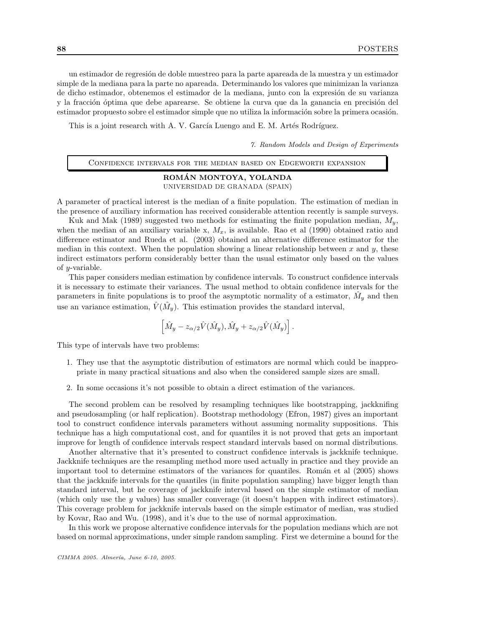un estimador de regresión de doble muestreo para la parte apareada de la muestra y un estimador simple de la mediana para la parte no apareada. Determinando los valores que minimizan la varianza de dicho estimador, obtenemos el estimador de la mediana, junto con la expresión de su varianza y la fracción óptima que debe aparearse. Se obtiene la curva que da la ganancia en precisión del estimador propuesto sobre el estimador simple que no utiliza la información sobre la primera ocasión.

This is a joint research with A. V. García Luengo and E. M. Artés Rodríguez.

7. Random Models and Design of Experiments

Confidence intervals for the median based on Edgeworth expansion

#### ROMÁN MONTOYA, YOLANDA UNIVERSIDAD DE GRANADA (SPAIN)

A parameter of practical interest is the median of a finite population. The estimation of median in the presence of auxiliary information has received considerable attention recently is sample surveys.

Kuk and Mak (1989) suggested two methods for estimating the finite population median,  $M_y$ , when the median of an auxiliary variable x,  $M_x$ , is available. Rao et al (1990) obtained ratio and difference estimator and Rueda et al. (2003) obtained an alternative difference estimator for the median in this context. When the population showing a linear relationship between  $x$  and  $y$ , these indirect estimators perform considerably better than the usual estimator only based on the values of y-variable.

This paper considers median estimation by confidence intervals. To construct confidence intervals it is necessary to estimate their variances. The usual method to obtain confidence intervals for the parameters in finite populations is to proof the asymptotic normality of a estimator,  $\hat{M}_y$  and then use an variance estimation,  $\hat{V}(\hat{M}_y)$ . This estimation provides the standard interval,

$$
\left[\hat{M}_y-z_{\alpha/2}\hat{V}(\hat{M}_y),\hat{M}_y+z_{\alpha/2}\hat{V}(\hat{M}_y)\right].
$$

This type of intervals have two problems:

- 1. They use that the asymptotic distribution of estimators are normal which could be inappropriate in many practical situations and also when the considered sample sizes are small.
- 2. In some occasions it's not possible to obtain a direct estimation of the variances.

The second problem can be resolved by resampling techniques like bootstrapping, jackknifing and pseudosampling (or half replication). Bootstrap methodology (Efron, 1987) gives an important tool to construct confidence intervals parameters without assuming normality suppositions. This technique has a high computational cost, and for quantiles it is not proved that gets an important improve for length of confidence intervals respect standard intervals based on normal distributions.

Another alternative that it's presented to construct confidence intervals is jackknife technique. Jackknife techniques are the resampling method more used actually in practice and they provide an important tool to determine estimators of the variances for quantiles. Roman et al (2005) shows that the jackknife intervals for the quantiles (in finite population sampling) have bigger length than standard interval, but he coverage of jackknife interval based on the simple estimator of median (which only use the y values) has smaller converage (it doesn't happen with indirect estimators). This coverage problem for jackknife intervals based on the simple estimator of median, was studied by Kovar, Rao and Wu. (1998), and it's due to the use of normal approximation.

In this work we propose alternative confidence intervals for the population medians which are not based on normal approximations, under simple random sampling. First we determine a bound for the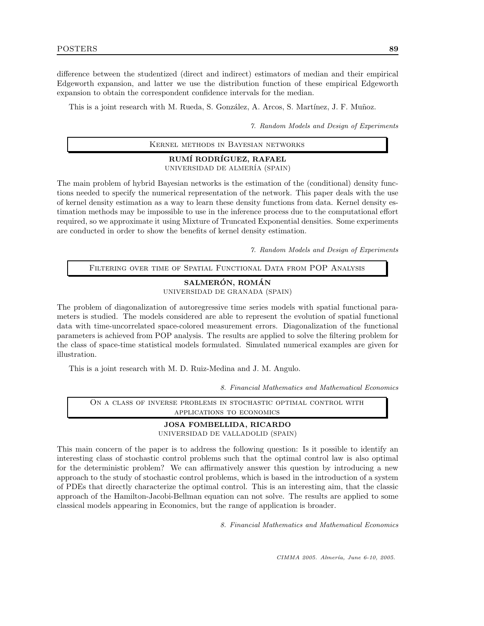difference between the studentized (direct and indirect) estimators of median and their empirical Edgeworth expansion, and latter we use the distribution function of these empirical Edgeworth expansion to obtain the correspondent confidence intervals for the median.

This is a joint research with M. Rueda, S. González, A. Arcos, S. Martínez, J. F. Muñoz.

7. Random Models and Design of Experiments

Kernel methods in Bayesian networks

#### RUMÍ RODRÍGUEZ, RAFAEL

UNIVERSIDAD DE ALMER´IA (SPAIN)

The main problem of hybrid Bayesian networks is the estimation of the (conditional) density functions needed to specify the numerical representation of the network. This paper deals with the use of kernel density estimation as a way to learn these density functions from data. Kernel density estimation methods may be impossible to use in the inference process due to the computational effort required, so we approximate it using Mixture of Truncated Exponential densities. Some experiments are conducted in order to show the benefits of kernel density estimation.

7. Random Models and Design of Experiments

Filtering over time of Spatial Functional Data from POP Analysis

#### SALMERÓN, ROMÁN

UNIVERSIDAD DE GRANADA (SPAIN)

The problem of diagonalization of autoregressive time series models with spatial functional parameters is studied. The models considered are able to represent the evolution of spatial functional data with time-uncorrelated space-colored measurement errors. Diagonalization of the functional parameters is achieved from POP analysis. The results are applied to solve the filtering problem for the class of space-time statistical models formulated. Simulated numerical examples are given for illustration.

This is a joint research with M. D. Ruiz-Medina and J. M. Angulo.

8. Financial Mathematics and Mathematical Economics

On a class of inverse problems in stochastic optimal control with applications to economics

# JOSA FOMBELLIDA, RICARDO

UNIVERSIDAD DE VALLADOLID (SPAIN)

This main concern of the paper is to address the following question: Is it possible to identify an interesting class of stochastic control problems such that the optimal control law is also optimal for the deterministic problem? We can affirmatively answer this question by introducing a new approach to the study of stochastic control problems, which is based in the introduction of a system of PDEs that directly characterize the optimal control. This is an interesting aim, that the classic approach of the Hamilton-Jacobi-Bellman equation can not solve. The results are applied to some classical models appearing in Economics, but the range of application is broader.

8. Financial Mathematics and Mathematical Economics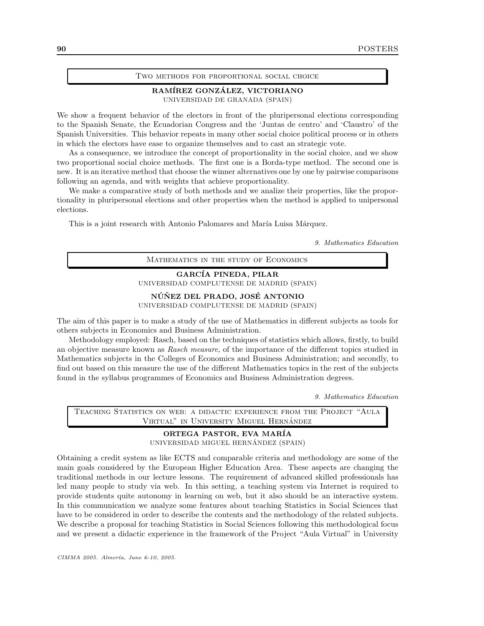#### Two methods for proportional social choice

#### RAMÍREZ GONZÁLEZ, VICTORIANO UNIVERSIDAD DE GRANADA (SPAIN)

We show a frequent behavior of the electors in front of the pluripersonal elections corresponding to the Spanish Senate, the Ecuadorian Congress and the 'Juntas de centro' and 'Claustro' of the Spanish Universities. This behavior repeats in many other social choice political process or in others in which the electors have ease to organize themselves and to cast an strategic vote.

As a consequence, we introduce the concept of proportionality in the social choice, and we show two proportional social choice methods. The first one is a Borda-type method. The second one is new. It is an iterative method that choose the winner alternatives one by one by pairwise comparisons following an agenda, and with weights that achieve proportionality.

We make a comparative study of both methods and we analize their properties, like the proportionality in pluripersonal elections and other properties when the method is applied to unipersonal elections.

This is a joint research with Antonio Palomares and María Luisa Márquez.

9. Mathematics Education

Mathematics in the study of Economics

GARCÍA PINEDA, PILAR UNIVERSIDAD COMPLUTENSE DE MADRID (SPAIN)

NÚÑEZ DEL PRADO, JOSÉ ANTONIO

UNIVERSIDAD COMPLUTENSE DE MADRID (SPAIN)

The aim of this paper is to make a study of the use of Mathematics in different subjects as tools for others subjects in Economics and Business Administration.

Methodology employed: Rasch, based on the techniques of statistics which allows, firstly, to build an objective measure known as Rasch measure, of the importance of the different topics studied in Mathematics subjects in the Colleges of Economics and Business Administration; and secondly, to find out based on this measure the use of the different Mathematics topics in the rest of the subjects found in the syllabus programmes of Economics and Business Administration degrees.

9. Mathematics Education

Teaching Statistics on web: a didactic experience from the Project "Aula VIRTUAL" IN UNIVERSITY MIGUEL HERNÁNDEZ

## ORTEGA PASTOR, EVA MAR´IA

UNIVERSIDAD MIGUEL HERNÁNDEZ (SPAIN)

Obtaining a credit system as like ECTS and comparable criteria and methodology are some of the main goals considered by the European Higher Education Area. These aspects are changing the traditional methods in our lecture lessons. The requirement of advanced skilled professionals has led many people to study via web. In this setting, a teaching system via Internet is required to provide students quite autonomy in learning on web, but it also should be an interactive system. In this communication we analyze some features about teaching Statistics in Social Sciences that have to be considered in order to describe the contents and the methodology of the related subjects. We describe a proposal for teaching Statistics in Social Sciences following this methodological focus and we present a didactic experience in the framework of the Project "Aula Virtual" in University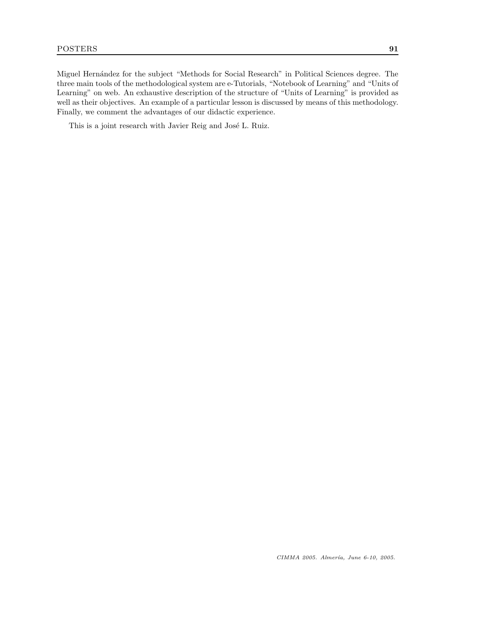Miguel Hernández for the subject "Methods for Social Research" in Political Sciences degree. The three main tools of the methodological system are e-Tutorials, "Notebook of Learning" and "Units of Learning" on web. An exhaustive description of the structure of "Units of Learning" is provided as well as their objectives. An example of a particular lesson is discussed by means of this methodology. Finally, we comment the advantages of our didactic experience.

This is a joint research with Javier Reig and José L. Ruiz.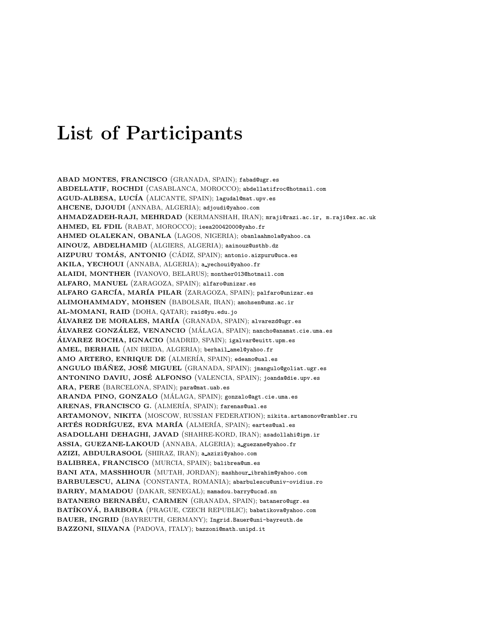# List of Participants

ABAD MONTES, FRANCISCO (GRANADA, SPAIN); fabad@ugr.es ABDELLATIF, ROCHDI (CASABLANCA, MOROCCO); abdellatifroc@hotmail.com AGUD-ALBESA, LUCÍA (ALICANTE, SPAIN); lagudal@mat.upv.es AHCENE, DJOUDI (ANNABA, ALGERIA); adjoudi@yahoo.com AHMADZADEH-RAJI, MEHRDAD (KERMANSHAH, IRAN); mraji@razi.ac.ir, m.raji@ex.ac.uk AHMED, EL FDIL (RABAT, MOROCCO); ieea20042000@yaho.fr AHMED OLALEKAN, OBANLA (LAGOS, NIGERIA); obanlaahmola@yahoo.ca AINOUZ, ABDELHAMID (ALGIERS, ALGERIA); aainouz@usthb.dz  $AIZPURU$  TOMÁS, ANTONIO (CÁDIZ, SPAIN); antonio.aizpuru@uca.es AKILA, YECHOUI (ANNABA, ALGERIA); a yechoui@yahoo.fr ALAIDI, MONTHER (IVANOVO, BELARUS); monther013@hotmail.com ALFARO, MANUEL (ZARAGOZA, SPAIN); alfaro@unizar.es ALFARO GARCÍA, MARÍA PILAR (ZARAGOZA, SPAIN); palfaro@unizar.es ALIMOHAMMADY, MOHSEN (BABOLSAR, IRAN); amohsen@umz.ac.ir AL-MOMANI, RAID (DOHA, QATAR); raid@yu.edu.jo ÁLVAREZ DE MORALES, MARÍA (GRANADA, SPAIN); alvarezd@ugr.es ÁLVAREZ GONZÁLEZ, VENANCIO (MÁLAGA, SPAIN); nancho@anamat.cie.uma.es ÁLVAREZ ROCHA, IGNACIO (MADRID, SPAIN); igalvar@euitt.upm.es AMEL, BERHAIL (AIN BEIDA, ALGERIA); berhail amel@yahoo.fr AMO ARTERO, ENRIQUE DE (ALMERÍA, SPAIN); edeamo@ual.es ANGULO IBÁÑEZ, JOSÉ MIGUEL (GRANADA, SPAIN); jmangulo@goliat.ugr.es ANTONINO DAVIU, JOSÉ ALFONSO (VALENCIA, SPAIN); joanda@die.upv.es ARA, PERE (BARCELONA, SPAIN); para@mat.uab.es ARANDA PINO, GONZALO (MÁLAGA, SPAIN); gonzalo@agt.cie.uma.es ARENAS, FRANCISCO G. (ALMERÍA, SPAIN); farenas@ual.es ARTAMONOV, NIKITA (MOSCOW, RUSSIAN FEDERATION); nikita.artamonov@rambler.ru ARTÉS RODRÍGUEZ, EVA MARÍA (ALMERÍA, SPAIN); eartes@ual.es ASADOLLAHI DEHAGHI, JAVAD (SHAHRE-KORD, IRAN); asadollahi@ipm.ir ASSIA, GUEZANE-LAKOUD (ANNABA, ALGERIA); a guezane@yahoo.fr AZIZI, ABDULRASOOL (SHIRAZ, IRAN); a azizi@yahoo.com BALIBREA, FRANCISCO (MURCIA, SPAIN); balibrea@um.es BANI ATA, MASSHHOUR (MUTAH, JORDAN); mashhour ibrahim@yahoo.com BARBULESCU, ALINA (CONSTANTA, ROMANIA); abarbulescu@univ-ovidius.ro BARRY, MAMADOU (DAKAR, SENEGAL); mamadou.barry@ucad.sn BATANERO BERNABÉU, CARMEN (GRANADA, SPAIN); batanero@ugr.es BATÍKOVÁ, BARBORA (PRAGUE, CZECH REPUBLIC); babatikova@yahoo.com BAUER, INGRID (BAYREUTH, GERMANY); Ingrid.Bauer@uni-bayreuth.de BAZZONI, SILVANA (PADOVA, ITALY); bazzoni@math.unipd.it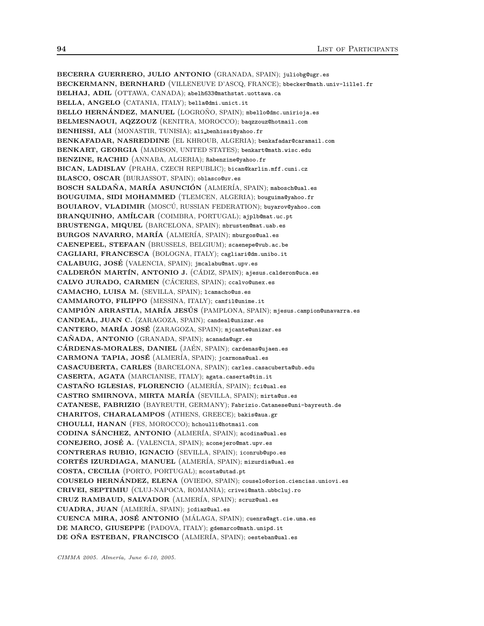BECERRA GUERRERO, JULIO ANTONIO (GRANADA, SPAIN); juliobg@ugr.es BECKERMANN, BERNHARD (VILLENEUVE D'ASCQ, FRANCE); bbecker@math.univ-lille1.fr BELHAJ, ADIL (OTTAWA, CANADA); abelh633@mathstat.uottawa.ca BELLA, ANGELO (CATANIA, ITALY); bella@dmi.unict.it BELLO HERNÁNDEZ, MANUEL (LOGROÑO, SPAIN); mbello@dmc.unirioja.es BELMESNAOUI, AQZZOUZ (KENITRA, MOROCCO); baqzzouz@hotmail.com BENHISSI, ALI (MONASTIR, TUNISIA); ali benhissi@yahoo.fr BENKAFADAR, NASREDDINE (EL KHROUB, ALGERIA); benkafadar@caramail.com BENKART, GEORGIA (MADISON, UNITED STATES); benkart@math.wisc.edu BENZINE, RACHID (ANNABA, ALGERIA); Rabenzine@yahoo.fr BICAN, LADISLAV (PRAHA, CZECH REPUBLIC); bican@karlin.mff.cuni.cz BLASCO, OSCAR (BURJASSOT, SPAIN); oblasco@uv.es BOSCH SALDAÑA, MARÍA ASUNCIÓN (ALMERÍA, SPAIN); mabosch@ual.es BOUGUIMA, SIDI MOHAMMED (TLEMCEN, ALGERIA); bouguima@yahoo.fr BOUIAROV, VLADIMIR (MOSCÚ, RUSSIAN FEDERATION); buyarov@yahoo.com BRANQUINHO, AMÍLCAR (COIMBRA, PORTUGAL); ajplb@mat.uc.pt BRUSTENGA, MIQUEL (BARCELONA, SPAIN); mbrusten@mat.uab.es BURGOS NAVARRO, MARÍA (ALMERÍA, SPAIN); mburgos@ual.es CAENEPEEL, STEFAAN (BRUSSELS, BELGIUM); scaenepe@vub.ac.be CAGLIARI, FRANCESCA (BOLOGNA, ITALY); cagliari@dm.unibo.it CALABUIG, JOSE´ (VALENCIA, SPAIN); jmcalabu@mat.upv.es CALDERÓN MARTÍN, ANTONIO J. (CÁDIZ, SPAIN); ajesus.calderon@uca.es CALVO JURADO, CARMEN (CÁCERES, SPAIN); ccalvo@unex.es CAMACHO, LUISA M. (SEVILLA, SPAIN); lcamacho@us.es CAMMAROTO, FILIPPO (MESSINA, ITALY); camfil@unime.it CAMPIÓN ARRASTIA, MARÍA JESÚS (PAMPLONA, SPAIN); mjesus.campion@unavarra.es CANDEAL, JUAN C. (ZARAGOZA, SPAIN); candeal@unizar.es CANTERO, MARÍA JOSÉ (ZARAGOZA, SPAIN); mjcante@unizar.es CAÑADA, ANTONIO (GRANADA, SPAIN); acanada@ugr.es CÁRDENAS-MORALES, DANIEL (JAÉN, SPAIN); cardenas@ujaen.es CARMONA TAPIA, JOSÉ (ALMERÍA, SPAIN); jcarmona@ual.es CASACUBERTA, CARLES (BARCELONA, SPAIN); carles.casacuberta@ub.edu CASERTA, AGATA (MARCIANISE, ITALY); agata.caserta@tin.it CASTAÑO IGLESIAS, FLORENCIO (ALMERÍA, SPAIN); fci@ual.es CASTRO SMIRNOVA, MIRTA MAR´IA (SEVILLA, SPAIN); mirta@us.es CATANESE, FABRIZIO (BAYREUTH, GERMANY); Fabrizio.Catanese@uni-bayreuth.de CHARITOS, CHARALAMPOS (ATHENS, GREECE); bakis@aua.gr CHOULLI, HANAN (FES, MOROCCO); hchoulli@hotmail.com CODINA SÁNCHEZ, ANTONIO (ALMERÍA, SPAIN); acodina@ual.es CONEJERO, JOSÉ A. (VALENCIA, SPAIN); aconejero@mat.upv.es CONTRERAS RUBIO, IGNACIO (SEVILLA, SPAIN); iconrub@upo.es CORTÉS IZURDIAGA, MANUEL (ALMERÍA, SPAIN); mizurdia@ual.es COSTA, CECILIA (PORTO, PORTUGAL); mcosta@utad.pt COUSELO HERNÁNDEZ, ELENA (OVIEDO, SPAIN); couselo@orion.ciencias.uniovi.es CRIVEI, SEPTIMIU (CLUJ-NAPOCA, ROMANIA); crivei@math.ubbcluj.ro CRUZ RAMBAUD, SALVADOR (ALMER´IA, SPAIN); scruz@ual.es CUADRA, JUAN (ALMER´IA, SPAIN); jcdiaz@ual.es CUENCA MIRA, JOSÉ ANTONIO (MÁLAGA, SPAIN); cuenra@agt.cie.uma.es DE MARCO, GIUSEPPE (PADOVA, ITALY); gdemarco@math.unipd.it DE OÑA ESTEBAN, FRANCISCO (ALMERÍA, SPAIN); oesteban@ual.es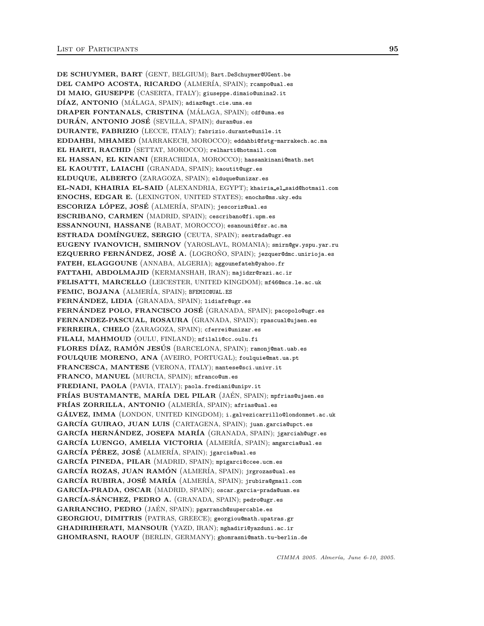DE SCHUYMER, BART (GENT, BELGIUM); Bart.DeSchuymer@UGent.be DEL CAMPO ACOSTA, RICARDO (ALMER´IA, SPAIN); rcampo@ual.es DI MAIO, GIUSEPPE (CASERTA, ITALY); giuseppe.dimaio@unina2.it DÍAZ, ANTONIO (MÁLAGA, SPAIN); adiaz@agt.cie.uma.es DRAPER FONTANALS, CRISTINA (MÁLAGA, SPAIN); cdf@uma.es DURÁN, ANTONIO JOSÉ (SEVILLA, SPAIN); duran@us.es DURANTE, FABRIZIO (LECCE, ITALY); fabrizio.durante@unile.it EDDAHBI, MHAMED (MARRAKECH, MOROCCO); eddahbi@fstg-marrakech.ac.ma EL HARTI, RACHID (SETTAT, MOROCCO); relharti@hotmail.com EL HASSAN, EL KINANI (ERRACHIDIA, MOROCCO); hassankinani@math.net EL KAOUTIT, LAIACHI (GRANADA, SPAIN); kaoutit@ugr.es ELDUQUE, ALBERTO (ZARAGOZA, SPAIN); elduque@unizar.es EL-NADI, KHAIRIA EL-SAID (ALEXANDRIA, EGYPT); khairia el said@hotmail.com ENOCHS, EDGAR E. (LEXINGTON, UNITED STATES); enochs@ms.uky.edu ESCORIZA LÓPEZ, JOSÉ (ALMERÍA, SPAIN); jescoriz@ual.es ESCRIBANO, CARMEN (MADRID, SPAIN); cescribano@fi.upm.es ESSANNOUNI, HASSANE (RABAT, MOROCCO); esanouni@fsr.ac.ma ESTRADA DOM´INGUEZ, SERGIO (CEUTA, SPAIN); sestrada@ugr.es EUGENY IVANOVICH, SMIRNOV (YAROSLAVL, ROMANIA); smirn@gw.yspu.yar.ru EZQUERRO FERNÁNDEZ, JOSÉ A. (LOGROÑO, SPAIN); jezquer@dmc.unirioja.es FATEH, ELAGGOUNE (ANNABA, ALGERIA); aggounefateh@yahoo.fr FATTAHI, ABDOLMAJID (KERMANSHAH, IRAN); majidzr@razi.ac.ir FELISATTI, MARCELLO (LEICESTER, UNITED KINGDOM); mf46@mcs.le.ac.uk FEMIC, BOJANA (ALMERÍA, SPAIN); BFEMIC@UAL.ES FERNÁNDEZ, LIDIA (GRANADA, SPAIN); lidiafr@ugr.es FERNÁNDEZ POLO, FRANCISCO JOSÉ (GRANADA, SPAIN); pacopolo@ugr.es FERNANDEZ-PASCUAL, ROSAURA (GRANADA, SPAIN); rpascual@ujaen.es FERREIRA, CHELO (ZARAGOZA, SPAIN); cferrei@unizar.es FILALI, MAHMOUD (OULU, FINLAND); mfilali@cc.oulu.fi FLORES DÍAZ, RAMÓN JESÚS (BARCELONA, SPAIN); ramonj@mat.uab.es FOULQUIE MORENO, ANA (AVEIRO, PORTUGAL); foulquie@mat.ua.pt FRANCESCA, MANTESE (VERONA, ITALY); mantese@sci.univr.it FRANCO, MANUEL (MURCIA, SPAIN); mfranco@um.es FREDIANI, PAOLA (PAVIA, ITALY); paola.frediani@unipv.it FRÍAS BUSTAMANTE, MARÍA DEL PILAR (JAÉN, SPAIN); mpfrias@ujaen.es FRÍAS ZORRILLA, ANTONIO (ALMERÍA, SPAIN); afrias@ual.es GÁLVEZ, IMMA (LONDON, UNITED KINGDOM); i.galvezicarrillo@londonmet.ac.uk GARCÍA GUIRAO, JUAN LUIS (CARTAGENA, SPAIN); juan.garcia@upct.es GARCÍA HERNÁNDEZ, JOSEFA MARÍA (GRANADA, SPAIN); jgarciah@ugr.es GARCÍA LUENGO, AMELIA VICTORIA (ALMERÍA, SPAIN); amgarcia@ual.es GARCÍA PÉREZ, JOSÉ (ALMERÍA, SPAIN); jgarcia@ual.es GARCÍA PINEDA, PILAR (MADRID, SPAIN); mpigarci@ccee.ucm.es GARCÍA ROZAS, JUAN RAMÓN (ALMERÍA, SPAIN); jrgrozas@ual.es GARCÍA RUBIRA, JOSÉ MARÍA (ALMERÍA, SPAIN); jrubira@gmail.com GARCÍA-PRADA, OSCAR (MADRID, SPAIN); oscar.garcia-prada@uam.es GARCÍA-SÁNCHEZ, PEDRO A. (GRANADA, SPAIN); pedro@ugr.es GARRANCHO, PEDRO (JAÉN, SPAIN); pgarranch@supercable.es GEORGIOU, DIMITRIS (PATRAS, GREECE); georgiou@math.upatras.gr GHADIRIHERATI, MANSOUR (YAZD, IRAN); mghadiri@yazduni.ac.ir GHOMRASNI, RAOUF (BERLIN, GERMANY); ghomrasni@math.tu-berlin.de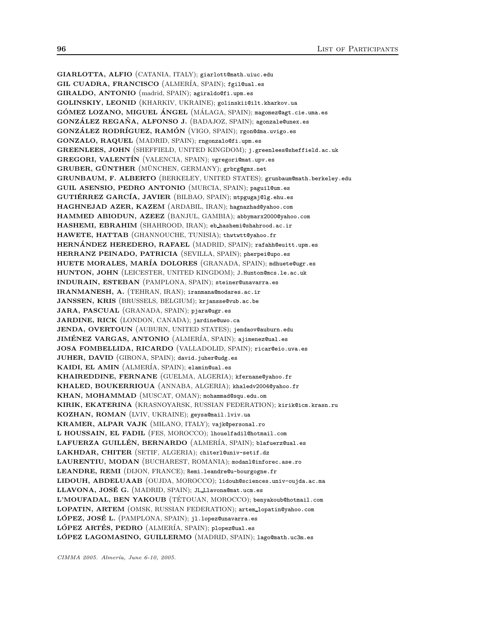GIARLOTTA, ALFIO (CATANIA, ITALY); giarlott@math.uiuc.edu GIL CUADRA, FRANCISCO (ALMERÍA, SPAIN); fgil@ual.es GIRALDO, ANTONIO (madrid, SPAIN); agiraldo@fi.upm.es GOLINSKIY, LEONID (KHARKIV, UKRAINE); golinskii@ilt.kharkov.ua GÓMEZ LOZANO, MIGUEL ÁNGEL (MÁLAGA, SPAIN); magomez@agt.cie.uma.es GONZÁLEZ REGAÑA, ALFONSO J. (BADAJOZ, SPAIN); agonzale@unex.es GONZÁLEZ RODRÍGUEZ, RAMÓN (VIGO, SPAIN); rgon@dma.uvigo.es GONZALO, RAQUEL (MADRID, SPAIN); rngonzalo@fi.upm.es GREENLEES, JOHN (SHEFFIELD, UNITED KINGDOM); j.greenlees@sheffield.ac.uk GREGORI, VALENTÍN (VALENCIA, SPAIN); vgregori@mat.upv.es GRUBER, GÜNTHER (MÜNCHEN, GERMANY); grbrg@gmx.net GRUNBAUM, F. ALBERTO (BERKELEY, UNITED STATES); grunbaum@math.berkeley.edu GUIL ASENSIO, PEDRO ANTONIO (MURCIA, SPAIN); paguil@um.es GUTIÉRREZ GARCÍA, JAVIER (BILBAO, SPAIN); mtpgugaj@lg.ehu.es HAGHNEJAD AZER, KAZEM (ARDABIL, IRAN); hagnazhad@yahoo.com HAMMED ABIODUN, AZEEZ (BANJUL, GAMBIA); abbymarx2000@yahoo.com HASHEMI, EBRAHIM (SHAHROOD, IRAN); eb hashemi@shahrood.ac.ir HAWETE, HATTAB (GHANNOUCHE, TUNISIA); thwtwtt@yahoo.fr HERNÁNDEZ HEREDERO, RAFAEL (MADRID, SPAIN); rafahh@euitt.upm.es HERRANZ PEINADO, PATRICIA (SEVILLA, SPAIN); pherpei@upo.es HUETE MORALES, MAR´IA DOLORES (GRANADA, SPAIN); mdhuete@ugr.es HUNTON, JOHN (LEICESTER, UNITED KINGDOM); J.Hunton@mcs.le.ac.uk INDURAIN, ESTEBAN (PAMPLONA, SPAIN); steiner@unavarra.es IRANMANESH, A. (TEHRAN, IRAN); iranmana@modares.ac.ir JANSSEN, KRIS (BRUSSELS, BELGIUM); krjansse@vub.ac.be JARA, PASCUAL (GRANADA, SPAIN); pjara@ugr.es JARDINE, RICK (LONDON, CANADA); jardine@uwo.ca JENDA, OVERTOUN (AUBURN, UNITED STATES); jendaov@auburn.edu JIMÉNEZ VARGAS, ANTONIO (ALMERÍA, SPAIN); ajimenez@ual.es JOSA FOMBELLIDA, RICARDO (VALLADOLID, SPAIN); ricar@eio.uva.es JUHER, DAVID (GIRONA, SPAIN); david.juher@udg.es KAIDI, EL AMIN (ALMERÍA, SPAIN); elamin@ual.es KHAIREDDINE, FERNANE (GUELMA, ALGERIA); kfernane@yahoo.fr KHALED, BOUKERRIOUA (ANNABA, ALGERIA); khaledv2004@yahoo.fr KHAN, MOHAMMAD (MUSCAT, OMAN); mohammad@squ.edu.om KIRIK, EKATERINA (KRASNOYARSK, RUSSIAN FEDERATION); kirik@icm.krasn.ru KOZHAN, ROMAN (LVIV, UKRAINE); geysa@mail.lviv.ua KRAMER, ALPAR VAJK (MILANO, ITALY); vajk@personal.ro L HOUSSAIN, EL FADIL (FES, MOROCCO); lhouelfadil@hotmail.com LAFUERZA GUILLÉN, BERNARDO (ALMERÍA, SPAIN); blafuerz@ual.es LAKHDAR, CHITER (SETIF, ALGERIA); chiterl@univ-setif.dz LAURENTIU, MODAN (BUCHAREST, ROMANIA); modanl@inforec.ase.ro LEANDRE, REMI (DIJON, FRANCE); Remi.leandre@u-bourgogne.fr LIDOUH, ABDELUAAB (OUJDA, MOROCCO); lidouh@sciences.univ-oujda.ac.ma LLAVONA, JOSÉ G. (MADRID, SPAIN); JL\_Llavona@mat.ucm.es L'MOUFADAL, BEN YAKOUB (TÉTOUAN, MOROCCO); benyakoub@hotmail.com LOPATIN, ARTEM (OMSK, RUSSIAN FEDERATION); artem lopatin@yahoo.com LÓPEZ, JOSÉ L. (PAMPLONA, SPAIN); jl.lopez@unavarra.es LÓPEZ ARTÉS, PEDRO (ALMERÍA, SPAIN); plopez@ual.es LÓPEZ LAGOMASINO, GUILLERMO (MADRID, SPAIN); lago@math.uc3m.es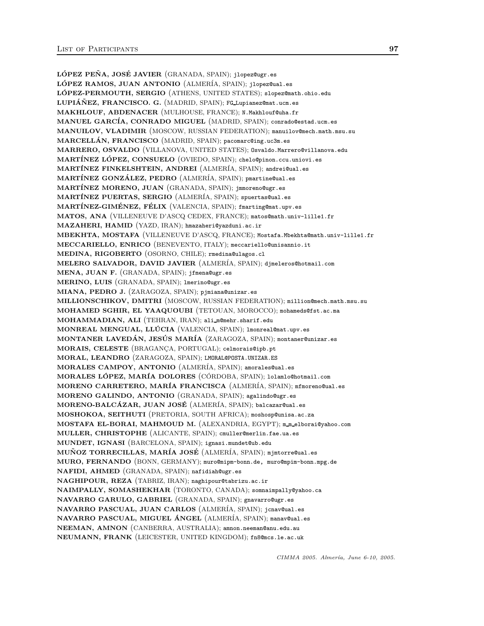LÓPEZ PEÑA, JOSÉ JAVIER (GRANADA, SPAIN); jlopez@ugr.es LÓPEZ RAMOS, JUAN ANTONIO (ALMERÍA, SPAIN); jlopez@ual.es LÓPEZ-PERMOUTH, SERGIO (ATHENS, UNITED STATES); slopez@math.ohio.edu LUPIÁÑEZ, FRANCISCO. G. (MADRID, SPAIN); FG Lupianez@mat.ucm.es MAKHLOUF, ABDENACER (MULHOUSE, FRANCE); N.Makhlouf@uha.fr MANUEL GARCÍA, CONRADO MIGUEL (MADRID, SPAIN); conrado@estad.ucm.es MANUILOV, VLADIMIR (MOSCOW, RUSSIAN FEDERATION); manuilov@mech.math.msu.su MARCELLÁN, FRANCISCO (MADRID, SPAIN); pacomarc@ing.uc3m.es MARRERO, OSVALDO (VILLANOVA, UNITED STATES); Osvaldo.Marrero@villanova.edu MARTÍNEZ LÓPEZ, CONSUELO (OVIEDO, SPAIN); chelo@pinon.ccu.uniovi.es MARTÍNEZ FINKELSHTEIN, ANDREI (ALMERÍA, SPAIN); andrei@ual.es MARTÍNEZ GONZÁLEZ, PEDRO (ALMERÍA, SPAIN); pmartine@ual.es MARTÍNEZ MORENO, JUAN (GRANADA, SPAIN); jmmoreno@ugr.es MARTÍNEZ PUERTAS, SERGIO (ALMERÍA, SPAIN); spuertas@ual.es MARTÍNEZ-GIMÉNEZ, FÉLIX (VALENCIA, SPAIN); fmarting@mat.upv.es MATOS, ANA (VILLENEUVE D'ASCQ CEDEX, FRANCE); matos@math.univ-lille1.fr MAZAHERI, HAMID (YAZD, IRAN); hmazaheri@yazduni.ac.ir MBEKHTA, MOSTAFA (VILLENEUVE D'ASCQ, FRANCE); Mostafa.Mbekhta@math.univ-lille1.fr MECCARIELLO, ENRICO (BENEVENTO, ITALY); meccariello@unisannio.it MEDINA, RIGOBERTO (OSORNO, CHILE); rmedina@ulagos.cl MELERO SALVADOR, DAVID JAVIER (ALMER´IA, SPAIN); djmeleros@hotmail.com MENA, JUAN F. (GRANADA, SPAIN); jfmena@ugr.es MERINO, LUIS (GRANADA, SPAIN); lmerino@ugr.es MIANA, PEDRO J. (ZARAGOZA, SPAIN); pjmiana@unizar.es MILLIONSCHIKOV, DMITRI (MOSCOW, RUSSIAN FEDERATION); million@mech.math.msu.su MOHAMED SGHIR, EL YAAQUOUBI (TETOUAN, MOROCCO); mohameds@fst.ac.ma MOHAMMADIAN, ALI (TEHRAN, IRAN); ali m@mehr.sharif.edu MONREAL MENGUAL, LLÚCIA (VALENCIA, SPAIN); lmonreal@mat.upv.es MONTANER LAVEDÁN, JESÚS MARÍA (ZARAGOZA, SPAIN); montaner@unizar.es MORAIS, CELESTE (BRAGANÇA, PORTUGAL); celmorais@ipb.pt MORAL, LEANDRO (ZARAGOZA, SPAIN); LMORAL@POSTA.UNIZAR.ES MORALES CAMPOY, ANTONIO (ALMER´IA, SPAIN); amorales@ual.es MORALES LÓPEZ, MARÍA DOLORES (CÓRDOBA, SPAIN); lolamlo@hotmail.com MORENO CARRETERO, MARÍA FRANCISCA (ALMERÍA, SPAIN); mfmoreno@ual.es MORENO GALINDO, ANTONIO (GRANADA, SPAIN); agalindo@ugr.es MORENO-BALCÁZAR, JUAN JOSÉ (ALMERÍA, SPAIN); balcazar@ual.es MOSHOKOA, SEITHUTI (PRETORIA, SOUTH AFRICA); moshosp@unisa.ac.za MOSTAFA EL-BORAI, MAHMOUD M. (ALEXANDRIA, EGYPT); m.m.elborai@yahoo.com MULLER, CHRISTOPHE (ALICANTE, SPAIN); cmuller@merlin.fae.ua.es MUNDET, IGNASI (BARCELONA, SPAIN); ignasi.mundet@ub.edu MUNOZ TORRECILLAS, MARÍA JOSÉ (ALMERÍA, SPAIN); mjmtorre@ual.es MURO, FERNANDO (BONN, GERMANY); muro@mipm-bonn.de, muro@mpim-bonn.mpg.de NAFIDI, AHMED (GRANADA, SPAIN); nafidiah@ugr.es NAGHIPOUR, REZA (TABRIZ, IRAN); naghipour@tabrizu.ac.ir NAIMPALLY, SOMASHEKHAR (TORONTO, CANADA); somnaimpally@yahoo.ca NAVARRO GARULO, GABRIEL (GRANADA, SPAIN); gnavarro@ugr.es NAVARRO PASCUAL, JUAN CARLOS (ALMER´IA, SPAIN); jcnav@ual.es NAVARRO PASCUAL, MIGUEL ÁNGEL (ALMERÍA, SPAIN); manav@ual.es NEEMAN, AMNON (CANBERRA, AUSTRALIA); amnon.neeman@anu.edu.au NEUMANN, FRANK (LEICESTER, UNITED KINGDOM); fn8@mcs.le.ac.uk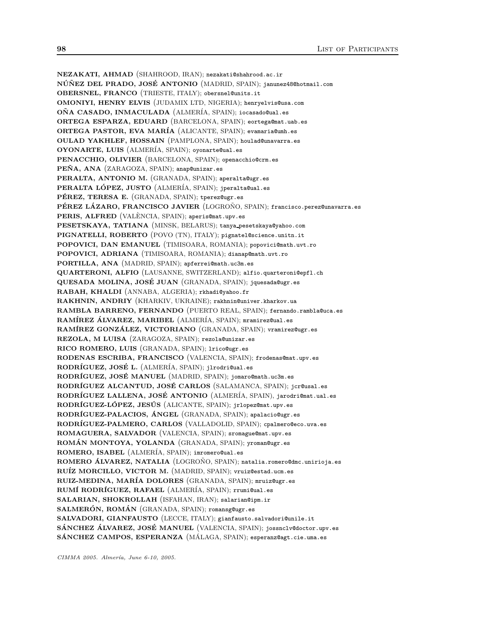NEZAKATI, AHMAD (SHAHROOD, IRAN); nezakati@shahrood.ac.ir NÚÑEZ DEL PRADO, JOSÉ ANTONIO (MADRID, SPAIN); janunez48@hotmail.com OBERSNEL, FRANCO (TRIESTE, ITALY); obersnel@units.it OMONIYI, HENRY ELVIS (JUDAMIX LTD, NIGERIA); henryelvis@usa.com OÑA CASADO, INMACULADA (ALMERÍA, SPAIN); iocasado@ual.es ORTEGA ESPARZA, EDUARD (BARCELONA, SPAIN); eortega@mat.uab.es ORTEGA PASTOR, EVA MAR´IA (ALICANTE, SPAIN); evamaria@umh.es OULAD YAKHLEF, HOSSAIN (PAMPLONA, SPAIN); houlad@unavarra.es OYONARTE, LUIS (ALMER´IA, SPAIN); oyonarte@ual.es PENACCHIO, OLIVIER (BARCELONA, SPAIN); openacchio@crm.es PEÑA, ANA (ZARAGOZA, SPAIN); anap@unizar.es PERALTA, ANTONIO M. (GRANADA, SPAIN); aperalta@ugr.es PERALTA LÓPEZ, JUSTO (ALMERÍA, SPAIN); jperalta@ual.es PÉREZ, TERESA E. (GRANADA, SPAIN); tperez@ugr.es PÉREZ LÁZARO, FRANCISCO JAVIER (LOGRONO, SPAIN); francisco.perez@unavarra.es PERIS, ALFRED (VALENCIA, SPAIN); aperis@mat.upv.es PESETSKAYA, TATIANA (MINSK, BELARUS); tanya pesetskaya@yahoo.com PIGNATELLI, ROBERTO (POVO (TN), ITALY); pignatel@science.unitn.it POPOVICI, DAN EMANUEL (TIMISOARA, ROMANIA); popovici@math.uvt.ro POPOVICI, ADRIANA (TIMISOARA, ROMANIA); dianap@math.uvt.ro PORTILLA, ANA (MADRID, SPAIN); apferrei@math.uc3m.es QUARTERONI, ALFIO (LAUSANNE, SWITZERLAND); alfio.quarteroni@epfl.ch QUESADA MOLINA, JOSÉ JUAN (GRANADA, SPAIN); jquesada@ugr.es RABAH, KHALDI (ANNABA, ALGERIA); rkhadi@yahoo.fr RAKHNIN, ANDRIY (KHARKIV, UKRAINE); rakhnin@univer.kharkov.ua RAMBLA BARRENO, FERNANDO (PUERTO REAL, SPAIN); fernando.rambla@uca.es RAMÍREZ ÁLVAREZ, MARIBEL (ALMERÍA, SPAIN); mramirez@ual.es RAMÍREZ GONZÁLEZ, VICTORIANO (GRANADA, SPAIN); vramirez@ugr.es REZOLA, M LUISA (ZARAGOZA, SPAIN); rezola@unizar.es RICO ROMERO, LUIS (GRANADA, SPAIN); lrico@ugr.es RODENAS ESCRIBA, FRANCISCO (VALENCIA, SPAIN); frodenas@mat.upv.es RODRÍGUEZ, JOSÉ L. (ALMERÍA, SPAIN); jlrodri@ual.es RODRÍGUEZ, JOSÉ MANUEL (MADRID, SPAIN); jomaro@math.uc3m.es RODRÍGUEZ ALCANTUD, JOSÉ CARLOS (SALAMANCA, SPAIN); jcr@usal.es RODRÍGUEZ LALLENA, JOSÉ ANTONIO (ALMERÍA, SPAIN), jarodri@mat.ual.es RODRÍGUEZ-LÓPEZ, JESÚS (ALICANTE, SPAIN); jrlopez@mat.upv.es RODRÍGUEZ-PALACIOS, ÁNGEL (GRANADA, SPAIN); apalacio@ugr.es RODRÍGUEZ-PALMERO, CARLOS (VALLADOLID, SPAIN); cpalmero@eco.uva.es ROMAGUERA, SALVADOR (VALENCIA, SPAIN); sromague@mat.upv.es ROMÁN MONTOYA, YOLANDA (GRANADA, SPAIN); yroman@ugr.es ROMERO, ISABEL (ALMER´IA, SPAIN); imromero@ual.es ROMERO ÁLVAREZ, NATALIA (LOGROÑO, SPAIN); natalia.romero@dmc.unirioja.es RUÍZ MORCILLO, VICTOR M. (MADRID, SPAIN); vruiz@estad.ucm.es RUIZ-MEDINA, MARÍA DOLORES (GRANADA, SPAIN); mruiz@ugr.es RUMÍ RODRÍGUEZ, RAFAEL (ALMERÍA, SPAIN); rrumi@ual.es SALARIAN, SHOKROLLAH (ISFAHAN, IRAN); salarian@ipm.ir SALMERÓN, ROMÁN (GRANADA, SPAIN); romansg@ugr.es SALVADORI, GIANFAUSTO (LECCE, ITALY); gianfausto.salvadori@unile.it SÁNCHEZ ÁLVAREZ, JOSÉ MANUEL (VALENCIA, SPAIN); jossnclv@doctor.upv.es SÁNCHEZ CAMPOS, ESPERANZA (MÁLAGA, SPAIN); esperanz@agt.cie.uma.es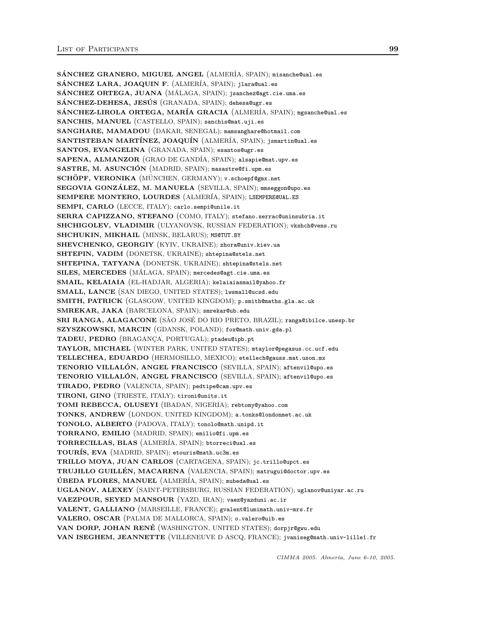SÁNCHEZ GRANERO, MIGUEL ANGEL (ALMERÍA, SPAIN); misanche@ual.es SÁNCHEZ LARA, JOAQUIN F. (ALMERÍA, SPAIN); jlara@ual.es SÁNCHEZ ORTEGA, JUANA (MÁLAGA, SPAIN); jsanchez@agt.cie.uma.es SÁNCHEZ-DEHESA, JESÚS (GRANADA, SPAIN); dehesa@ugr.es SÁNCHEZ-LIROLA ORTEGA, MARÍA GRACIA (ALMERÍA, SPAIN); mgsanche@ual.es SANCHIS, MANUEL (CASTELLO, SPAIN); sanchis@mat.uji.es SANGHARE, MAMADOU (DAKAR, SENEGAL); mamsanghare@hotmail.com SANTISTEBAN MARTÍNEZ, JOAQUÍN (ALMERÍA, SPAIN); jsmartin@ual.es SANTOS, EVANGELINA (GRANADA, SPAIN); esantos@ugr.es SAPENA, ALMANZOR (GRAO DE GANDÍA, SPAIN); alsapie@mat.upv.es SASTRE, M. ASUNCIÓN<sup>(MADRID, SPAIN); masastre@fi.upm.es</sup> SCHÖPF, VERONIKA (MÜNCHEN, GERMANY); v.schoepf@gmx.net SEGOVIA GONZÁLEZ, M. MANUELA (SEVILLA, SPAIN); mmseggon@upo.es SEMPERE MONTERO, LOURDES (ALMERÍA, SPAIN); LSEMPEREQUAL.ES SEMPI, CARLO (LECCE, ITALY); carlo.sempi@unile.it SERRA CAPIZZANO, STEFANO (COMO, ITALY); stefano.serrac@uninsubria.it SHCHIGOLEV, VLADIMIR (ULYANOVSK, RUSSIAN FEDERATION); vkshch@vens.ru SHCHUKIN, MIKHAIL (MINSK, BELARUS); MS@TUT.BY SHEVCHENKO, GEORGIY (KYIV, UKRAINE); zhora@univ.kiev.ua SHTEPIN, VADIM (DONETSK, UKRAINE); shtepina@stels.net SHTEPINA, TATYANA (DONETSK, UKRAINE); shtepina@stels.net SILES, MERCEDES (MÁLAGA, SPAIN); mercedes@agt.cie.uma.es SMAIL, KELAIAIA (EL-HADJAR, ALGERIA); kelaiaiasmail@yahoo.fr SMALL, LANCE (SAN DIEGO, UNITED STATES); lwsmall@ucsd.edu SMITH, PATRICK (GLASGOW, UNITED KINGDOM); p.smith@maths.gla.ac.uk SMREKAR, JAKA (BARCELONA, SPAIN); smrekar@ub.edu SRI RANGA, ALAGACONE (SÃO JOSÉ DO RIO PRETO, BRAZIL); ranga@ibilce.unesp.br SZYSZKOWSKI, MARCIN (GDANSK, POLAND); fox@math.univ.gda.pl TADEU, PEDRO (BRAGANÇA, PORTUGAL); ptadeu@ipb.pt TAYLOR, MICHAEL (WINTER PARK, UNITED STATES); mtaylor@pegasus.cc.ucf.edu TELLECHEA, EDUARDO (HERMOSILLO, MEXICO); etellech@gauss.mat.uson.mx TENORIO VILLALÓN, ANGEL FRANCISCO (SEVILLA, SPAIN); aftenvil@upo.es TENORIO VILLALÓN, ANGEL FRANCISCO (SEVILLA, SPAIN); aftenvil@upo.es TIRADO, PEDRO (VALENCIA, SPAIN); pedtipe@cam.upv.es TIRONI, GINO (TRIESTE, ITALY); tironi@units.it TOMI REBECCA, OLUSEYI (IBADAN, NIGERIA); rebtomy@yahoo.com TONKS, ANDREW (LONDON, UNITED KINGDOM); a.tonks@londonmet.ac.uk TONOLO, ALBERTO (PADOVA, ITALY); tonolo@math.unipd.it TORRANO, EMILIO (MADRID, SPAIN); emilio@fi.upm.es TORRECILLAS, BLAS (ALMER´IA, SPAIN); btorreci@ual.es TOURÍS, EVA (MADRID, SPAIN); etouris@math.uc3m.es TRILLO MOYA, JUAN CARLOS (CARTAGENA, SPAIN); jc.trillo@upct.es TRUJILLO GUILLÉN, MACARENA (VALENCIA, SPAIN); matrugui@doctor.upv.es ÚBEDA FLORES, MANUEL (ALMERÍA, SPAIN); mubeda@ual.es UGLANOV, ALEXEY (SAINT-PETERSBURG, RUSSIAN FEDERATION); uglanov@uniyar.ac.ru VAEZPOUR, SEYED MANSOUR (YAZD, IRAN); vaez@yazduni.ac.ir VALENT, GALLIANO (MARSEILLE, FRANCE); gvalent@lumimath.univ-mrs.fr VALERO, OSCAR (PALMA DE MALLORCA, SPAIN); o.valero@uib.es VAN DORP, JOHAN RENÉ (WASHINGTON, UNITED STATES); dorpjr@gwu.edu VAN ISEGHEM, JEANNETTE (VILLENEUVE D ASCQ, FRANCE); jvaniseg@math.univ-lille1.fr